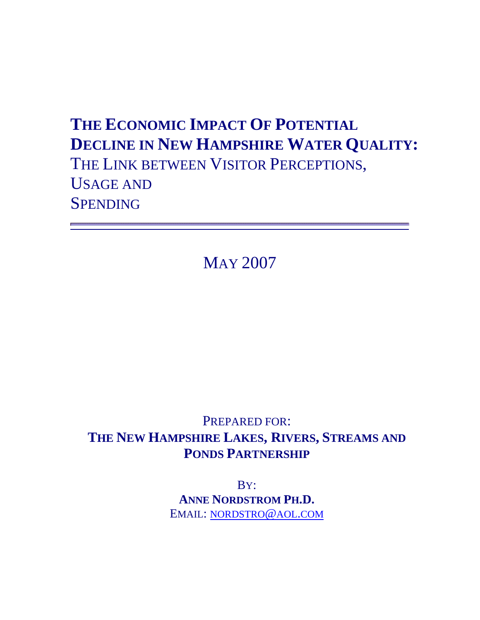# **THE ECONOMIC IMPACT OF POTENTIAL DECLINE IN NEW HAMPSHIRE WATER QUALITY:** THE LINK BETWEEN VISITOR PERCEPTIONS, USAGE AND SPENDING

## MAY 2007

## PREPARED FOR: **THE NEW HAMPSHIRE LAKES, RIVERS, STREAMS AND PONDS PARTNERSHIP**

BY: **ANNE NORDSTROM PH.D.** EMAIL: NORDSTRO@AOL.COM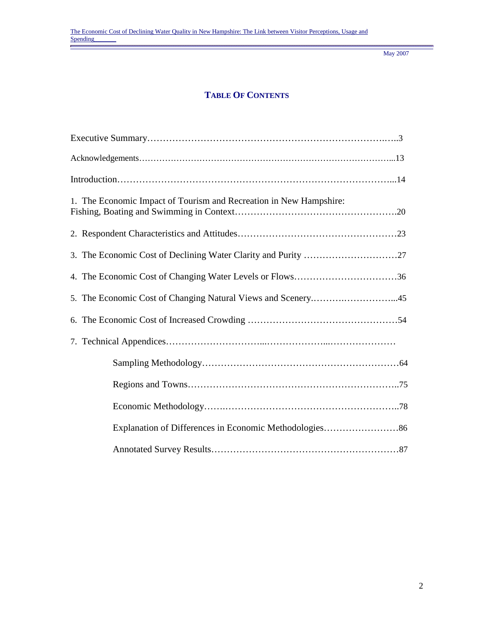×,

### **TABLE OF CONTENTS**

| 1. The Economic Impact of Tourism and Recreation in New Hampshire: |
|--------------------------------------------------------------------|
|                                                                    |
| 3. The Economic Cost of Declining Water Clarity and Purity 27      |
| 4. The Economic Cost of Changing Water Levels or Flows36           |
| 5. The Economic Cost of Changing Natural Views and Scenery45       |
|                                                                    |
|                                                                    |
|                                                                    |
|                                                                    |
|                                                                    |
| Explanation of Differences in Economic Methodologies86             |
|                                                                    |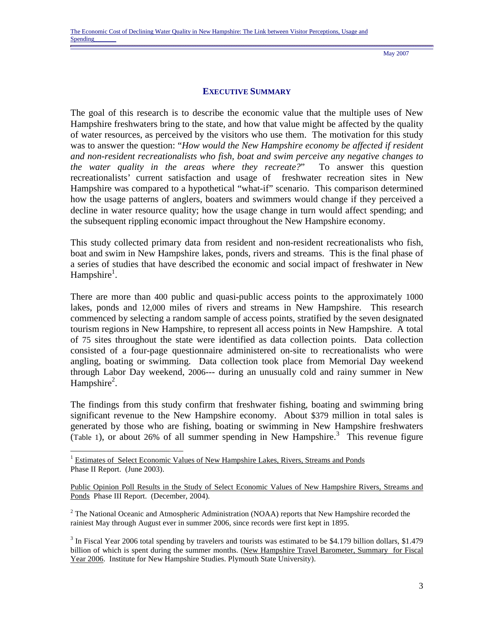#### **EXECUTIVE SUMMARY**

The goal of this research is to describe the economic value that the multiple uses of New Hampshire freshwaters bring to the state, and how that value might be affected by the quality of water resources, as perceived by the visitors who use them. The motivation for this study was to answer the question: "*How would the New Hampshire economy be affected if resident and non-resident recreationalists who fish, boat and swim perceive any negative changes to the water quality in the areas where they recreate?*" To answer this question recreationalists' current satisfaction and usage of freshwater recreation sites in New Hampshire was compared to a hypothetical "what-if" scenario. This comparison determined how the usage patterns of anglers, boaters and swimmers would change if they perceived a decline in water resource quality; how the usage change in turn would affect spending; and the subsequent rippling economic impact throughout the New Hampshire economy.

This study collected primary data from resident and non-resident recreationalists who fish, boat and swim in New Hampshire lakes, ponds, rivers and streams. This is the final phase of a series of studies that have described the economic and social impact of freshwater in New Hampshire $^1$ .

There are more than 400 public and quasi-public access points to the approximately 1000 lakes, ponds and 12,000 miles of rivers and streams in New Hampshire. This research commenced by selecting a random sample of access points, stratified by the seven designated tourism regions in New Hampshire, to represent all access points in New Hampshire. A total of 75 sites throughout the state were identified as data collection points. Data collection consisted of a four-page questionnaire administered on-site to recreationalists who were angling, boating or swimming. Data collection took place from Memorial Day weekend through Labor Day weekend, 2006--- during an unusually cold and rainy summer in New Hampshire<sup>2</sup>.

The findings from this study confirm that freshwater fishing, boating and swimming bring significant revenue to the New Hampshire economy. About \$379 million in total sales is generated by those who are fishing, boating or swimming in New Hampshire freshwaters (Table 1), or about 26% of all summer spending in New Hampshire. $3$  This revenue figure

<sup>1</sup> Estimates of Select Economic Values of New Hampshire Lakes, Rivers, Streams and Ponds Phase II Report. (June 2003).

<u>.</u>

Public Opinion Poll Results in the Study of Select Economic Values of New Hampshire Rivers, Streams and Ponds Phase III Report. (December, 2004).

 $2$  The National Oceanic and Atmospheric Administration (NOAA) reports that New Hampshire recorded the rainiest May through August ever in summer 2006, since records were first kept in 1895.

 $3$  In Fiscal Year 2006 total spending by travelers and tourists was estimated to be \$4.179 billion dollars, \$1.479 billion of which is spent during the summer months. (New Hampshire Travel Barometer, Summary for Fiscal Year 2006. Institute for New Hampshire Studies. Plymouth State University).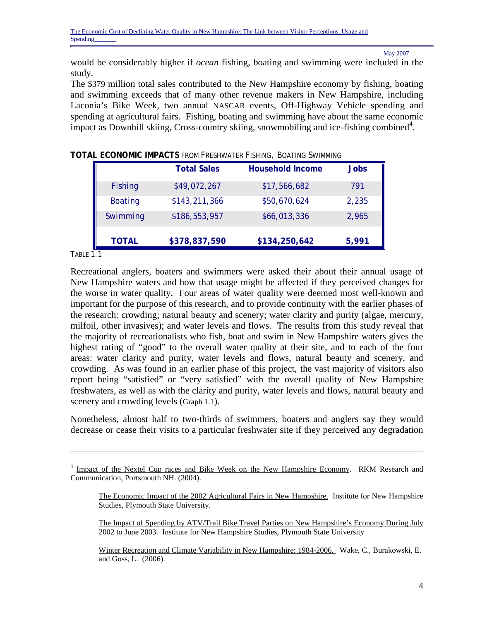would be considerably higher if *ocean* fishing, boating and swimming were included in the study.

The \$379 million total sales contributed to the New Hampshire economy by fishing, boating and swimming exceeds that of many other revenue makers in New Hampshire, including Laconia's Bike Week, two annual NASCAR events, Off-Highway Vehicle spending and spending at agricultural fairs. Fishing, boating and swimming have about the same economic impact as Downhill skiing, Cross-country skiing, snowmobiling and ice-fishing combined<sup>4</sup>.

| <b>Total Sales</b> | <b>Household Income</b> | <b>Jobs</b>                                                    |
|--------------------|-------------------------|----------------------------------------------------------------|
| \$49,072,267       | \$17,566,682            | 791                                                            |
| \$143,211,366      | \$50,670,624            | 2,235                                                          |
| \$186,553,957      | \$66,013,336            | 2,965                                                          |
| \$378,837,590      | \$134,250,642           | 5,991                                                          |
|                    |                         | TAL ECONOMIC IMPACTS FROM FRESHWATER FISHING, BOATING SWIMMING |

### **TOTAL ECONOMIC IMPACTS** FROM FRESHWATER FISHING, BOATING SWIMMING

TABLE 1.1

<u>.</u>

Recreational anglers, boaters and swimmers were asked their about their annual usage of New Hampshire waters and how that usage might be affected if they perceived changes for the worse in water quality. Four areas of water quality were deemed most well-known and important for the purpose of this research, and to provide continuity with the earlier phases of the research: crowding; natural beauty and scenery; water clarity and purity (algae, mercury, milfoil, other invasives); and water levels and flows. The results from this study reveal that the majority of recreationalists who fish, boat and swim in New Hampshire waters gives the highest rating of "good" to the overall water quality at their site, and to each of the four areas: water clarity and purity, water levels and flows, natural beauty and scenery, and crowding. As was found in an earlier phase of this project, the vast majority of visitors also report being "satisfied" or "very satisfied" with the overall quality of New Hampshire freshwaters, as well as with the clarity and purity, water levels and flows, natural beauty and scenery and crowding levels (Graph 1.1).

Nonetheless, almost half to two-thirds of swimmers, boaters and anglers say they would decrease or cease their visits to a particular freshwater site if they perceived any degradation

The Impact of Spending by ATV/Trail Bike Travel Parties on New Hampshire's Economy During July 2002 to June 2003. Institute for New Hampshire Studies, Plymouth State University

<sup>&</sup>lt;sup>4</sup> Impact of the Nextel Cup races and Bike Week on the New Hampshire Economy. RKM Research and Communication, Portsmouth NH. (2004).

The Economic Impact of the 2002 Agricultural Fairs in New Hampshire. Institute for New Hampshire Studies, Plymouth State University.

Winter Recreation and Climate Variability in New Hampshire: 1984-2006. Wake, C., Burakowski, E. and Goss, L. (2006).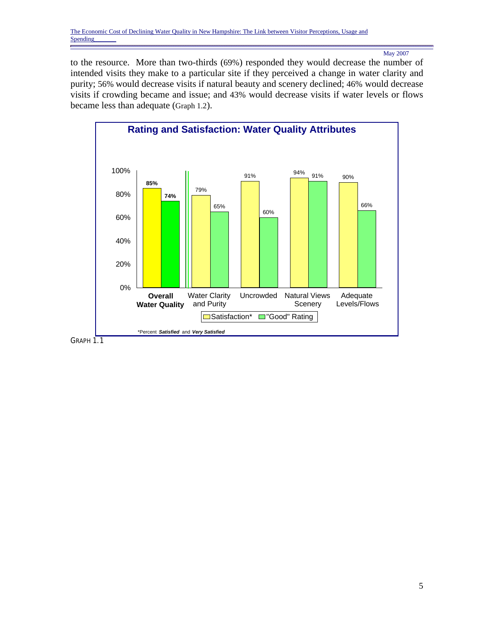to the resource. More than two-thirds (69%) responded they would decrease the number of intended visits they make to a particular site if they perceived a change in water clarity and purity; 56% would decrease visits if natural beauty and scenery declined; 46% would decrease visits if crowding became and issue; and 43% would decrease visits if water levels or flows became less than adequate (Graph 1.2).



GRAPH 1.1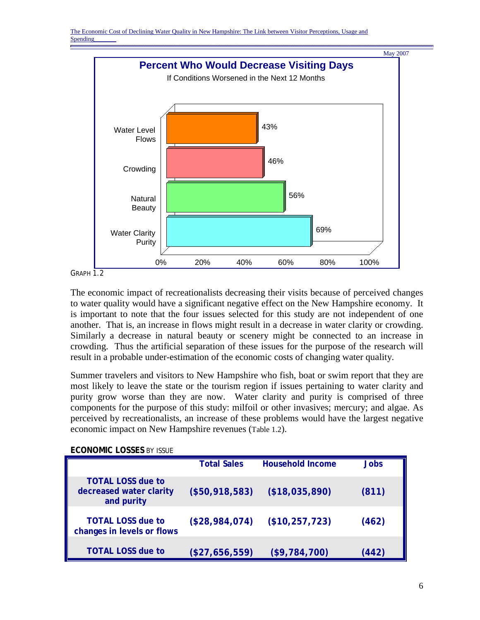

GRAPH 1.2

The economic impact of recreationalists decreasing their visits because of perceived changes to water quality would have a significant negative effect on the New Hampshire economy. It is important to note that the four issues selected for this study are not independent of one another. That is, an increase in flows might result in a decrease in water clarity or crowding. Similarly a decrease in natural beauty or scenery might be connected to an increase in crowding. Thus the artificial separation of these issues for the purpose of the research will result in a probable under-estimation of the economic costs of changing water quality.

Summer travelers and visitors to New Hampshire who fish, boat or swim report that they are most likely to leave the state or the tourism region if issues pertaining to water clarity and purity grow worse than they are now. Water clarity and purity is comprised of three components for the purpose of this study: milfoil or other invasives; mercury; and algae. As perceived by recreationalists, an increase of these problems would have the largest negative economic impact on New Hampshire revenues (Table 1.2).

| LOUITUMIU LUJJLJ DI IJJUL                                         |                    |                         |       |
|-------------------------------------------------------------------|--------------------|-------------------------|-------|
|                                                                   | <b>Total Sales</b> | <b>Household Income</b> | Jobs  |
| <b>TOTAL LOSS due to</b><br>decreased water clarity<br>and purity | (\$50,918,583)     | (\$18,035,890)          | (811) |
| <b>TOTAL LOSS due to</b><br>changes in levels or flows            | (\$28,984,074)     | (\$10, 257, 723)        | (462) |
| <b>TOTAL LOSS due to</b>                                          | (\$27,656,559)     | (\$9,784,700)           | (442) |

#### **ECONOMIC LOSSES** BY ISSUE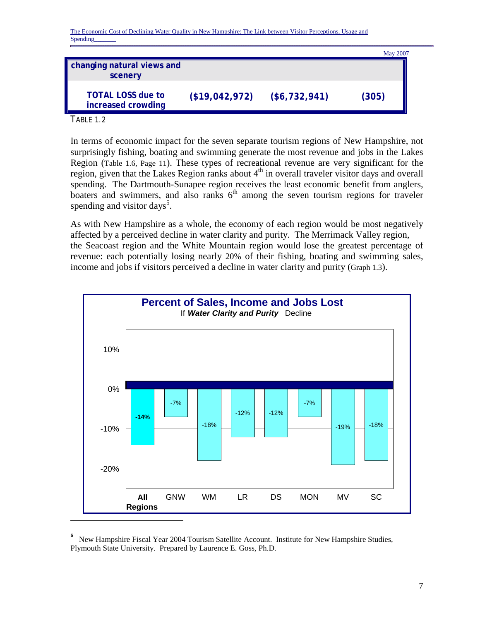The Economic Cost of Declining Water Quality in New Hampshire: The Link between Visitor Perceptions, Usage and Spending

|                                                |                |               | <b>May 2007</b> |
|------------------------------------------------|----------------|---------------|-----------------|
| changing natural views and<br>scenery          |                |               |                 |
| <b>TOTAL LOSS due to</b><br>increased crowding | (\$19,042,972) | (\$6,732,941) | (305)           |

TABLE 1.2

In terms of economic impact for the seven separate tourism regions of New Hampshire, not surprisingly fishing, boating and swimming generate the most revenue and jobs in the Lakes Region (Table 1.6, Page 11). These types of recreational revenue are very significant for the region, given that the Lakes Region ranks about 4<sup>th</sup> in overall traveler visitor days and overall spending. The Dartmouth-Sunapee region receives the least economic benefit from anglers, boaters and swimmers, and also ranks  $6<sup>th</sup>$  among the seven tourism regions for traveler spending and visitor days<sup>5</sup>.

As with New Hampshire as a whole, the economy of each region would be most negatively affected by a perceived decline in water clarity and purity. The Merrimack Valley region, the Seacoast region and the White Mountain region would lose the greatest percentage of revenue: each potentially losing nearly 20% of their fishing, boating and swimming sales, income and jobs if visitors perceived a decline in water clarity and purity (Graph 1.3).



**<sup>5</sup>** New Hampshire Fiscal Year 2004 Tourism Satellite Account. Institute for New Hampshire Studies, Plymouth State University. Prepared by Laurence E. Goss, Ph.D.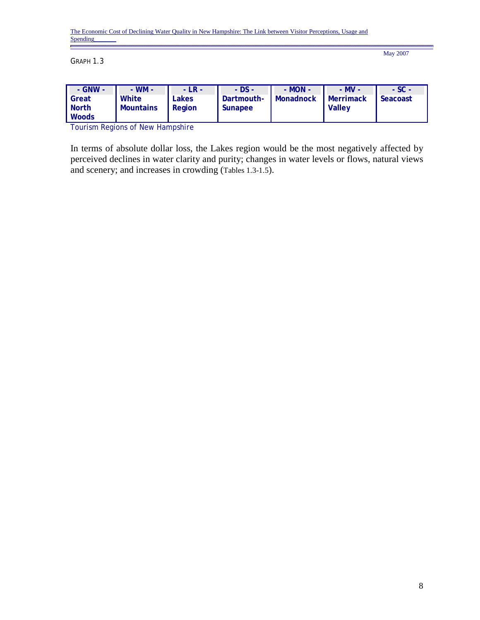GRAPH 1.3

May 2007

| - GNW -      | - WM -           | $-LR -$       | $-DS -$        | $-MON -$         | $-$ MV $-$       | $-SC =$  |
|--------------|------------------|---------------|----------------|------------------|------------------|----------|
| Great        | White            | .akes         | Dartmouth-     | <b>Monadnock</b> | <b>Merrimack</b> | Seacoast |
| <b>North</b> | <b>Mountains</b> | <b>Region</b> | <b>Sunapee</b> |                  | <b>Valley</b>    |          |
| <b>Woods</b> |                  |               |                |                  |                  |          |

Tourism Regions of New Hampshire

In terms of absolute dollar loss, the Lakes region would be the most negatively affected by perceived declines in water clarity and purity; changes in water levels or flows, natural views and scenery; and increases in crowding (Tables 1.3-1.5).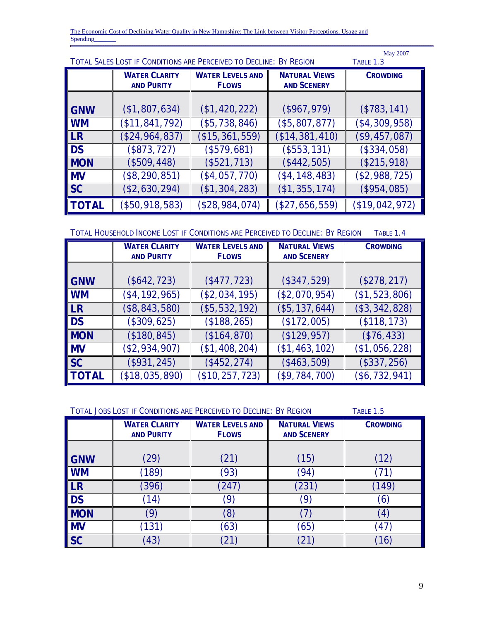The Economic Cost of Declining Water Quality in New Hampshire: The Link between Visitor Perceptions, Usage and Spending

|              |                                           | <b>TOTAL SALES LOST IF CONDITIONS ARE PERCEIVED TO DECLINE: BY REGION</b> |                                            | <b>May 2007</b><br>TABLE 1.3 |
|--------------|-------------------------------------------|---------------------------------------------------------------------------|--------------------------------------------|------------------------------|
|              | <b>WATER CLARITY</b><br><b>AND PURITY</b> | <b>WATER LEVELS AND</b><br><b>FLOWS</b>                                   | <b>NATURAL VIEWS</b><br><b>AND SCENERY</b> | <b>CROWDING</b>              |
| <b>GNW</b>   | (\$1,807,634)                             | (\$1,420,222)                                                             | (\$967,979)                                | $(*783, 141)$                |
| <b>WM</b>    | (\$11, 841, 792)                          | (\$5,738,846)                                                             | (\$5,807,877)                              | (\$4,309,958)                |
| <b>LR</b>    | (\$24,964,837)                            | (\$15,361,559)                                                            | (\$14,381,410)                             | (\$9,457,087)                |
| <b>DS</b>    | $(\$873,727)$                             | (\$579,681)                                                               | (\$553, 131)                               | (\$334,058)                  |
| <b>MON</b>   | (\$509, 448)                              | $($ \$521,713 $)$                                                         | (\$442,505)                                | (\$215,918)                  |
| <b>MV</b>    | (\$8, 290, 851)                           | $(\$4,057,770)$                                                           | (\$4, 148, 483)                            | (\$2,988,725)                |
| <b>SC</b>    | (\$2,630,294)                             | (\$1,304,283)                                                             | (\$1,355,174)                              | (\$954,085)                  |
| <b>TOTAL</b> | (\$50,918,583)                            | (\$28,984,074)                                                            | (\$27,656,559)                             | (\$19,042,972)               |

TOTAL HOUSEHOLD INCOME LOST IF CONDITIONS ARE PERCEIVED TO DECLINE: BY REGION TABLE 1.4

|              | <b>WATER CLARITY</b><br><b>AND PURITY</b> | <b>WATER LEVELS AND</b><br><b>FLOWS</b> | <b>NATURAL VIEWS</b><br><b>AND SCENERY</b> | <b>CROWDING</b>  |
|--------------|-------------------------------------------|-----------------------------------------|--------------------------------------------|------------------|
|              |                                           |                                         |                                            |                  |
| <b>GNW</b>   | (\$642, 723)                              | $($ \$477,723)                          | (\$347,529)                                | (\$278, 217)     |
| <b>WM</b>    | (\$4, 192, 965)                           | (\$2,034,195)                           | (\$2,070,954)                              | (\$1,523,806)    |
| l LR         | (\$8, 843, 580)                           | (\$5,532,192)                           | (\$5, 137, 644)                            | (\$3,342,828)    |
| <b>DS</b>    | (\$309,625)                               | (\$188, 265)                            | (\$172,005)                                | (\$118, 173)     |
| <b>MON</b>   | (\$180, 845)                              | (\$164, 870)                            | (\$129, 957)                               | (\$76, 433)      |
| <b>MV</b>    | (\$2,934,907)                             | (\$1,408,204)                           | (\$1,463,102)                              | (\$1,056,228)    |
| <b>SC</b>    | (\$931, 245)                              | $(*452, 274)$                           | (\$463,509)                                | (\$337, 256)     |
| <b>TOTAL</b> | (\$18,035,890)                            | (\$10, 257, 723)                        | (\$9,784,700)                              | $($ \$6,732,941) |

| TOTAL JOBS LOST IF CONDITIONS ARE PERCEIVED TO DECLINE: BY REGION |  |  |  |  |  |  | TABLE 1.5 |
|-------------------------------------------------------------------|--|--|--|--|--|--|-----------|
|-------------------------------------------------------------------|--|--|--|--|--|--|-----------|

|            | <b>WATER CLARITY</b><br><b>AND PURITY</b> | <b>WATER LEVELS AND</b><br><b>FLOWS</b> | <b>NATURAL VIEWS</b><br><b>AND SCENERY</b> | <b>CROWDING</b> |
|------------|-------------------------------------------|-----------------------------------------|--------------------------------------------|-----------------|
| <b>GNW</b> | (29)                                      | (21)                                    | (15)                                       | (12)            |
| ∥ WM       | (189)                                     | (93)                                    | (94)                                       |                 |
| <b>LR</b>  | (396)                                     | (247)                                   | (231)                                      | (149)           |
| <b>DS</b>  | (14)                                      | (9)                                     | (9)                                        | (6)             |
| <b>MON</b> | (9)                                       | (8)                                     | (7)                                        | (4)             |
| <b>MV</b>  | (131)                                     | (63)                                    | (65)                                       | (47)            |
| $\vert$ SC | (43)                                      | [21]                                    | (21)                                       | (16)            |

щ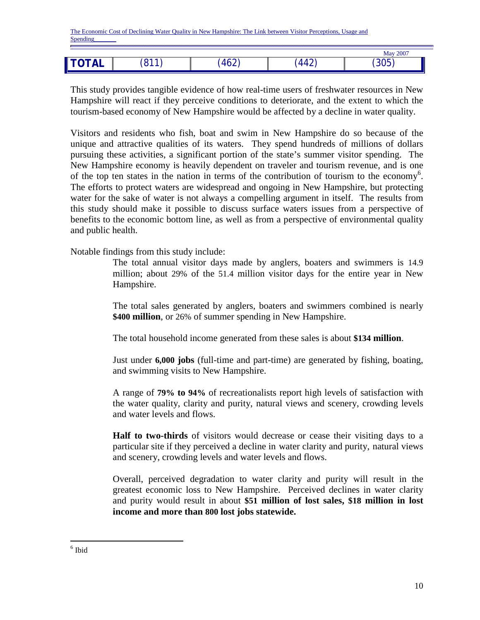The Economic Cost of Declining Water Quality in New Hampshire: The Link between Visitor Perceptions, Usage and Spending

| TAL<br>0.4.4<br>ີ | ட | $\sim$<br>$\sim$<br>л л<br>$\sqrt{ }$<br>$\sim$<br>. . | ່ 20ປີ<br><u>JUJ</u> |  |
|-------------------|---|--------------------------------------------------------|----------------------|--|

This study provides tangible evidence of how real-time users of freshwater resources in New Hampshire will react if they perceive conditions to deteriorate, and the extent to which the tourism-based economy of New Hampshire would be affected by a decline in water quality.

Visitors and residents who fish, boat and swim in New Hampshire do so because of the unique and attractive qualities of its waters. They spend hundreds of millions of dollars pursuing these activities, a significant portion of the state's summer visitor spending. The New Hampshire economy is heavily dependent on traveler and tourism revenue, and is one of the top ten states in the nation in terms of the contribution of tourism to the economy<sup>6</sup>. The efforts to protect waters are widespread and ongoing in New Hampshire, but protecting water for the sake of water is not always a compelling argument in itself. The results from this study should make it possible to discuss surface waters issues from a perspective of benefits to the economic bottom line, as well as from a perspective of environmental quality and public health.

Notable findings from this study include:

The total annual visitor days made by anglers, boaters and swimmers is 14.9 million; about 29% of the 51.4 million visitor days for the entire year in New Hampshire.

The total sales generated by anglers, boaters and swimmers combined is nearly **\$400 million**, or 26% of summer spending in New Hampshire.

The total household income generated from these sales is about **\$134 million**.

Just under **6,000 jobs** (full-time and part-time) are generated by fishing, boating, and swimming visits to New Hampshire.

A range of **79% to 94%** of recreationalists report high levels of satisfaction with the water quality, clarity and purity, natural views and scenery, crowding levels and water levels and flows.

**Half to two-thirds** of visitors would decrease or cease their visiting days to a particular site if they perceived a decline in water clarity and purity, natural views and scenery, crowding levels and water levels and flows.

Overall, perceived degradation to water clarity and purity will result in the greatest economic loss to New Hampshire. Perceived declines in water clarity and purity would result in about **\$51 million of lost sales, \$18 million in lost income and more than 800 lost jobs statewide.**

<sup>1</sup> 6 Ibid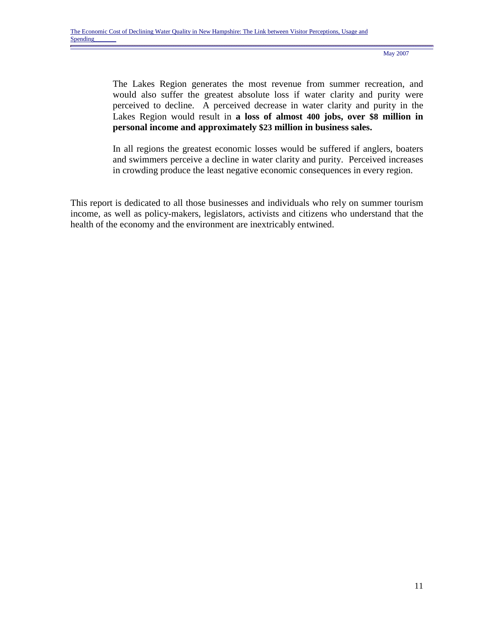The Lakes Region generates the most revenue from summer recreation, and would also suffer the greatest absolute loss if water clarity and purity were perceived to decline. A perceived decrease in water clarity and purity in the Lakes Region would result in **a loss of almost 400 jobs, over \$8 million in personal income and approximately \$23 million in business sales.**

In all regions the greatest economic losses would be suffered if anglers, boaters and swimmers perceive a decline in water clarity and purity. Perceived increases in crowding produce the least negative economic consequences in every region.

This report is dedicated to all those businesses and individuals who rely on summer tourism income, as well as policy-makers, legislators, activists and citizens who understand that the health of the economy and the environment are inextricably entwined.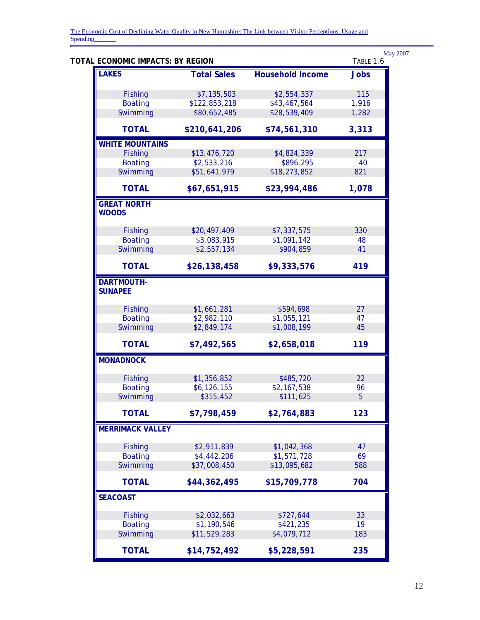| TOTAL ECONOMIC IMPACTS: BY REGION |                    |                         | TABLE 1.6   |
|-----------------------------------|--------------------|-------------------------|-------------|
| <b>LAKES</b>                      | <b>Total Sales</b> | <b>Household Income</b> | <b>Jobs</b> |
| Fishing                           | \$7,135,503        | \$2,554,337             | 115         |
| <b>Boating</b>                    | \$122,853,218      | \$43,467,564            | 1,916       |
| Swimming                          | \$80,652,485       | \$28,539,409            | 1,282       |
|                                   |                    |                         |             |
| <b>TOTAL</b>                      | \$210,641,206      | \$74,561,310            | 3,313       |
| <b>WHITE MOUNTAINS</b>            |                    |                         |             |
| Fishing                           | \$13.476,720       | \$4,824,339             | 217         |
| <b>Boating</b>                    | \$2,533,216        | \$896,295               | 40          |
| Swimming                          | \$51,641,979       | \$18,273,852            | 821         |
| <b>TOTAL</b>                      | \$67,651,915       | \$23,994,486            | 1,078       |
| <b>GREAT NORTH</b>                |                    |                         |             |
| <b>WOODS</b>                      |                    |                         |             |
| Fishing                           | \$20,497,409       | \$7,337,575             | 330         |
| <b>Boating</b>                    | \$3,083,915        | \$1,091,142             | 48          |
| Swimming                          | \$2,557,134        | \$904,859               | 41          |
| <b>TOTAL</b>                      | \$26,138,458       | \$9,333,576             | 419         |
|                                   |                    |                         |             |
| <b>DARTMOUTH-</b>                 |                    |                         |             |
| <b>SUNAPEE</b>                    |                    |                         |             |
| Fishing                           | \$1,661,281        | \$594,698               | 27          |
| <b>Boating</b>                    | \$2,982,110        | \$1,055,121             | 47          |
| Swimming                          | \$2,849,174        | \$1,008,199             | 45          |
| <b>TOTAL</b>                      |                    | \$2,658,018             | 119         |
|                                   | \$7,492,565        |                         |             |
| <b>MONADNOCK</b>                  |                    |                         |             |
| Fishing                           | \$1,356,852        | \$485,720               | 22          |
| <b>Boating</b>                    | \$6,126,155        | \$2,167,538             | 96          |
| Swimming                          | \$315,452          | \$111,625               | 5           |
| <b>TOTAL</b>                      | \$7,798,459        | \$2,764,883             | 123         |
| <b>MERRIMACK VALLEY</b>           |                    |                         |             |
|                                   |                    |                         |             |
| Fishing                           | \$2,911,839        | \$1,042,368             | 47          |
| <b>Boating</b>                    | \$4,442,206        | \$1,571,728             | 69          |
| Swimming                          | \$37,008,450       | \$13,095,682            | 588         |
| <b>TOTAL</b>                      | \$44,362,495       | \$15,709,778            | 704         |
| <b>SEACOAST</b>                   |                    |                         |             |
| Fishing                           | \$2,032,663        | \$727,644               | 33          |
| <b>Boating</b>                    | \$1,190,546        | \$421,235               | 19          |
| Swimming                          | \$11,529,283       | \$4,079,712             | 183         |
|                                   |                    |                         |             |
| <b>TOTAL</b>                      | \$14,752,492       | \$5,228,591             | 235         |

an,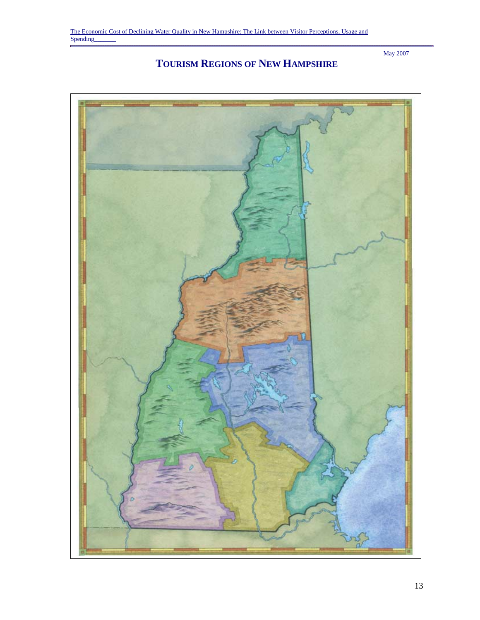## **TOURISM REGIONS OF NEW HAMPSHIRE**

May 2007

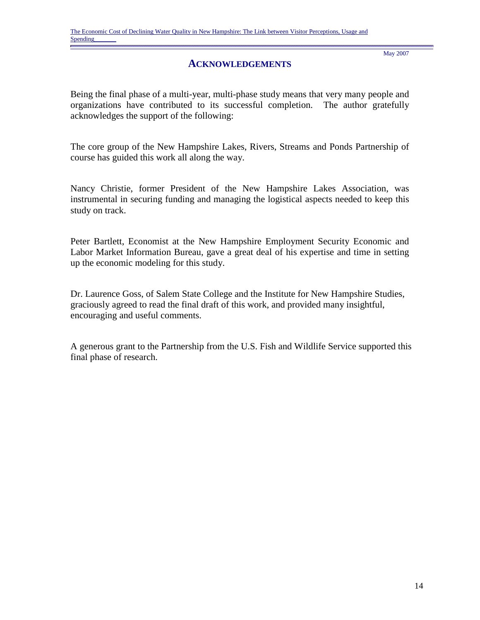#### **ACKNOWLEDGEMENTS**

May 2007

Being the final phase of a multi-year, multi-phase study means that very many people and organizations have contributed to its successful completion. The author gratefully acknowledges the support of the following:

The core group of the New Hampshire Lakes, Rivers, Streams and Ponds Partnership of course has guided this work all along the way.

Nancy Christie, former President of the New Hampshire Lakes Association, was instrumental in securing funding and managing the logistical aspects needed to keep this study on track.

Peter Bartlett, Economist at the New Hampshire Employment Security Economic and Labor Market Information Bureau, gave a great deal of his expertise and time in setting up the economic modeling for this study.

Dr. Laurence Goss, of Salem State College and the Institute for New Hampshire Studies, graciously agreed to read the final draft of this work, and provided many insightful, encouraging and useful comments.

A generous grant to the Partnership from the U.S. Fish and Wildlife Service supported this final phase of research.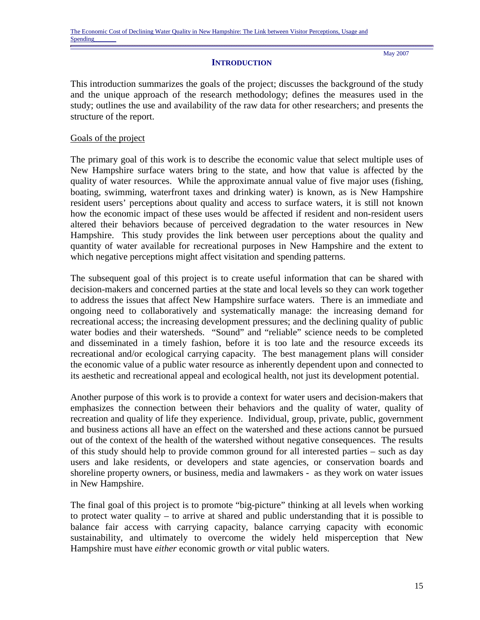#### **INTRODUCTION**

May 2007

This introduction summarizes the goals of the project; discusses the background of the study and the unique approach of the research methodology; defines the measures used in the study; outlines the use and availability of the raw data for other researchers; and presents the structure of the report.

#### Goals of the project

The primary goal of this work is to describe the economic value that select multiple uses of New Hampshire surface waters bring to the state, and how that value is affected by the quality of water resources. While the approximate annual value of five major uses (fishing, boating, swimming, waterfront taxes and drinking water) is known, as is New Hampshire resident users' perceptions about quality and access to surface waters, it is still not known how the economic impact of these uses would be affected if resident and non-resident users altered their behaviors because of perceived degradation to the water resources in New Hampshire. This study provides the link between user perceptions about the quality and quantity of water available for recreational purposes in New Hampshire and the extent to which negative perceptions might affect visitation and spending patterns.

The subsequent goal of this project is to create useful information that can be shared with decision-makers and concerned parties at the state and local levels so they can work together to address the issues that affect New Hampshire surface waters. There is an immediate and ongoing need to collaboratively and systematically manage: the increasing demand for recreational access; the increasing development pressures; and the declining quality of public water bodies and their watersheds. "Sound" and "reliable" science needs to be completed and disseminated in a timely fashion, before it is too late and the resource exceeds its recreational and/or ecological carrying capacity. The best management plans will consider the economic value of a public water resource as inherently dependent upon and connected to its aesthetic and recreational appeal and ecological health, not just its development potential.

Another purpose of this work is to provide a context for water users and decision-makers that emphasizes the connection between their behaviors and the quality of water, quality of recreation and quality of life they experience. Individual, group, private, public, government and business actions all have an effect on the watershed and these actions cannot be pursued out of the context of the health of the watershed without negative consequences. The results of this study should help to provide common ground for all interested parties – such as day users and lake residents, or developers and state agencies, or conservation boards and shoreline property owners, or business, media and lawmakers - as they work on water issues in New Hampshire.

The final goal of this project is to promote "big-picture" thinking at all levels when working to protect water quality – to arrive at shared and public understanding that it is possible to balance fair access with carrying capacity, balance carrying capacity with economic sustainability, and ultimately to overcome the widely held misperception that New Hampshire must have *either* economic growth *or* vital public waters.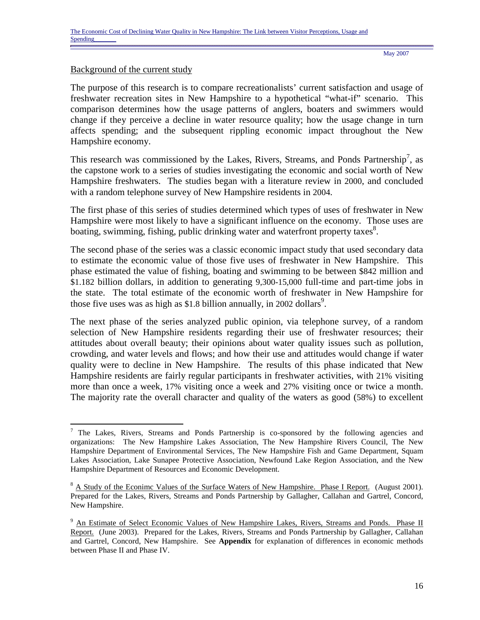#### Background of the current study

1

The purpose of this research is to compare recreationalists' current satisfaction and usage of freshwater recreation sites in New Hampshire to a hypothetical "what-if" scenario. This comparison determines how the usage patterns of anglers, boaters and swimmers would change if they perceive a decline in water resource quality; how the usage change in turn affects spending; and the subsequent rippling economic impact throughout the New Hampshire economy.

This research was commissioned by the Lakes, Rivers, Streams, and Ponds Partnership<sup>7</sup>, as the capstone work to a series of studies investigating the economic and social worth of New Hampshire freshwaters. The studies began with a literature review in 2000, and concluded with a random telephone survey of New Hampshire residents in 2004.

The first phase of this series of studies determined which types of uses of freshwater in New Hampshire were most likely to have a significant influence on the economy. Those uses are boating, swimming, fishing, public drinking water and waterfront property taxes<sup>8</sup>.

The second phase of the series was a classic economic impact study that used secondary data to estimate the economic value of those five uses of freshwater in New Hampshire. This phase estimated the value of fishing, boating and swimming to be between \$842 million and \$1.182 billion dollars, in addition to generating 9,300-15,000 full-time and part-time jobs in the state. The total estimate of the economic worth of freshwater in New Hampshire for those five uses was as high as \$1.8 billion annually, in 2002 dollars<sup>9</sup>.

The next phase of the series analyzed public opinion, via telephone survey, of a random selection of New Hampshire residents regarding their use of freshwater resources; their attitudes about overall beauty; their opinions about water quality issues such as pollution, crowding, and water levels and flows; and how their use and attitudes would change if water quality were to decline in New Hampshire. The results of this phase indicated that New Hampshire residents are fairly regular participants in freshwater activities, with 21% visiting more than once a week, 17% visiting once a week and 27% visiting once or twice a month. The majority rate the overall character and quality of the waters as good (58%) to excellent

<sup>&</sup>lt;sup>7</sup> The Lakes, Rivers, Streams and Ponds Partnership is co-sponsored by the following agencies and organizations: The New Hampshire Lakes Association, The New Hampshire Rivers Council, The New Hampshire Department of Environmental Services, The New Hampshire Fish and Game Department, Squam Lakes Association, Lake Sunapee Protective Association, Newfound Lake Region Association, and the New Hampshire Department of Resources and Economic Development.

 $8 \text{ A Study of the Economic Values of the Surface Waters of New Hampshire. Phase I Report.}$  (August 2001). Prepared for the Lakes, Rivers, Streams and Ponds Partnership by Gallagher, Callahan and Gartrel, Concord, New Hampshire.

<sup>&</sup>lt;sup>9</sup> An Estimate of Select Economic Values of New Hampshire Lakes, Rivers, Streams and Ponds. Phase II Report. (June 2003). Prepared for the Lakes, Rivers, Streams and Ponds Partnership by Gallagher, Callahan and Gartrel, Concord, New Hampshire. See **Appendix** for explanation of differences in economic methods between Phase II and Phase IV.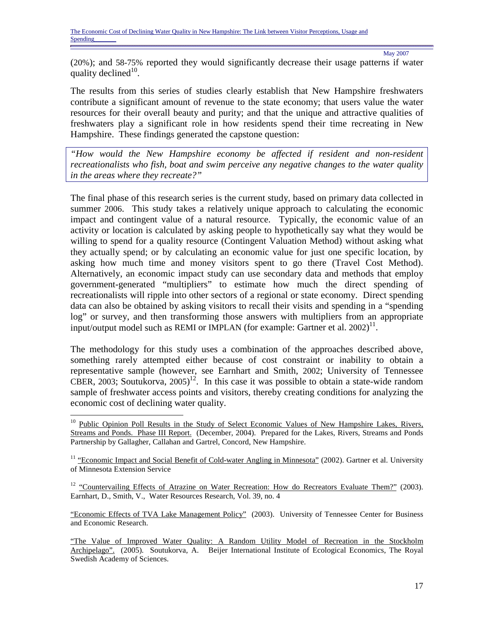(20%); and 58-75% reported they would significantly decrease their usage patterns if water quality declined $10$ .

The results from this series of studies clearly establish that New Hampshire freshwaters contribute a significant amount of revenue to the state economy; that users value the water resources for their overall beauty and purity; and that the unique and attractive qualities of freshwaters play a significant role in how residents spend their time recreating in New Hampshire. These findings generated the capstone question:

*"How would the New Hampshire economy be affected if resident and non-resident recreationalists who fish, boat and swim perceive any negative changes to the water quality in the areas where they recreate?"*

The final phase of this research series is the current study, based on primary data collected in summer 2006. This study takes a relatively unique approach to calculating the economic impact and contingent value of a natural resource. Typically, the economic value of an activity or location is calculated by asking people to hypothetically say what they would be willing to spend for a quality resource (Contingent Valuation Method) without asking what they actually spend; or by calculating an economic value for just one specific location, by asking how much time and money visitors spent to go there (Travel Cost Method). Alternatively, an economic impact study can use secondary data and methods that employ government-generated "multipliers" to estimate how much the direct spending of recreationalists will ripple into other sectors of a regional or state economy. Direct spending data can also be obtained by asking visitors to recall their visits and spending in a "spending log" or survey, and then transforming those answers with multipliers from an appropriate input/output model such as REMI or IMPLAN (for example: Gartner et al. 2002)<sup>11</sup>.

The methodology for this study uses a combination of the approaches described above, something rarely attempted either because of cost constraint or inability to obtain a representative sample (however, see Earnhart and Smith, 2002; University of Tennessee CBER, 2003; Soutukorva, 2005)<sup>12</sup>. In this case it was possible to obtain a state-wide random sample of freshwater access points and visitors, thereby creating conditions for analyzing the economic cost of declining water quality.

1

"Economic Effects of TVA Lake Management Policy" (2003). University of Tennessee Center for Business and Economic Research.

"The Value of Improved Water Quality: A Random Utility Model of Recreation in the Stockholm Archipelago". (2005). Soutukorva, A. Beijer International Institute of Ecological Economics, The Royal Swedish Academy of Sciences.

<sup>&</sup>lt;sup>10</sup> Public Opinion Poll Results in the Study of Select Economic Values of New Hampshire Lakes, Rivers, Streams and Ponds. Phase III Report. (December, 2004). Prepared for the Lakes, Rivers, Streams and Ponds Partnership by Gallagher, Callahan and Gartrel, Concord, New Hampshire.

 $11$  "Economic Impact and Social Benefit of Cold-water Angling in Minnesota" (2002). Gartner et al. University of Minnesota Extension Service

<sup>&</sup>lt;sup>12</sup> "Countervailing Effects of Atrazine on Water Recreation: How do Recreators Evaluate Them?" (2003). Earnhart, D., Smith, V., Water Resources Research, Vol. 39, no. 4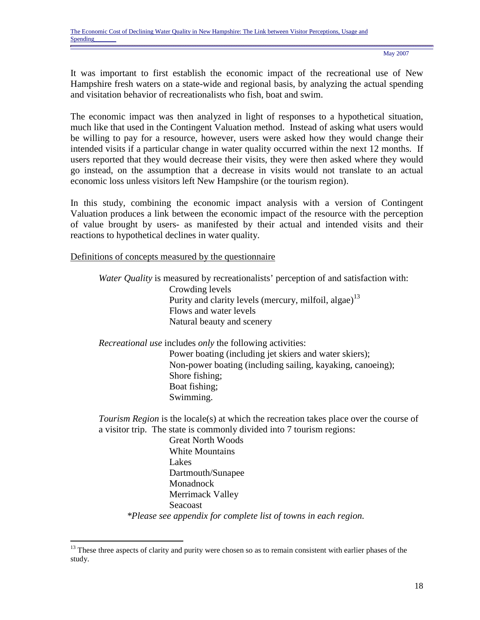It was important to first establish the economic impact of the recreational use of New Hampshire fresh waters on a state-wide and regional basis, by analyzing the actual spending and visitation behavior of recreationalists who fish, boat and swim.

The economic impact was then analyzed in light of responses to a hypothetical situation, much like that used in the Contingent Valuation method. Instead of asking what users would be willing to pay for a resource, however, users were asked how they would change their intended visits if a particular change in water quality occurred within the next 12 months. If users reported that they would decrease their visits, they were then asked where they would go instead, on the assumption that a decrease in visits would not translate to an actual economic loss unless visitors left New Hampshire (or the tourism region).

In this study, combining the economic impact analysis with a version of Contingent Valuation produces a link between the economic impact of the resource with the perception of value brought by users- as manifested by their actual and intended visits and their reactions to hypothetical declines in water quality.

Definitions of concepts measured by the questionnaire

1

*Water Quality* is measured by recreationalists' perception of and satisfaction with: Crowding levels Purity and clarity levels (mercury, milfoil, algae)<sup>13</sup> Flows and water levels Natural beauty and scenery

*Recreational use* includes *only* the following activities:

Power boating (including jet skiers and water skiers); Non-power boating (including sailing, kayaking, canoeing); Shore fishing; Boat fishing; Swimming.

*Tourism Region* is the locale(s) at which the recreation takes place over the course of a visitor trip. The state is commonly divided into 7 tourism regions:

Great North Woods White Mountains Lakes Dartmouth/Sunapee Monadnock Merrimack Valley Seacoast *\*Please see appendix for complete list of towns in each region.*

<sup>&</sup>lt;sup>13</sup> These three aspects of clarity and purity were chosen so as to remain consistent with earlier phases of the study.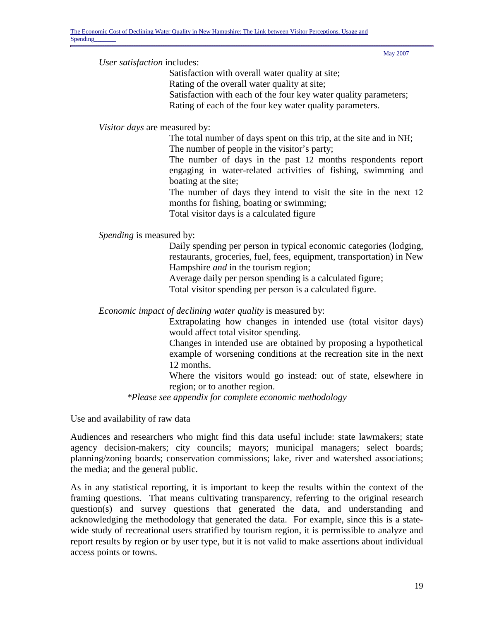*User satisfaction* includes:

May 2007

Satisfaction with overall water quality at site; Rating of the overall water quality at site; Satisfaction with each of the four key water quality parameters; Rating of each of the four key water quality parameters.

*Visitor days* are measured by:

The total number of days spent on this trip, at the site and in NH; The number of people in the visitor's party;

The number of days in the past 12 months respondents report engaging in water-related activities of fishing, swimming and boating at the site;

The number of days they intend to visit the site in the next 12 months for fishing, boating or swimming;

Total visitor days is a calculated figure

*Spending* is measured by:

Daily spending per person in typical economic categories (lodging, restaurants, groceries, fuel, fees, equipment, transportation) in New Hampshire *and* in the tourism region;

Average daily per person spending is a calculated figure;

Total visitor spending per person is a calculated figure.

*Economic impact of declining water quality* is measured by:

Extrapolating how changes in intended use (total visitor days) would affect total visitor spending.

Changes in intended use are obtained by proposing a hypothetical example of worsening conditions at the recreation site in the next 12 months.

Where the visitors would go instead: out of state, elsewhere in region; or to another region.

*\*Please see appendix for complete economic methodology*

Use and availability of raw data

Audiences and researchers who might find this data useful include: state lawmakers; state agency decision-makers; city councils; mayors; municipal managers; select boards; planning/zoning boards; conservation commissions; lake, river and watershed associations; the media; and the general public.

As in any statistical reporting, it is important to keep the results within the context of the framing questions. That means cultivating transparency, referring to the original research question(s) and survey questions that generated the data, and understanding and acknowledging the methodology that generated the data. For example, since this is a statewide study of recreational users stratified by tourism region, it is permissible to analyze and report results by region or by user type, but it is not valid to make assertions about individual access points or towns.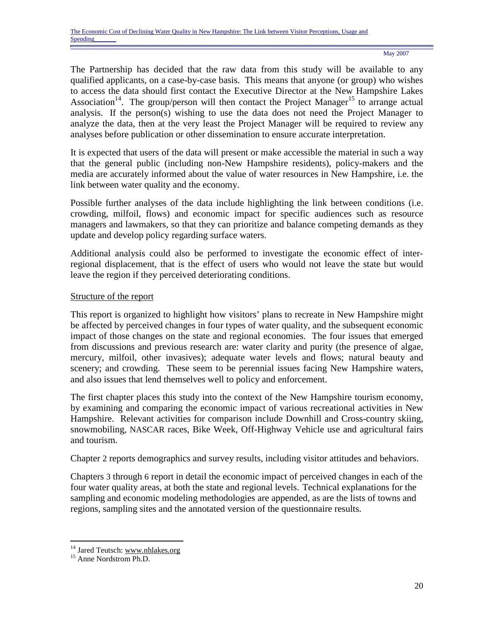The Partnership has decided that the raw data from this study will be available to any qualified applicants, on a case-by-case basis. This means that anyone (or group) who wishes to access the data should first contact the Executive Director at the New Hampshire Lakes Association<sup>14</sup>. The group/person will then contact the Project Manager<sup>15</sup> to arrange actual analysis. If the person(s) wishing to use the data does not need the Project Manager to analyze the data, then at the very least the Project Manager will be required to review any analyses before publication or other dissemination to ensure accurate interpretation.

It is expected that users of the data will present or make accessible the material in such a way that the general public (including non-New Hampshire residents), policy-makers and the media are accurately informed about the value of water resources in New Hampshire, i.e. the link between water quality and the economy.

Possible further analyses of the data include highlighting the link between conditions (i.e. crowding, milfoil, flows) and economic impact for specific audiences such as resource managers and lawmakers, so that they can prioritize and balance competing demands as they update and develop policy regarding surface waters.

Additional analysis could also be performed to investigate the economic effect of interregional displacement, that is the effect of users who would not leave the state but would leave the region if they perceived deteriorating conditions.

#### Structure of the report

This report is organized to highlight how visitors' plans to recreate in New Hampshire might be affected by perceived changes in four types of water quality, and the subsequent economic impact of those changes on the state and regional economies. The four issues that emerged from discussions and previous research are: water clarity and purity (the presence of algae, mercury, milfoil, other invasives); adequate water levels and flows; natural beauty and scenery; and crowding. These seem to be perennial issues facing New Hampshire waters, and also issues that lend themselves well to policy and enforcement.

The first chapter places this study into the context of the New Hampshire tourism economy, by examining and comparing the economic impact of various recreational activities in New Hampshire. Relevant activities for comparison include Downhill and Cross-country skiing, snowmobiling, NASCAR races, Bike Week, Off-Highway Vehicle use and agricultural fairs and tourism.

Chapter 2 reports demographics and survey results, including visitor attitudes and behaviors.

Chapters 3 through 6 report in detail the economic impact of perceived changes in each of the four water quality areas, at both the state and regional levels. Technical explanations for the sampling and economic modeling methodologies are appended, as are the lists of towns and regions, sampling sites and the annotated version of the questionnaire results.

1

<sup>&</sup>lt;sup>14</sup> Jared Teutsch: www.nhlakes.org

<sup>15</sup> Anne Nordstrom Ph.D.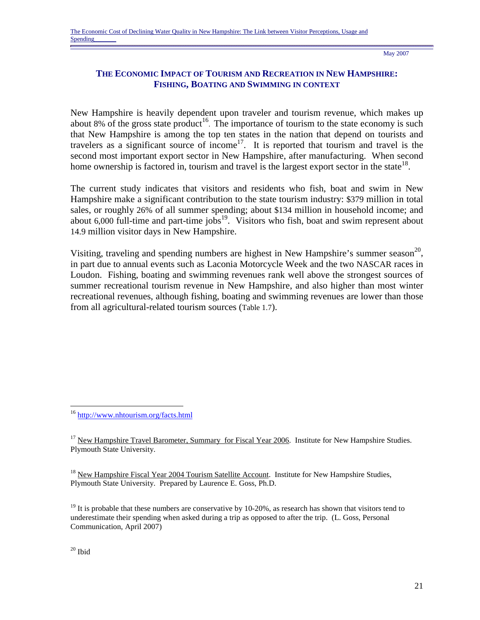#### **THE ECONOMIC IMPACT OF TOURISM AND RECREATION IN NEW HAMPSHIRE: FISHING, BOATING AND SWIMMING IN CONTEXT**

New Hampshire is heavily dependent upon traveler and tourism revenue, which makes up about 8% of the gross state product<sup>16</sup>. The importance of tourism to the state economy is such that New Hampshire is among the top ten states in the nation that depend on tourists and travelers as a significant source of income<sup>17</sup>. It is reported that tourism and travel is the second most important export sector in New Hampshire, after manufacturing. When second home ownership is factored in, tourism and travel is the largest export sector in the state  $18$ .

The current study indicates that visitors and residents who fish, boat and swim in New Hampshire make a significant contribution to the state tourism industry: \$379 million in total sales, or roughly 26% of all summer spending; about \$134 million in household income; and about 6,000 full-time and part-time jobs<sup>19</sup>. Visitors who fish, boat and swim represent about 14.9 million visitor days in New Hampshire.

Visiting, traveling and spending numbers are highest in New Hampshire's summer season<sup>20</sup>, in part due to annual events such as Laconia Motorcycle Week and the two NASCAR races in Loudon. Fishing, boating and swimming revenues rank well above the strongest sources of summer recreational tourism revenue in New Hampshire, and also higher than most winter recreational revenues, although fishing, boating and swimming revenues are lower than those from all agricultural-related tourism sources (Table 1.7).

<sup>17</sup> New Hampshire Travel Barometer, Summary for Fiscal Year 2006. Institute for New Hampshire Studies. Plymouth State University.

<sup>18</sup> New Hampshire Fiscal Year 2004 Tourism Satellite Account. Institute for New Hampshire Studies, Plymouth State University. Prepared by Laurence E. Goss, Ph.D.

 $19$  It is probable that these numbers are conservative by 10-20%, as research has shown that visitors tend to underestimate their spending when asked during a trip as opposed to after the trip. (L. Goss, Personal Communication, April 2007)

 $20$  Ibid

-

<sup>&</sup>lt;sup>16</sup> http://www.nhtourism.org/facts.html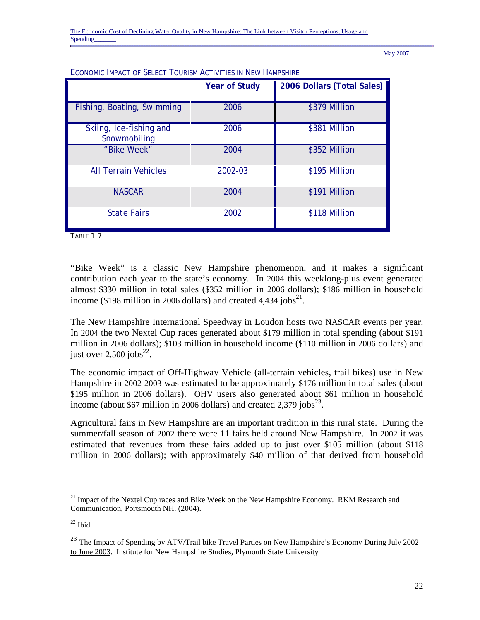|                                         | <b>Year of Study</b> | 2006 Dollars (Total Sales) |
|-----------------------------------------|----------------------|----------------------------|
| Fishing, Boating, Swimming              | 2006                 | \$379 Million              |
| Skiing, Ice-fishing and<br>Snowmobiling | 2006                 | \$381 Million              |
| "Bike Week"                             | 2004                 | \$352 Million              |
| <b>All Terrain Vehicles</b>             | 2002-03              | \$195 Million              |
| <b>NASCAR</b>                           | 2004                 | \$191 Million              |
| <b>State Fairs</b>                      | 2002                 | \$118 Million              |

ECONOMIC IMPACT OF SELECT TOURISM ACTIVITIES IN NEW HAMPSHIRE

TABLE 1.7

"Bike Week" is a classic New Hampshire phenomenon, and it makes a significant contribution each year to the state's economy. In 2004 this weeklong-plus event generated almost \$330 million in total sales (\$352 million in 2006 dollars); \$186 million in household income (\$198 million in 2006 dollars) and created  $4.434$  jobs<sup>21</sup>.

The New Hampshire International Speedway in Loudon hosts two NASCAR events per year. In 2004 the two Nextel Cup races generated about \$179 million in total spending (about \$191 million in 2006 dollars); \$103 million in household income (\$110 million in 2006 dollars) and just over  $2,500$  jobs<sup>22</sup>.

The economic impact of Off-Highway Vehicle (all-terrain vehicles, trail bikes) use in New Hampshire in 2002-2003 was estimated to be approximately \$176 million in total sales (about \$195 million in 2006 dollars). OHV users also generated about \$61 million in household income (about \$67 million in 2006 dollars) and created 2,379 jobs<sup>23</sup>.

Agricultural fairs in New Hampshire are an important tradition in this rural state. During the summer/fall season of 2002 there were 11 fairs held around New Hampshire. In 2002 it was estimated that revenues from these fairs added up to just over \$105 million (about \$118 million in 2006 dollars); with approximately \$40 million of that derived from household

 $21$ Impact of the Nextel Cup races and Bike Week on the New Hampshire Economy. RKM Research and Communication, Portsmouth NH. (2004).

 $22$  Ibid

<sup>&</sup>lt;sup>23</sup> The Impact of Spending by ATV/Trail bike Travel Parties on New Hampshire's Economy During July 2002 to June 2003. Institute for New Hampshire Studies, Plymouth State University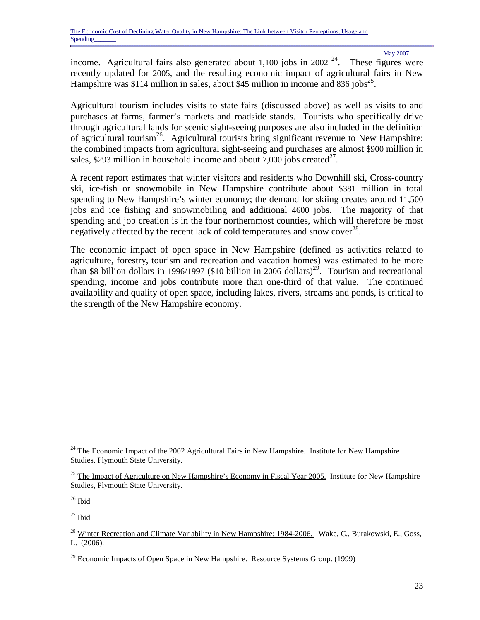<sup>May 2007</sup><br>income. Agricultural fairs also generated about 1,100 jobs in 2002<sup>24</sup>. These figures were recently updated for 2005, and the resulting economic impact of agricultural fairs in New Hampshire was \$114 million in sales, about \$45 million in income and 836 jobs<sup>25</sup>.

Agricultural tourism includes visits to state fairs (discussed above) as well as visits to and purchases at farms, farmer's markets and roadside stands. Tourists who specifically drive through agricultural lands for scenic sight-seeing purposes are also included in the definition of agricultural tourism<sup>26</sup>. Agricultural tourists bring significant revenue to New Hampshire: the combined impacts from agricultural sight-seeing and purchases are almost \$900 million in sales, \$293 million in household income and about 7,000 jobs created  $2^7$ .

A recent report estimates that winter visitors and residents who Downhill ski, Cross-country ski, ice-fish or snowmobile in New Hampshire contribute about \$381 million in total spending to New Hampshire's winter economy; the demand for skiing creates around 11,500 jobs and ice fishing and snowmobiling and additional 4600 jobs. The majority of that spending and job creation is in the four northernmost counties, which will therefore be most negatively affected by the recent lack of cold temperatures and snow cover<sup>28</sup>.

The economic impact of open space in New Hampshire (defined as activities related to agriculture, forestry, tourism and recreation and vacation homes) was estimated to be more than \$8 billion dollars in 1996/1997 (\$10 billion in 2006 dollars)<sup>29</sup>. Tourism and recreational spending, income and jobs contribute more than one-third of that value. The continued availability and quality of open space, including lakes, rivers, streams and ponds, is critical to the strength of the New Hampshire economy.

 $26$  Ibid

1

 $27$  Ibid

<sup>&</sup>lt;sup>24</sup> The Economic Impact of the 2002 Agricultural Fairs in New Hampshire. Institute for New Hampshire Studies, Plymouth State University.

<sup>&</sup>lt;sup>25</sup> The Impact of Agriculture on New Hampshire's Economy in Fiscal Year 2005. Institute for New Hampshire Studies, Plymouth State University.

<sup>&</sup>lt;sup>28</sup> Winter Recreation and Climate Variability in New Hampshire: 1984-2006. Wake, C., Burakowski, E., Goss, L. (2006).

 $^{29}$  Economic Impacts of Open Space in New Hampshire. Resource Systems Group. (1999)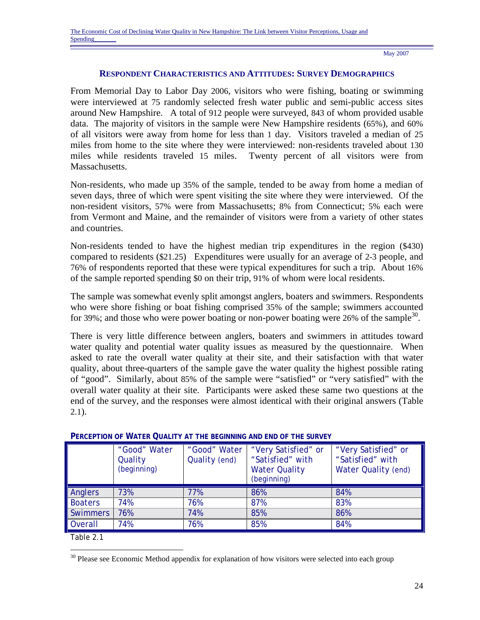#### **RESPONDENT CHARACTERISTICS AND ATTITUDES: SURVEY DEMOGRAPHICS**

From Memorial Day to Labor Day 2006, visitors who were fishing, boating or swimming were interviewed at 75 randomly selected fresh water public and semi-public access sites around New Hampshire. A total of 912 people were surveyed, 843 of whom provided usable data. The majority of visitors in the sample were New Hampshire residents (65%), and 60% of all visitors were away from home for less than 1 day. Visitors traveled a median of 25 miles from home to the site where they were interviewed: non-residents traveled about 130 miles while residents traveled 15 miles. Twenty percent of all visitors were from Massachusetts.

Non-residents, who made up 35% of the sample, tended to be away from home a median of seven days, three of which were spent visiting the site where they were interviewed. Of the non-resident visitors, 57% were from Massachusetts; 8% from Connecticut; 5% each were from Vermont and Maine, and the remainder of visitors were from a variety of other states and countries.

Non-residents tended to have the highest median trip expenditures in the region (\$430) compared to residents (\$21.25) Expenditures were usually for an average of 2-3 people, and 76% of respondents reported that these were typical expenditures for such a trip. About 16% of the sample reported spending \$0 on their trip, 91% of whom were local residents.

The sample was somewhat evenly split amongst anglers, boaters and swimmers. Respondents who were shore fishing or boat fishing comprised 35% of the sample; swimmers accounted for 39%; and those who were power boating or non-power boating were 26% of the sample<sup>30</sup>.

There is very little difference between anglers, boaters and swimmers in attitudes toward water quality and potential water quality issues as measured by the questionnaire. When asked to rate the overall water quality at their site, and their satisfaction with that water quality, about three-quarters of the sample gave the water quality the highest possible rating of "good". Similarly, about 85% of the sample were "satisfied" or "very satisfied" with the overall water quality at their site. Participants were asked these same two questions at the end of the survey, and the responses were almost identical with their original answers (Table 2.1).

|                 | "Good" Water<br>Quality<br>(beginning) | "Good" Water<br>Quality (end) | "Very Satisfied" or<br>"Satisfied" with<br><b>Water Quality</b><br>(beginning) | "Very Satisfied" or<br>"Satisfied" with<br>Water Quality (end) |
|-----------------|----------------------------------------|-------------------------------|--------------------------------------------------------------------------------|----------------------------------------------------------------|
| Anglers         | 73%                                    | 77%                           | 86%                                                                            | 84%                                                            |
| <b>Boaters</b>  | 74%                                    | 76%                           | 87%                                                                            | 83%                                                            |
| <b>Swimmers</b> | 76%                                    | 74%                           | 85%                                                                            | 86%                                                            |
| Overall         | 74%                                    | 76%                           | 85%                                                                            | 84%                                                            |

#### **PERCEPTION OF WATER QUALITY AT THE BEGINNING AND END OF THE SURVEY**

Table 2.1

 $\overline{a}$ 

<sup>&</sup>lt;sup>30</sup> Please see Economic Method appendix for explanation of how visitors were selected into each group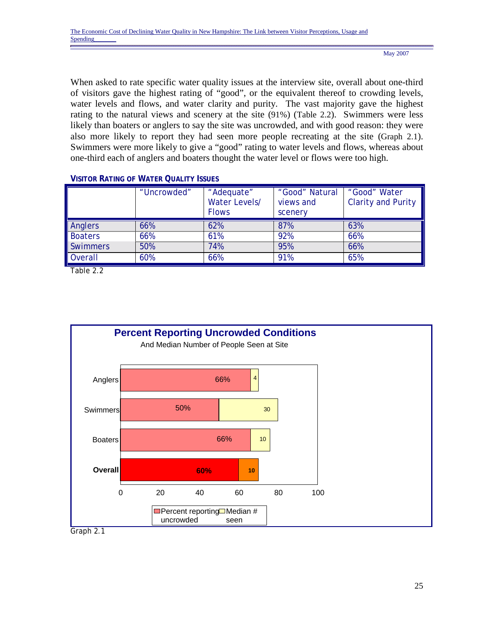When asked to rate specific water quality issues at the interview site, overall about one-third of visitors gave the highest rating of "good", or the equivalent thereof to crowding levels, water levels and flows, and water clarity and purity. The vast majority gave the highest rating to the natural views and scenery at the site (91%) (Table 2.2). Swimmers were less likely than boaters or anglers to say the site was uncrowded, and with good reason: they were also more likely to report they had seen more people recreating at the site (Graph 2.1). Swimmers were more likely to give a "good" rating to water levels and flows, whereas about one-third each of anglers and boaters thought the water level or flows were too high.

|                 | "Uncrowded" | "Adequate"<br>Water Levels/<br><b>Flows</b> | "Good" Natural<br>views and<br>scenery | "Good" Water<br><b>Clarity and Purity</b> |
|-----------------|-------------|---------------------------------------------|----------------------------------------|-------------------------------------------|
| Anglers         | 66%         | 62%                                         | 87%                                    | 63%                                       |
| <b>Boaters</b>  | 66%         | 61%                                         | 92%                                    | 66%                                       |
| <b>Swimmers</b> | 50%         | 74%                                         | 95%                                    | 66%                                       |
| Overall         | 60%         | 66%                                         | 91%                                    | 65%                                       |

#### **VISITOR RATING OF WATER QUALITY ISSUES**

Table 2.2



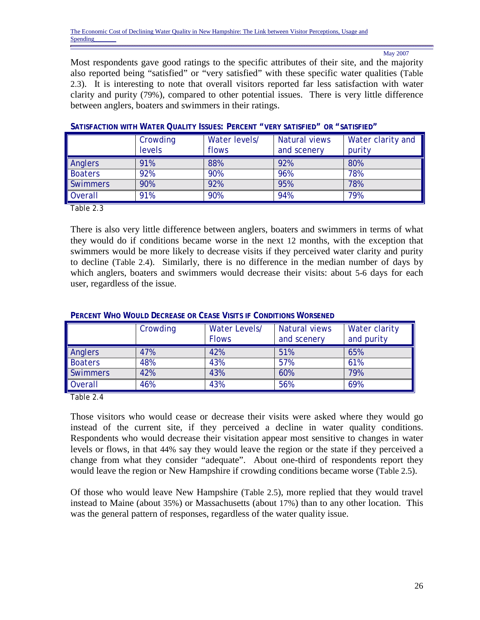Most respondents gave good ratings to the specific attributes of their site, and the majority also reported being "satisfied" or "very satisfied" with these specific water qualities (Table 2.3). It is interesting to note that overall visitors reported far less satisfaction with water clarity and purity (79%), compared to other potential issues. There is very little difference between anglers, boaters and swimmers in their ratings.

|                 | Crowding<br>levels | Water levels/<br>flows | Natural views<br>and scenery | Water clarity and<br>purity |
|-----------------|--------------------|------------------------|------------------------------|-----------------------------|
| Anglers         | 91%                | 88%                    | 92%                          | 80%                         |
| <b>Boaters</b>  | 92%                | 90%                    | 96%                          | 78%                         |
| <b>Swimmers</b> | 90%                | 92%                    | 95%                          | 78%                         |
| Overall         | 91%                | 90%                    | 94%                          | 79%                         |

#### **SATISFACTION WITH WATER QUALITY ISSUES: PERCENT "VERY SATISFIED" OR "SATISFIED"**

Table 2.3

There is also very little difference between anglers, boaters and swimmers in terms of what they would do if conditions became worse in the next 12 months, with the exception that swimmers would be more likely to decrease visits if they perceived water clarity and purity to decline (Table 2.4). Similarly, there is no difference in the median number of days by which anglers, boaters and swimmers would decrease their visits: about 5-6 days for each user, regardless of the issue.

|                | Crowding | Water Levels/<br><b>Flows</b> | Natural views<br>and scenery | Water clarity<br>and purity |
|----------------|----------|-------------------------------|------------------------------|-----------------------------|
| Anglers        | 47%      | 42%                           | 51%                          | 65%                         |
| Boaters        | 48%      | 43%                           | 57%                          | 61%                         |
| Swimmers       | 42%      | 43%                           | 60%                          | 79%                         |
| <b>Overall</b> | 46%      | 43%                           | 56%                          | 69%                         |

#### **PERCENT WHO WOULD DECREASE OR CEASE VISITS IF CONDITIONS WORSENED**

Table 2.4

Those visitors who would cease or decrease their visits were asked where they would go instead of the current site, if they perceived a decline in water quality conditions. Respondents who would decrease their visitation appear most sensitive to changes in water levels or flows, in that 44% say they would leave the region or the state if they perceived a change from what they consider "adequate". About one-third of respondents report they would leave the region or New Hampshire if crowding conditions became worse (Table 2.5).

Of those who would leave New Hampshire (Table 2.5), more replied that they would travel instead to Maine (about 35%) or Massachusetts (about 17%) than to any other location. This was the general pattern of responses, regardless of the water quality issue.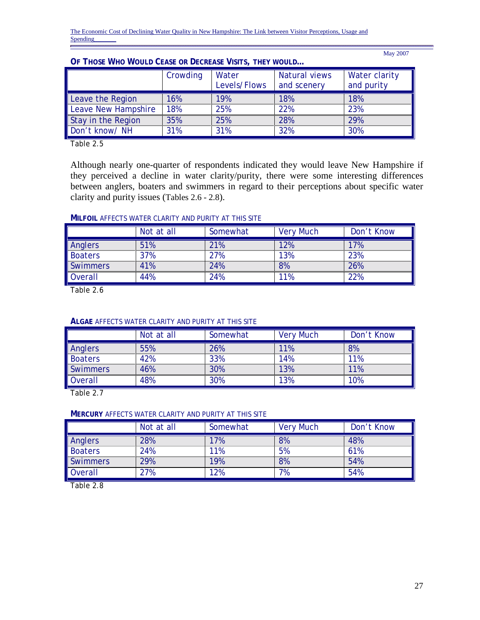**OF THOSE WHO WOULD CEASE OR DECREASE VISITS, THEY WOULD…**

|                     | Crowding | Water<br>Levels/Flows | Natural views<br>and scenery | Water clarity<br>and purity |
|---------------------|----------|-----------------------|------------------------------|-----------------------------|
| Leave the Region    | 16%      | 19%                   | 18%                          | 18%                         |
| Leave New Hampshire | 18%      | 25%                   | 22%                          | 23%                         |
| Stay in the Region  | 35%      | 25%                   | 28%                          | 29%                         |
| Don't know/ NH      | 31%      | 31%                   | 32%                          | 30%                         |

May 2007

Table 2.5

Although nearly one-quarter of respondents indicated they would leave New Hampshire if they perceived a decline in water clarity/purity, there were some interesting differences between anglers, boaters and swimmers in regard to their perceptions about specific water clarity and purity issues (Tables 2.6 - 2.8).

#### **MILFOIL** AFFECTS WATER CLARITY AND PURITY AT THIS SITE

|          | Not at all | Somewhat | <b>Very Much</b> | Don't Know |
|----------|------------|----------|------------------|------------|
| Anglers  | 51%        | 21%      | 12%              | 17%        |
| Boaters  | 37%        | 27%      | 13%              | 23%        |
| Swimmers | 41%        | 24%      | 8%               | 26%        |
| Overall  | 44%        | 24%      | 11%              | 22%        |

Table 2.6

#### **ALGAE** AFFECTS WATER CLARITY AND PURITY AT THIS SITE

|                 | Not at all | Somewhat | <b>Very Much</b> | Don't Know |
|-----------------|------------|----------|------------------|------------|
| Anglers         | 55%        | 26%      | 11%              | 8%         |
| <b>Boaters</b>  | 42%        | 33%      | 14%              | 11%        |
| <b>Swimmers</b> | 46%        | 30%      | 13%              | 11%        |
| Overall         | 48%        | 30%      | 13%              | 10%        |

Table 2.7

#### **MERCURY** AFFECTS WATER CLARITY AND PURITY AT THIS SITE

|                 | Not at all | Somewhat | <b>Very Much</b> | Don't Know |
|-----------------|------------|----------|------------------|------------|
| Anglers         | 28%        | 17%      | 8%               | 48%        |
| <b>Boaters</b>  | 24%        | 11%      | 5%               | 61%        |
| <b>Swimmers</b> | 29%        | 19%      | 8%               | 54%        |
| Overall         | 27%        | 12%      | 7%               | 54%        |

Table 2.8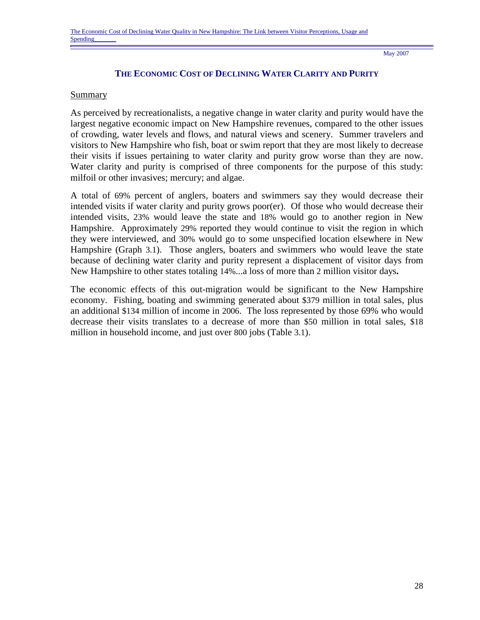#### **THE ECONOMIC COST OF DECLINING WATER CLARITY AND PURITY**

#### Summary

As perceived by recreationalists, a negative change in water clarity and purity would have the largest negative economic impact on New Hampshire revenues, compared to the other issues of crowding, water levels and flows, and natural views and scenery. Summer travelers and visitors to New Hampshire who fish, boat or swim report that they are most likely to decrease their visits if issues pertaining to water clarity and purity grow worse than they are now. Water clarity and purity is comprised of three components for the purpose of this study: milfoil or other invasives; mercury; and algae.

A total of 69% percent of anglers, boaters and swimmers say they would decrease their intended visits if water clarity and purity grows poor(er). Of those who would decrease their intended visits, 23% would leave the state and 18% would go to another region in New Hampshire. Approximately 29% reported they would continue to visit the region in which they were interviewed, and 30% would go to some unspecified location elsewhere in New Hampshire (Graph 3.1). Those anglers, boaters and swimmers who would leave the state because of declining water clarity and purity represent a displacement of visitor days from New Hampshire to other states totaling 14%...a loss of more than 2 million visitor days**.**

The economic effects of this out-migration would be significant to the New Hampshire economy. Fishing, boating and swimming generated about \$379 million in total sales, plus an additional \$134 million of income in 2006. The loss represented by those 69% who would decrease their visits translates to a decrease of more than \$50 million in total sales, \$18 million in household income, and just over 800 jobs (Table 3.1).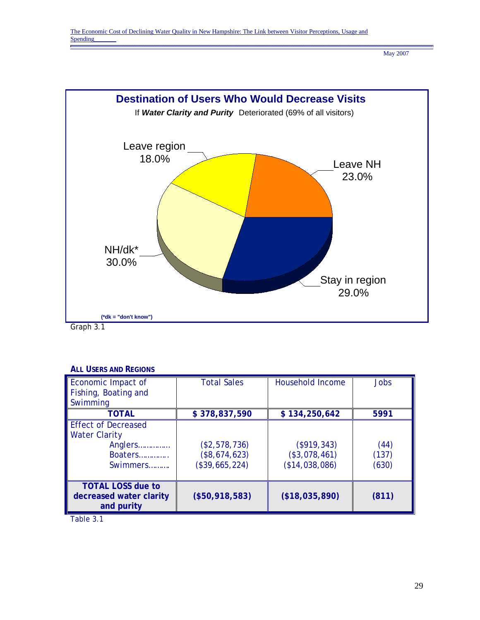

Graph 3.1

| Economic Impact of         | <b>Total Sales</b> | Household Income | Jobs  |
|----------------------------|--------------------|------------------|-------|
| Fishing, Boating and       |                    |                  |       |
| Swimming                   |                    |                  |       |
| <b>TOTAL</b>               | \$378,837,590      | \$134,250,642    | 5991  |
| <b>Effect of Decreased</b> |                    |                  |       |
| <b>Water Clarity</b>       |                    |                  |       |
| Anglers                    | (\$2,578,736)      | (\$919,343)      | (44)  |
| Boaters                    | (\$8,674,623)      | (\$3,078,461)    | (137) |
| Swimmers                   | (\$39,665,224)     | (\$14,038,086)   | (630) |
|                            |                    |                  |       |
| <b>TOTAL LOSS due to</b>   |                    |                  |       |
| decreased water clarity    | (\$50,918,583)     | (\$18,035,890)   | (811) |
| and purity                 |                    |                  |       |

Table 3.1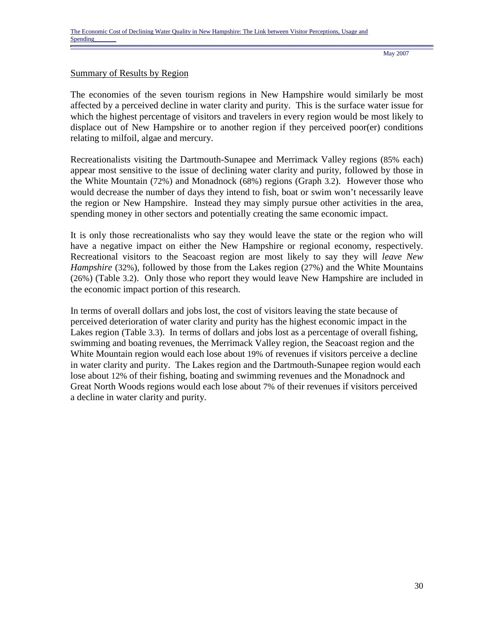#### Summary of Results by Region

The economies of the seven tourism regions in New Hampshire would similarly be most affected by a perceived decline in water clarity and purity. This is the surface water issue for which the highest percentage of visitors and travelers in every region would be most likely to displace out of New Hampshire or to another region if they perceived poor(er) conditions relating to milfoil, algae and mercury.

Recreationalists visiting the Dartmouth-Sunapee and Merrimack Valley regions (85% each) appear most sensitive to the issue of declining water clarity and purity, followed by those in the White Mountain (72%) and Monadnock (68%) regions (Graph 3.2). However those who would decrease the number of days they intend to fish, boat or swim won't necessarily leave the region or New Hampshire. Instead they may simply pursue other activities in the area, spending money in other sectors and potentially creating the same economic impact.

It is only those recreationalists who say they would leave the state or the region who will have a negative impact on either the New Hampshire or regional economy, respectively. Recreational visitors to the Seacoast region are most likely to say they will *leave New Hampshire* (32%), followed by those from the Lakes region (27%) and the White Mountains (26%) (Table 3.2). Only those who report they would leave New Hampshire are included in the economic impact portion of this research.

In terms of overall dollars and jobs lost, the cost of visitors leaving the state because of perceived deterioration of water clarity and purity has the highest economic impact in the Lakes region (Table 3.3). In terms of dollars and jobs lost as a percentage of overall fishing, swimming and boating revenues, the Merrimack Valley region, the Seacoast region and the White Mountain region would each lose about 19% of revenues if visitors perceive a decline in water clarity and purity. The Lakes region and the Dartmouth-Sunapee region would each lose about 12% of their fishing, boating and swimming revenues and the Monadnock and Great North Woods regions would each lose about 7% of their revenues if visitors perceived a decline in water clarity and purity.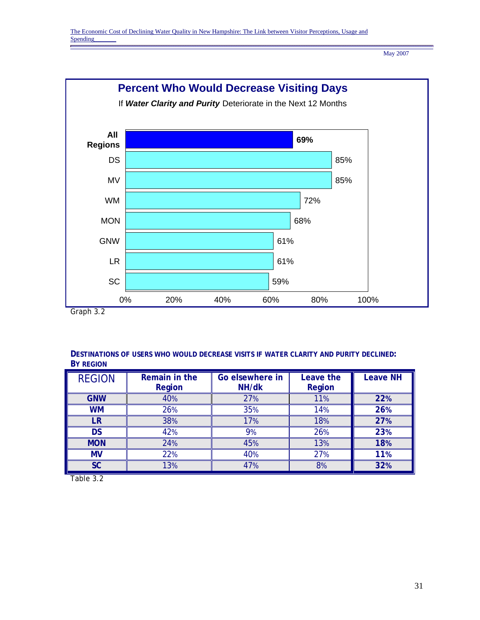

#### **DESTINATIONS OF USERS WHO WOULD DECREASE VISITS IF WATER CLARITY AND PURITY DECLINED: BY REGION**

| <b>REGION</b> | Remain in the<br><b>Region</b> | Go elsewhere in<br>NH/dk | Leave the<br><b>Region</b> | <b>Leave NH</b> |
|---------------|--------------------------------|--------------------------|----------------------------|-----------------|
| <b>GNW</b>    | 40%                            | 27%                      | 11%                        | 22%             |
| <b>WM</b>     | 26%                            | 35%                      | 14%                        | 26%             |
| LR            | 38%                            | 17%                      | 18%                        | 27%             |
| <b>DS</b>     | 42%                            | 9%                       | 26%                        | 23%             |
| <b>MON</b>    | 24%                            | 45%                      | 13%                        | 18%             |
| <b>MV</b>     | 22%                            | 40%                      | 27%                        | 11%             |
| <b>SC</b>     | 13%                            | 47%                      | 8%                         | 32%             |

Table 3.2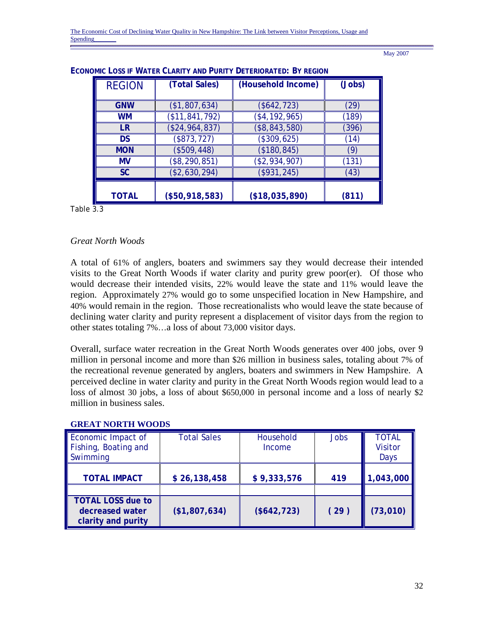| <b>REGION</b> | (Total Sales)    | (Household Income) | (Jobs) |
|---------------|------------------|--------------------|--------|
| <b>GNW</b>    | (\$1,807,634)    | $(\$642,723)$      | (29)   |
| WM            | (\$11, 841, 792) | (\$4, 192, 965)    | (189)  |
| LR            | \$24,964,837     | \$8,843,580        | (396)  |
| <b>DS</b>     | (\$873, 727)     | (\$309, 625)       | (14)   |
| <b>MON</b>    | \$509,448        | (\$180, 845)       | 9)     |
| ΜV            | (\$8, 290, 851)  | (\$2,934,907)      | (131)  |
| <b>SC</b>     | (\$2,630,294)    | (\$931, 245)       | (43)   |
| <b>TOTAL</b>  | (\$50,918,583)   | (\$18,035,890)     | (811)  |

|  |  |  | <b>ECONOMIC LOSS IF WATER CLARITY AND PURITY DETERIORATED: BY REGION</b> |  |
|--|--|--|--------------------------------------------------------------------------|--|
|  |  |  |                                                                          |  |

Table  $3.3$ 

#### *Great North Woods*

A total of 61% of anglers, boaters and swimmers say they would decrease their intended visits to the Great North Woods if water clarity and purity grew poor(er). Of those who would decrease their intended visits, 22% would leave the state and 11% would leave the region. Approximately 27% would go to some unspecified location in New Hampshire, and 40% would remain in the region. Those recreationalists who would leave the state because of declining water clarity and purity represent a displacement of visitor days from the region to other states totaling 7%…a loss of about 73,000 visitor days.

Overall, surface water recreation in the Great North Woods generates over 400 jobs, over 9 million in personal income and more than \$26 million in business sales, totaling about 7% of the recreational revenue generated by anglers, boaters and swimmers in New Hampshire. A perceived decline in water clarity and purity in the Great North Woods region would lead to a loss of almost 30 jobs, a loss of about \$650,000 in personal income and a loss of nearly \$2 million in business sales.

| Economic Impact of<br>Fishing, Boating and<br>Swimming            | <b>Total Sales</b> | Household<br>Income | <b>Jobs</b> | <b>TOTAL</b><br><b>Visitor</b><br>Days |
|-------------------------------------------------------------------|--------------------|---------------------|-------------|----------------------------------------|
| <b>TOTAL IMPACT</b>                                               | \$26,138,458       | \$9,333,576         | 419         | 1,043,000                              |
| <b>TOTAL LOSS due to</b><br>decreased water<br>clarity and purity | (\$1,807,634)      | (\$642, 723)        | (29)        | (73, 010)                              |

#### **GREAT NORTH WOODS**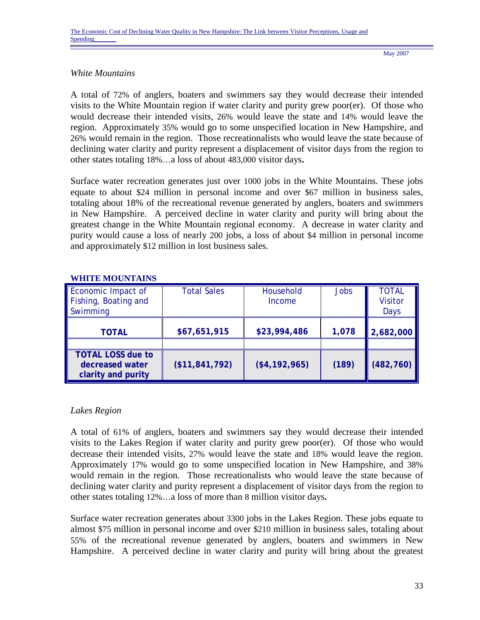#### *White Mountains*

A total of 72% of anglers, boaters and swimmers say they would decrease their intended visits to the White Mountain region if water clarity and purity grew poor(er). Of those who would decrease their intended visits, 26% would leave the state and 14% would leave the region. Approximately 35% would go to some unspecified location in New Hampshire, and 26% would remain in the region. Those recreationalists who would leave the state because of declining water clarity and purity represent a displacement of visitor days from the region to other states totaling 18%…a loss of about 483,000 visitor days**.**

Surface water recreation generates just over 1000 jobs in the White Mountains. These jobs equate to about \$24 million in personal income and over \$67 million in business sales, totaling about 18% of the recreational revenue generated by anglers, boaters and swimmers in New Hampshire. A perceived decline in water clarity and purity will bring about the greatest change in the White Mountain regional economy. A decrease in water clarity and purity would cause a loss of nearly 200 jobs, a loss of about \$4 million in personal income and approximately \$12 million in lost business sales.

| Economic Impact of<br>Fishing, Boating and<br>Swimming            | <b>Total Sales</b> | Household<br>Income | <b>Jobs</b> | <b>TOTAL</b><br><b>Visitor</b><br>Days |
|-------------------------------------------------------------------|--------------------|---------------------|-------------|----------------------------------------|
| <b>TOTAL</b>                                                      | \$67,651,915       | \$23,994,486        | 1,078       | 2,682,000                              |
| <b>TOTAL LOSS due to</b><br>decreased water<br>clarity and purity | (\$11,841,792)     | ( \$4, 192, 965)    | (189)       | (482, 760)                             |

#### **WHITE MOUNTAINS**

#### *Lakes Region*

A total of 61% of anglers, boaters and swimmers say they would decrease their intended visits to the Lakes Region if water clarity and purity grew poor(er). Of those who would decrease their intended visits, 27% would leave the state and 18% would leave the region. Approximately 17% would go to some unspecified location in New Hampshire, and 38% would remain in the region. Those recreationalists who would leave the state because of declining water clarity and purity represent a displacement of visitor days from the region to other states totaling 12%…a loss of more than 8 million visitor days**.**

Surface water recreation generates about 3300 jobs in the Lakes Region. These jobs equate to almost \$75 million in personal income and over \$210 million in business sales, totaling about 55% of the recreational revenue generated by anglers, boaters and swimmers in New Hampshire. A perceived decline in water clarity and purity will bring about the greatest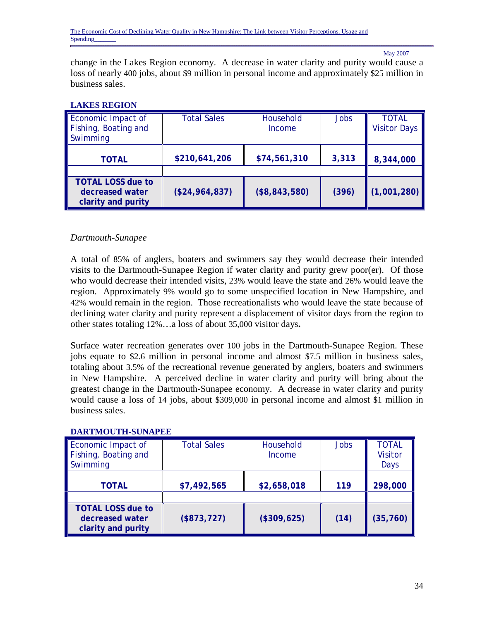change in the Lakes Region economy. A decrease in water clarity and purity would cause a loss of nearly 400 jobs, about \$9 million in personal income and approximately \$25 million in business sales.

| Economic Impact of<br>Fishing, Boating and<br>Swimming            | <b>Total Sales</b> | Household<br>Income | <b>Jobs</b> | <b>TOTAL</b><br><b>Visitor Days</b> |
|-------------------------------------------------------------------|--------------------|---------------------|-------------|-------------------------------------|
| <b>TOTAL</b>                                                      | \$210,641,206      | \$74,561,310        | 3,313       | 8,344,000                           |
| <b>TOTAL LOSS due to</b><br>decreased water<br>clarity and purity | (\$24,964,837)     | (\$8,843,580)       | (396)       | (1,001,280)                         |

#### **LAKES REGION**

#### *Dartmouth-Sunapee*

A total of 85% of anglers, boaters and swimmers say they would decrease their intended visits to the Dartmouth-Sunapee Region if water clarity and purity grew poor(er). Of those who would decrease their intended visits, 23% would leave the state and 26% would leave the region. Approximately 9% would go to some unspecified location in New Hampshire, and 42% would remain in the region. Those recreationalists who would leave the state because of declining water clarity and purity represent a displacement of visitor days from the region to other states totaling 12%…a loss of about 35,000 visitor days**.**

Surface water recreation generates over 100 jobs in the Dartmouth-Sunapee Region. These jobs equate to \$2.6 million in personal income and almost \$7.5 million in business sales, totaling about 3.5% of the recreational revenue generated by anglers, boaters and swimmers in New Hampshire. A perceived decline in water clarity and purity will bring about the greatest change in the Dartmouth-Sunapee economy. A decrease in water clarity and purity would cause a loss of 14 jobs, about \$309,000 in personal income and almost \$1 million in business sales.

| Economic Impact of<br>Fishing, Boating and<br>Swimming            | <b>Total Sales</b> | Household<br>Income | <b>Jobs</b> | <b>TOTAL</b><br><b>Visitor</b><br>Days |
|-------------------------------------------------------------------|--------------------|---------------------|-------------|----------------------------------------|
| <b>TOTAL</b>                                                      | \$7,492,565        | \$2,658,018         | 119         | 298,000                                |
| <b>TOTAL LOSS due to</b><br>decreased water<br>clarity and purity | (\$873,727)        | (\$309,625)         | (14)        | (35, 760)                              |

#### **DARTMOUTH-SUNAPEE**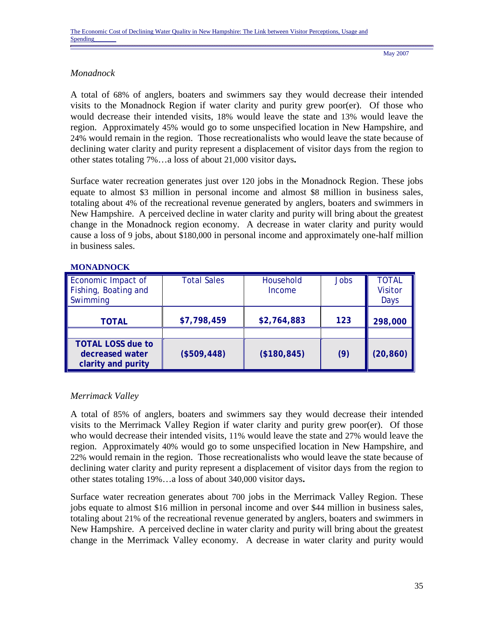#### *Monadnock*

A total of 68% of anglers, boaters and swimmers say they would decrease their intended visits to the Monadnock Region if water clarity and purity grew poor(er). Of those who would decrease their intended visits, 18% would leave the state and 13% would leave the region. Approximately 45% would go to some unspecified location in New Hampshire, and 24% would remain in the region. Those recreationalists who would leave the state because of declining water clarity and purity represent a displacement of visitor days from the region to other states totaling 7%…a loss of about 21,000 visitor days**.**

Surface water recreation generates just over 120 jobs in the Monadnock Region. These jobs equate to almost \$3 million in personal income and almost \$8 million in business sales, totaling about 4% of the recreational revenue generated by anglers, boaters and swimmers in New Hampshire. A perceived decline in water clarity and purity will bring about the greatest change in the Monadnock region economy. A decrease in water clarity and purity would cause a loss of 9 jobs, about \$180,000 in personal income and approximately one-half million in business sales.

#### **MONADNOCK**

| Economic Impact of<br>Fishing, Boating and<br>Swimming            | <b>Total Sales</b> | Household<br>Income | <b>Jobs</b> | <b>TOTAL</b><br><b>Visitor</b><br>Days |
|-------------------------------------------------------------------|--------------------|---------------------|-------------|----------------------------------------|
| <b>TOTAL</b>                                                      | \$7,798,459        | \$2,764,883         | 123         | 298,000                                |
| <b>TOTAL LOSS due to</b><br>decreased water<br>clarity and purity | (\$509, 448)       | (\$180, 845)        | (9)         | (20, 860)                              |

#### *Merrimack Valley*

A total of 85% of anglers, boaters and swimmers say they would decrease their intended visits to the Merrimack Valley Region if water clarity and purity grew poor(er). Of those who would decrease their intended visits, 11% would leave the state and 27% would leave the region. Approximately 40% would go to some unspecified location in New Hampshire, and 22% would remain in the region. Those recreationalists who would leave the state because of declining water clarity and purity represent a displacement of visitor days from the region to other states totaling 19%…a loss of about 340,000 visitor days**.**

Surface water recreation generates about 700 jobs in the Merrimack Valley Region. These jobs equate to almost \$16 million in personal income and over \$44 million in business sales, totaling about 21% of the recreational revenue generated by anglers, boaters and swimmers in New Hampshire. A perceived decline in water clarity and purity will bring about the greatest change in the Merrimack Valley economy. A decrease in water clarity and purity would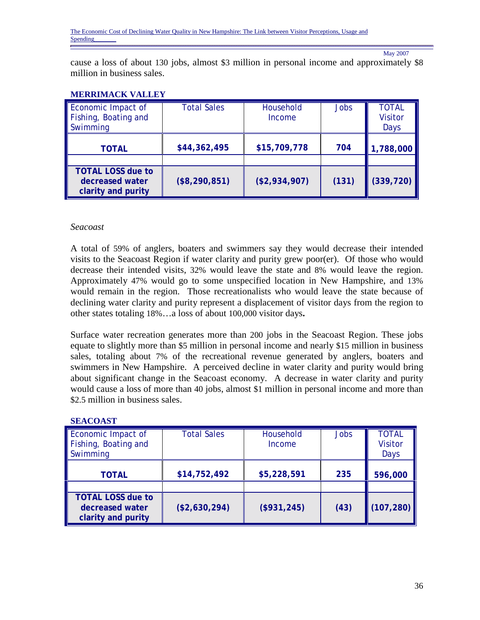cause a loss of about 130 jobs, almost \$3 million in personal income and approximately \$8 million in business sales.

| Economic Impact of<br>Fishing, Boating and<br>Swimming            | <b>Total Sales</b> | Household<br>Income | <b>Jobs</b> | <b>TOTAL</b><br><b>Visitor</b><br>Days |
|-------------------------------------------------------------------|--------------------|---------------------|-------------|----------------------------------------|
| <b>TOTAL</b>                                                      | \$44,362,495       | \$15,709,778        | 704         | 1,788,000                              |
| <b>TOTAL LOSS due to</b><br>decreased water<br>clarity and purity | (\$8,290,851)      | (\$2,934,907)       | (131)       | (339, 720)                             |

#### **MERRIMACK VALLEY**

#### *Seacoast*

**SEACOAST**

A total of 59% of anglers, boaters and swimmers say they would decrease their intended visits to the Seacoast Region if water clarity and purity grew poor(er). Of those who would decrease their intended visits, 32% would leave the state and 8% would leave the region. Approximately 47% would go to some unspecified location in New Hampshire, and 13% would remain in the region. Those recreationalists who would leave the state because of declining water clarity and purity represent a displacement of visitor days from the region to other states totaling 18%…a loss of about 100,000 visitor days**.**

Surface water recreation generates more than 200 jobs in the Seacoast Region. These jobs equate to slightly more than \$5 million in personal income and nearly \$15 million in business sales, totaling about 7% of the recreational revenue generated by anglers, boaters and swimmers in New Hampshire. A perceived decline in water clarity and purity would bring about significant change in the Seacoast economy. A decrease in water clarity and purity would cause a loss of more than 40 jobs, almost \$1 million in personal income and more than \$2.5 million in business sales.

| <b>SLACUASI</b>                                                   |                    |                     |             |                                        |
|-------------------------------------------------------------------|--------------------|---------------------|-------------|----------------------------------------|
| Economic Impact of<br>Fishing, Boating and<br>Swimming            | <b>Total Sales</b> | Household<br>Income | <b>Jobs</b> | <b>TOTAL</b><br><b>Visitor</b><br>Days |
| TOTAL                                                             | \$14,752,492       | \$5,228,591         | 235         | 596,000                                |
|                                                                   |                    |                     |             |                                        |
| <b>TOTAL LOSS due to</b><br>decreased water<br>clarity and purity | (\$2,630,294)      | (\$931, 245)        | (43)        | (107, 280)                             |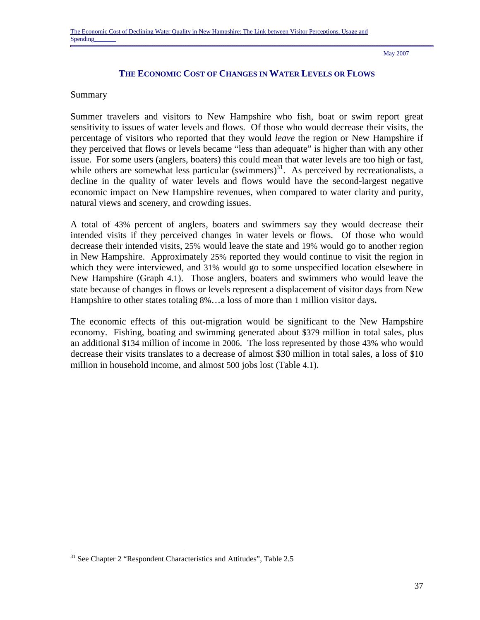## **THE ECONOMIC COST OF CHANGES IN WATER LEVELS OR FLOWS**

#### Summary

1

Summer travelers and visitors to New Hampshire who fish, boat or swim report great sensitivity to issues of water levels and flows. Of those who would decrease their visits, the percentage of visitors who reported that they would *leave* the region or New Hampshire if they perceived that flows or levels became "less than adequate" is higher than with any other issue. For some users (anglers, boaters) this could mean that water levels are too high or fast, while others are somewhat less particular (swimmers)<sup>31</sup>. As perceived by recreationalists, a decline in the quality of water levels and flows would have the second-largest negative economic impact on New Hampshire revenues, when compared to water clarity and purity, natural views and scenery, and crowding issues.

A total of 43% percent of anglers, boaters and swimmers say they would decrease their intended visits if they perceived changes in water levels or flows. Of those who would decrease their intended visits, 25% would leave the state and 19% would go to another region in New Hampshire. Approximately 25% reported they would continue to visit the region in which they were interviewed, and 31% would go to some unspecified location elsewhere in New Hampshire (Graph 4.1). Those anglers, boaters and swimmers who would leave the state because of changes in flows or levels represent a displacement of visitor days from New Hampshire to other states totaling 8%…a loss of more than 1 million visitor days**.**

The economic effects of this out-migration would be significant to the New Hampshire economy. Fishing, boating and swimming generated about \$379 million in total sales, plus an additional \$134 million of income in 2006. The loss represented by those 43% who would decrease their visits translates to a decrease of almost \$30 million in total sales, a loss of \$10 million in household income, and almost 500 jobs lost (Table 4.1).

<sup>&</sup>lt;sup>31</sup> See Chapter 2 "Respondent Characteristics and Attitudes", Table 2.5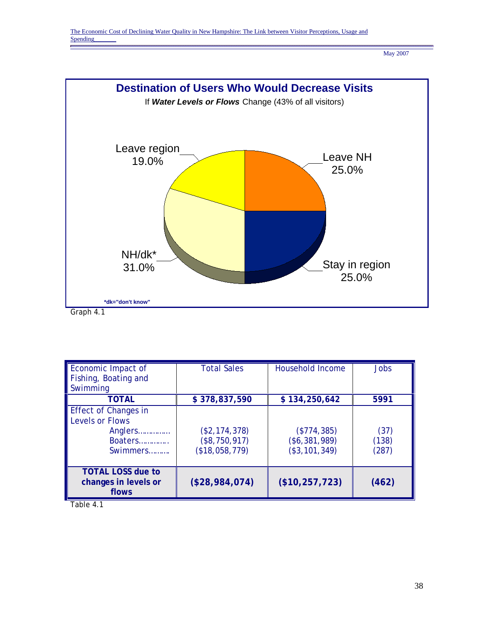

| Economic Impact of<br>Fishing, Boating and<br>Swimming                           | <b>Total Sales</b>                                 | Household Income                                 | <b>Jobs</b>            |
|----------------------------------------------------------------------------------|----------------------------------------------------|--------------------------------------------------|------------------------|
| <b>TOTAL</b>                                                                     | \$378,837,590                                      | \$134,250,642                                    | 5991                   |
| <b>Effect of Changes in</b><br>Levels or Flows<br>Anglers<br>Boaters<br>Swimmers | (\$2, 174, 378)<br>(\$8,750,917)<br>(\$18,058,779) | (\$774, 385)<br>(\$6,381,989)<br>(\$3, 101, 349) | (37)<br>(138)<br>(287) |
| <b>TOTAL LOSS due to</b><br>changes in levels or<br>flows                        | (\$28,984,074)                                     | (\$10, 257, 723)                                 | (462)                  |

Table 4.1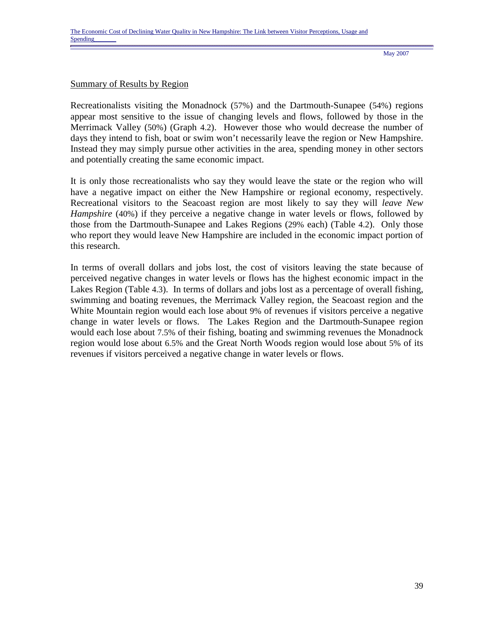## Summary of Results by Region

Recreationalists visiting the Monadnock (57%) and the Dartmouth-Sunapee (54%) regions appear most sensitive to the issue of changing levels and flows, followed by those in the Merrimack Valley (50%) (Graph 4.2). However those who would decrease the number of days they intend to fish, boat or swim won't necessarily leave the region or New Hampshire. Instead they may simply pursue other activities in the area, spending money in other sectors and potentially creating the same economic impact.

It is only those recreationalists who say they would leave the state or the region who will have a negative impact on either the New Hampshire or regional economy, respectively. Recreational visitors to the Seacoast region are most likely to say they will *leave New Hampshire* (40%) if they perceive a negative change in water levels or flows, followed by those from the Dartmouth-Sunapee and Lakes Regions (29% each) (Table 4.2). Only those who report they would leave New Hampshire are included in the economic impact portion of this research.

In terms of overall dollars and jobs lost, the cost of visitors leaving the state because of perceived negative changes in water levels or flows has the highest economic impact in the Lakes Region (Table 4.3). In terms of dollars and jobs lost as a percentage of overall fishing, swimming and boating revenues, the Merrimack Valley region, the Seacoast region and the White Mountain region would each lose about 9% of revenues if visitors perceive a negative change in water levels or flows. The Lakes Region and the Dartmouth-Sunapee region would each lose about 7.5% of their fishing, boating and swimming revenues the Monadnock region would lose about 6.5% and the Great North Woods region would lose about 5% of its revenues if visitors perceived a negative change in water levels or flows.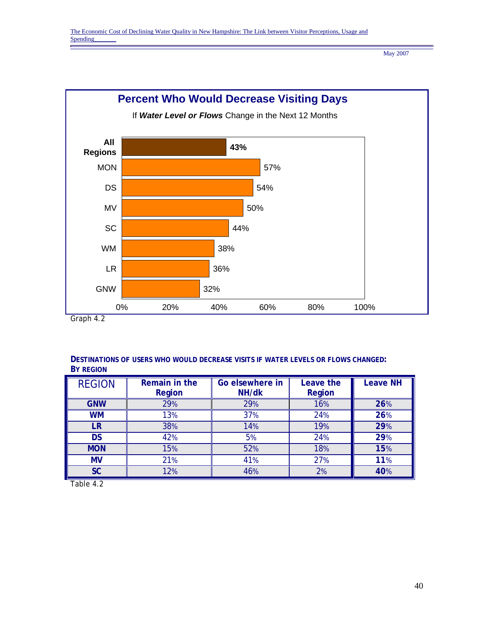

Graph 4.2

## **DESTINATIONS OF USERS WHO WOULD DECREASE VISITS IF WATER LEVELS OR FLOWS CHANGED: BY REGION**

| <b>REGION</b> | Remain in the<br><b>Region</b> | Go elsewhere in<br>NH/dk | Leave the<br><b>Region</b> | <b>Leave NH</b> |
|---------------|--------------------------------|--------------------------|----------------------------|-----------------|
| <b>GNW</b>    | 29%                            | 29%                      | 16%                        | 26%             |
| <b>WM</b>     | 13%                            | 37%                      | 24%                        | 26%             |
| LR            | 38%                            | 14%                      | 19%                        | 29%             |
| <b>DS</b>     | 42%                            | 5%                       | 24%                        | 29%             |
| <b>MON</b>    | 15%                            | 52%                      | 18%                        | 15%             |
| <b>MV</b>     | 21%                            | 41%                      | 27%                        | 11%             |
| SC            | 12%                            | 46%                      | 2%                         | 40%             |

Table 4.2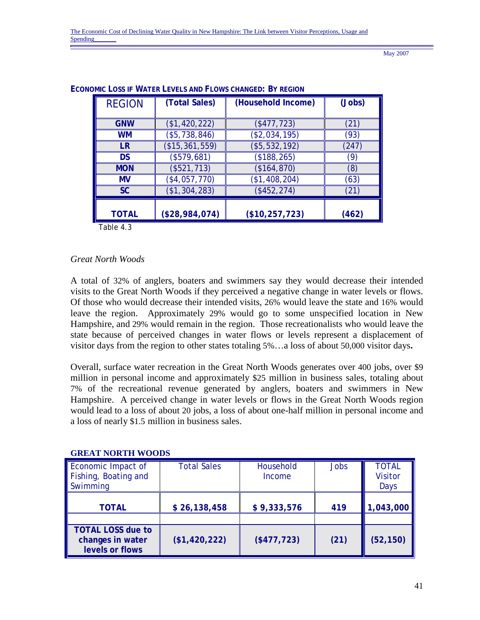| <b>REGION</b> | (Total Sales)  | (Household Income) | (Jobs) |
|---------------|----------------|--------------------|--------|
|               |                |                    |        |
| <b>GNW</b>    | (\$1,420,222)  | $($ \$477,723)     | (21    |
| <b>WM</b>     | (\$5,738,846)  | (\$2,034,195)      | (93)   |
| <b>LR</b>     | (\$15,361,559) | (\$5,532,192)      | (247)  |
| <b>DS</b>     | (\$579,681)    | (\$188, 265)       | (9     |
| <b>MON</b>    | (\$521, 713)   | (\$164, 870)       | (8)    |
| <b>MV</b>     | (\$4,057,770)  | (\$1,408,204)      | (63)   |
| <b>SC</b>     | (\$1,304,283)  | $(*452, 274)$      | (21    |
|               |                |                    |        |
| <b>TOTAL</b>  | (\$28,984,074) | (\$10, 257, 723)   | (462)  |

#### **ECONOMIC LOSS IF WATER LEVELS AND FLOWS CHANGED: BY REGION**

Table 4.3

## *Great North Woods*

A total of 32% of anglers, boaters and swimmers say they would decrease their intended visits to the Great North Woods if they perceived a negative change in water levels or flows. Of those who would decrease their intended visits, 26% would leave the state and 16% would leave the region. Approximately 29% would go to some unspecified location in New Hampshire, and 29% would remain in the region. Those recreationalists who would leave the state because of perceived changes in water flows or levels represent a displacement of visitor days from the region to other states totaling 5%…a loss of about 50,000 visitor days**.**

Overall, surface water recreation in the Great North Woods generates over 400 jobs, over \$9 million in personal income and approximately \$25 million in business sales, totaling about 7% of the recreational revenue generated by anglers, boaters and swimmers in New Hampshire. A perceived change in water levels or flows in the Great North Woods region would lead to a loss of about 20 jobs, a loss of about one-half million in personal income and a loss of nearly \$1.5 million in business sales.

| Economic Impact of<br>Fishing, Boating and<br>Swimming          | <b>Total Sales</b> | Household<br>Income | <b>Jobs</b> | <b>TOTAL</b><br><b>Visitor</b><br>Days |
|-----------------------------------------------------------------|--------------------|---------------------|-------------|----------------------------------------|
| <b>TOTAL</b>                                                    | \$26,138,458       | \$9,333,576         | 419         | 1,043,000                              |
| <b>TOTAL LOSS due to</b><br>changes in water<br>levels or flows | (\$1,420,222)      | (\$477,723)         | (21)        | (52, 150)                              |

## **GREAT NORTH WOODS**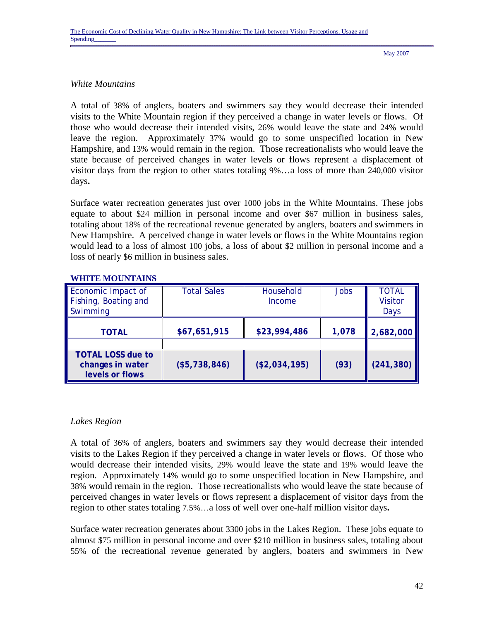## *White Mountains*

A total of 38% of anglers, boaters and swimmers say they would decrease their intended visits to the White Mountain region if they perceived a change in water levels or flows. Of those who would decrease their intended visits, 26% would leave the state and 24% would leave the region. Approximately 37% would go to some unspecified location in New Hampshire, and 13% would remain in the region. Those recreationalists who would leave the state because of perceived changes in water levels or flows represent a displacement of visitor days from the region to other states totaling 9%…a loss of more than 240,000 visitor days**.**

Surface water recreation generates just over 1000 jobs in the White Mountains. These jobs equate to about \$24 million in personal income and over \$67 million in business sales, totaling about 18% of the recreational revenue generated by anglers, boaters and swimmers in New Hampshire. A perceived change in water levels or flows in the White Mountains region would lead to a loss of almost 100 jobs, a loss of about \$2 million in personal income and a loss of nearly \$6 million in business sales.

| Economic Impact of<br>Fishing, Boating and<br>Swimming          | <b>Total Sales</b> | Household<br>Income | <b>Jobs</b> | <b>TOTAL</b><br><b>Visitor</b><br>Days |
|-----------------------------------------------------------------|--------------------|---------------------|-------------|----------------------------------------|
| <b>TOTAL</b>                                                    | \$67,651,915       | \$23,994,486        | 1,078       | 2,682,000                              |
| <b>TOTAL LOSS due to</b><br>changes in water<br>levels or flows | (\$5,738,846)      | (\$2,034,195)       | (93)        | (241, 380)                             |

## **WHITE MOUNTAINS**

## *Lakes Region*

A total of 36% of anglers, boaters and swimmers say they would decrease their intended visits to the Lakes Region if they perceived a change in water levels or flows. Of those who would decrease their intended visits, 29% would leave the state and 19% would leave the region. Approximately 14% would go to some unspecified location in New Hampshire, and 38% would remain in the region. Those recreationalists who would leave the state because of perceived changes in water levels or flows represent a displacement of visitor days from the region to other states totaling 7.5%…a loss of well over one-half million visitor days**.**

Surface water recreation generates about 3300 jobs in the Lakes Region. These jobs equate to almost \$75 million in personal income and over \$210 million in business sales, totaling about 55% of the recreational revenue generated by anglers, boaters and swimmers in New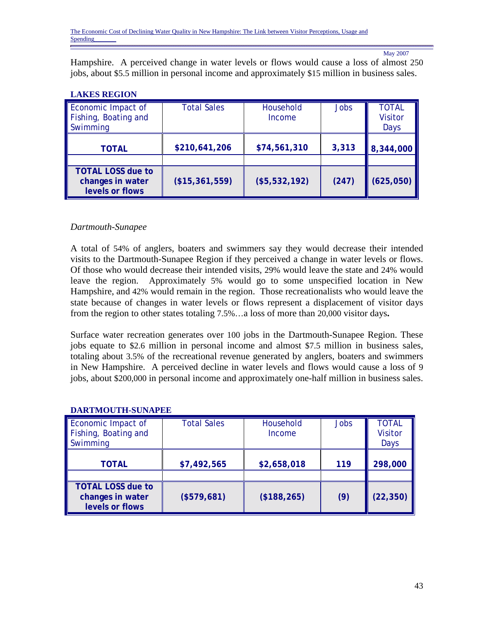Hampshire. A perceived change in water levels or flows would cause a loss of almost 250 jobs, about \$5.5 million in personal income and approximately \$15 million in business sales.

| LAINLO INFORM                                                   |                    |                     |             |                                        |
|-----------------------------------------------------------------|--------------------|---------------------|-------------|----------------------------------------|
| Economic Impact of<br>Fishing, Boating and<br>Swimming          | <b>Total Sales</b> | Household<br>Income | <b>Jobs</b> | <b>TOTAL</b><br><b>Visitor</b><br>Days |
| <b>TOTAL</b>                                                    | \$210,641,206      | \$74,561,310        | 3,313       | 8,344,000                              |
|                                                                 |                    |                     |             |                                        |
| <b>TOTAL LOSS due to</b><br>changes in water<br>levels or flows | (\$15,361,559)     | (\$5,532,192)       | (247)       | (625,050)                              |

## **LAKES REGION**

## *Dartmouth-Sunapee*

A total of 54% of anglers, boaters and swimmers say they would decrease their intended visits to the Dartmouth-Sunapee Region if they perceived a change in water levels or flows. Of those who would decrease their intended visits, 29% would leave the state and 24% would leave the region. Approximately 5% would go to some unspecified location in New Hampshire, and 42% would remain in the region. Those recreationalists who would leave the state because of changes in water levels or flows represent a displacement of visitor days from the region to other states totaling 7.5%…a loss of more than 20,000 visitor days**.**

Surface water recreation generates over 100 jobs in the Dartmouth-Sunapee Region. These jobs equate to \$2.6 million in personal income and almost \$7.5 million in business sales, totaling about 3.5% of the recreational revenue generated by anglers, boaters and swimmers in New Hampshire. A perceived decline in water levels and flows would cause a loss of 9 jobs, about \$200,000 in personal income and approximately one-half million in business sales.

| Economic Impact of<br>Fishing, Boating and<br>Swimming          | <b>Total Sales</b> | Household<br>Income | <b>Jobs</b> | <b>TOTAL</b><br><b>Visitor</b><br>Days |
|-----------------------------------------------------------------|--------------------|---------------------|-------------|----------------------------------------|
| <b>TOTAL</b>                                                    | \$7,492,565        | \$2,658,018         | 119         | 298,000                                |
| <b>TOTAL LOSS due to</b><br>changes in water<br>levels or flows | (\$579,681)        | (\$188, 265)        | (9)         | (22, 350)                              |

## **DARTMOUTH-SUNAPEE**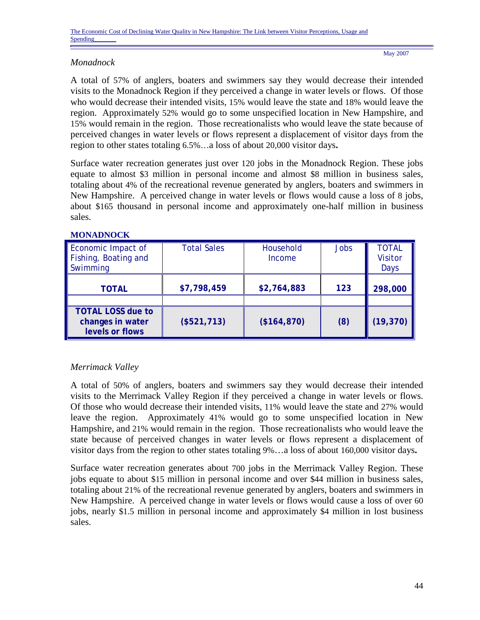## *Monadnock*

A total of 57% of anglers, boaters and swimmers say they would decrease their intended visits to the Monadnock Region if they perceived a change in water levels or flows. Of those who would decrease their intended visits, 15% would leave the state and 18% would leave the region. Approximately 52% would go to some unspecified location in New Hampshire, and 15% would remain in the region. Those recreationalists who would leave the state because of perceived changes in water levels or flows represent a displacement of visitor days from the region to other states totaling 6.5%…a loss of about 20,000 visitor days**.**

Surface water recreation generates just over 120 jobs in the Monadnock Region. These jobs equate to almost \$3 million in personal income and almost \$8 million in business sales, totaling about 4% of the recreational revenue generated by anglers, boaters and swimmers in New Hampshire. A perceived change in water levels or flows would cause a loss of 8 jobs, about \$165 thousand in personal income and approximately one-half million in business sales.

| Economic Impact of<br>Fishing, Boating and<br>Swimming          | <b>Total Sales</b> | Household<br>Income | <b>Jobs</b> | <b>TOTAL</b><br><b>Visitor</b><br>Days |
|-----------------------------------------------------------------|--------------------|---------------------|-------------|----------------------------------------|
| <b>TOTAL</b>                                                    | \$7,798,459        | \$2,764,883         | 123         | 298,000                                |
| <b>TOTAL LOSS due to</b><br>changes in water<br>levels or flows | (\$521,713)        | (\$164, 870)        | (8)         | (19, 370)                              |

## **MONADNOCK**

# *Merrimack Valley*

A total of 50% of anglers, boaters and swimmers say they would decrease their intended visits to the Merrimack Valley Region if they perceived a change in water levels or flows. Of those who would decrease their intended visits, 11% would leave the state and 27% would leave the region. Approximately 41% would go to some unspecified location in New Hampshire, and 21% would remain in the region. Those recreationalists who would leave the state because of perceived changes in water levels or flows represent a displacement of visitor days from the region to other states totaling 9%…a loss of about 160,000 visitor days**.**

Surface water recreation generates about 700 jobs in the Merrimack Valley Region. These jobs equate to about \$15 million in personal income and over \$44 million in business sales, totaling about 21% of the recreational revenue generated by anglers, boaters and swimmers in New Hampshire. A perceived change in water levels or flows would cause a loss of over 60 jobs, nearly \$1.5 million in personal income and approximately \$4 million in lost business sales.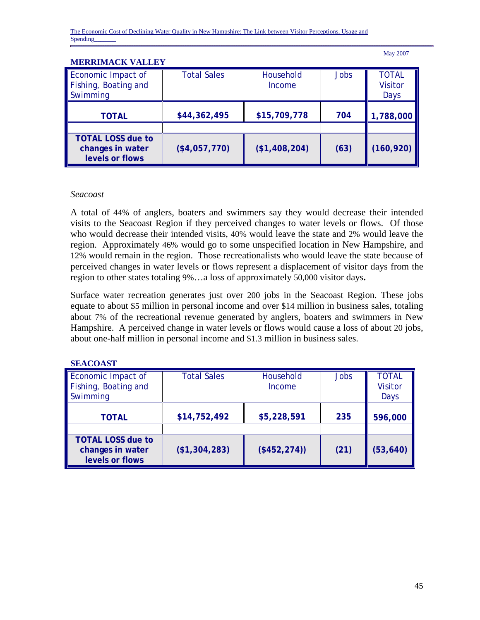The Economic Cost of Declining Water Quality in New Hampshire: The Link between Visitor Perceptions, Usage and Spending

| <b>May 2007</b><br><b>MERRIMACK VALLEY</b>                      |                    |                     |             |                                        |
|-----------------------------------------------------------------|--------------------|---------------------|-------------|----------------------------------------|
| Economic Impact of<br>Fishing, Boating and<br>Swimming          | <b>Total Sales</b> | Household<br>Income | <b>Jobs</b> | <b>TOTAL</b><br><b>Visitor</b><br>Days |
| <b>TOTAL</b>                                                    | \$44,362,495       | \$15,709,778        | 704         | 1,788,000                              |
|                                                                 |                    |                     |             |                                        |
| <b>TOTAL LOSS due to</b><br>changes in water<br>levels or flows | (\$4,057,770)      | (\$1,408,204)       | (63)        | (160, 920)                             |

## *Seacoast*

A total of 44% of anglers, boaters and swimmers say they would decrease their intended visits to the Seacoast Region if they perceived changes to water levels or flows. Of those who would decrease their intended visits, 40% would leave the state and 2% would leave the region. Approximately 46% would go to some unspecified location in New Hampshire, and 12% would remain in the region. Those recreationalists who would leave the state because of perceived changes in water levels or flows represent a displacement of visitor days from the region to other states totaling 9%…a loss of approximately 50,000 visitor days**.**

Surface water recreation generates just over 200 jobs in the Seacoast Region. These jobs equate to about \$5 million in personal income and over \$14 million in business sales, totaling about 7% of the recreational revenue generated by anglers, boaters and swimmers in New Hampshire. A perceived change in water levels or flows would cause a loss of about 20 jobs, about one-half million in personal income and \$1.3 million in business sales.

| DLAUUAD 1                                                       |                    |                            |             |                                        |
|-----------------------------------------------------------------|--------------------|----------------------------|-------------|----------------------------------------|
| Economic Impact of<br>Fishing, Boating and<br>Swimming          | <b>Total Sales</b> | <b>Household</b><br>Income | <b>Jobs</b> | <b>TOTAL</b><br><b>Visitor</b><br>Days |
| <b>TOTAL</b>                                                    | \$14,752,492       | \$5,228,591                | 235         | 596,000                                |
|                                                                 |                    |                            |             |                                        |
| <b>TOTAL LOSS due to</b><br>changes in water<br>levels or flows | (\$1,304,283)      | (\$452, 274))              | (21)        | (53, 640)                              |

## **SEACOAST**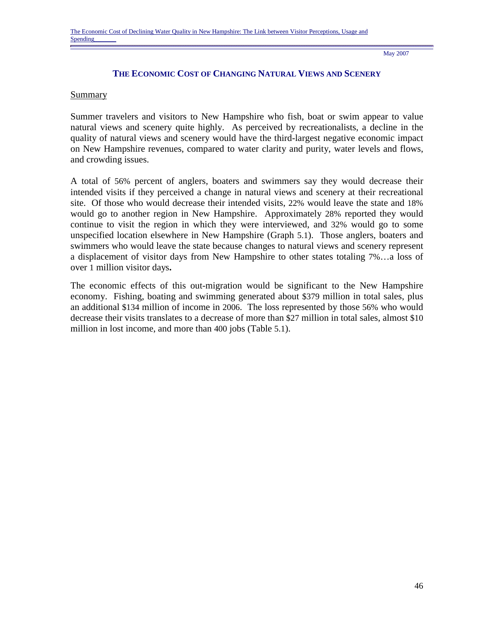## **THE ECONOMIC COST OF CHANGING NATURAL VIEWS AND SCENERY**

#### Summary

Summer travelers and visitors to New Hampshire who fish, boat or swim appear to value natural views and scenery quite highly. As perceived by recreationalists, a decline in the quality of natural views and scenery would have the third-largest negative economic impact on New Hampshire revenues, compared to water clarity and purity, water levels and flows, and crowding issues.

A total of 56% percent of anglers, boaters and swimmers say they would decrease their intended visits if they perceived a change in natural views and scenery at their recreational site. Of those who would decrease their intended visits, 22% would leave the state and 18% would go to another region in New Hampshire. Approximately 28% reported they would continue to visit the region in which they were interviewed, and 32% would go to some unspecified location elsewhere in New Hampshire (Graph 5.1). Those anglers, boaters and swimmers who would leave the state because changes to natural views and scenery represent a displacement of visitor days from New Hampshire to other states totaling 7%…a loss of over 1 million visitor days**.**

The economic effects of this out-migration would be significant to the New Hampshire economy. Fishing, boating and swimming generated about \$379 million in total sales, plus an additional \$134 million of income in 2006. The loss represented by those 56% who would decrease their visits translates to a decrease of more than \$27 million in total sales, almost \$10 million in lost income, and more than 400 jobs (Table 5.1).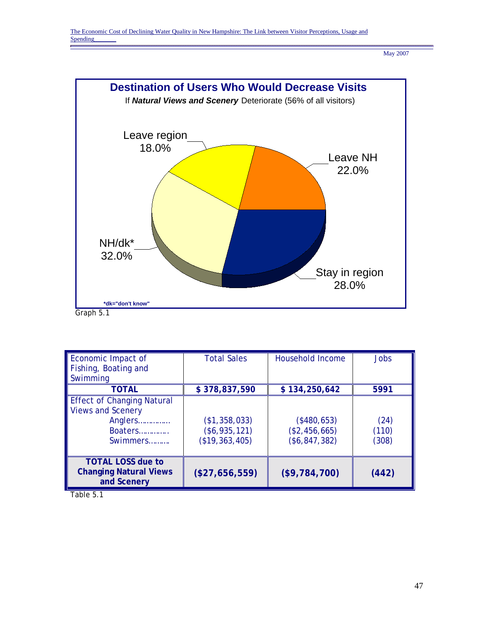

| Economic Impact of            | <b>Total Sales</b> | Household Income | <b>Jobs</b> |
|-------------------------------|--------------------|------------------|-------------|
| Fishing, Boating and          |                    |                  |             |
| Swimming                      |                    |                  |             |
| <b>TOTAL</b>                  | \$378,837,590      | \$134,250,642    | 5991        |
| Effect of Changing Natural    |                    |                  |             |
| <b>Views and Scenery</b>      |                    |                  |             |
| Anglers                       | (\$1,358,033)      | (\$480,653)      | (24)        |
| Boaters                       | $($ \$6,935,121)   | (\$2,456,665)    | (110)       |
| Swimmers                      | (\$19,363,405)     | (\$6, 847, 382)  | (308)       |
|                               |                    |                  |             |
| <b>TOTAL LOSS due to</b>      |                    |                  |             |
| <b>Changing Natural Views</b> | (\$27,656,559)     | (\$9,784,700)    | (442)       |
| and Scenery                   |                    |                  |             |
|                               |                    |                  |             |

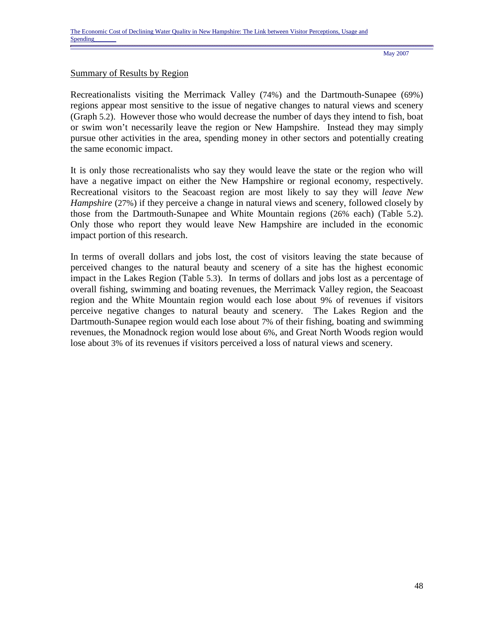## Summary of Results by Region

Recreationalists visiting the Merrimack Valley (74%) and the Dartmouth-Sunapee (69%) regions appear most sensitive to the issue of negative changes to natural views and scenery (Graph 5.2). However those who would decrease the number of days they intend to fish, boat or swim won't necessarily leave the region or New Hampshire. Instead they may simply pursue other activities in the area, spending money in other sectors and potentially creating the same economic impact.

It is only those recreationalists who say they would leave the state or the region who will have a negative impact on either the New Hampshire or regional economy, respectively. Recreational visitors to the Seacoast region are most likely to say they will *leave New Hampshire* (27%) if they perceive a change in natural views and scenery, followed closely by those from the Dartmouth-Sunapee and White Mountain regions (26% each) (Table 5.2). Only those who report they would leave New Hampshire are included in the economic impact portion of this research.

In terms of overall dollars and jobs lost, the cost of visitors leaving the state because of perceived changes to the natural beauty and scenery of a site has the highest economic impact in the Lakes Region (Table 5.3). In terms of dollars and jobs lost as a percentage of overall fishing, swimming and boating revenues, the Merrimack Valley region, the Seacoast region and the White Mountain region would each lose about 9% of revenues if visitors perceive negative changes to natural beauty and scenery. The Lakes Region and the Dartmouth-Sunapee region would each lose about 7% of their fishing, boating and swimming revenues, the Monadnock region would lose about 6%, and Great North Woods region would lose about 3% of its revenues if visitors perceived a loss of natural views and scenery.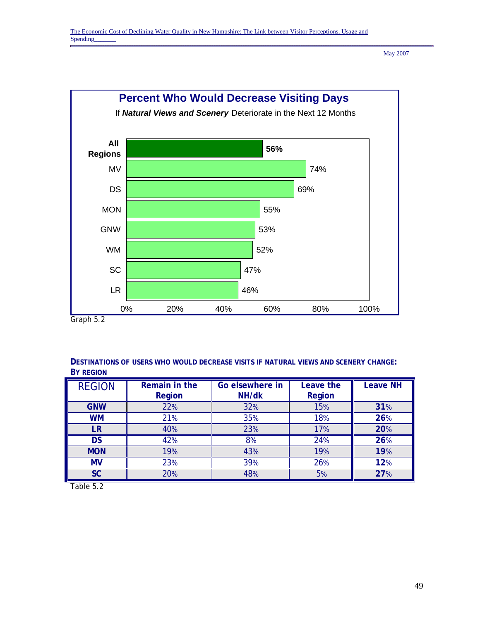

## **DESTINATIONS OF USERS WHO WOULD DECREASE VISITS IF NATURAL VIEWS AND SCENERY CHANGE: BY REGION**

| <b>REGION</b> | Remain in the<br>Region | Go elsewhere in<br>NH/dk | Leave the<br><b>Region</b> | <b>Leave NH</b> |
|---------------|-------------------------|--------------------------|----------------------------|-----------------|
| <b>GNW</b>    | 22%                     | 32%                      | 15%                        | 31%             |
| <b>WM</b>     | 21%                     | 35%                      | 18%                        | 26%             |
| LR            | 40%                     | 23%                      | 17%                        | 20%             |
| <b>DS</b>     | 42%                     | 8%                       | 24%                        | 26%             |
| <b>MON</b>    | 19%                     | 43%                      | 19%                        | 19%             |
| <b>MV</b>     | 23%                     | 39%                      | 26%                        | 12%             |
| <b>SC</b>     | 20%                     | 48%                      | 5%                         | 27%             |

Table 5.2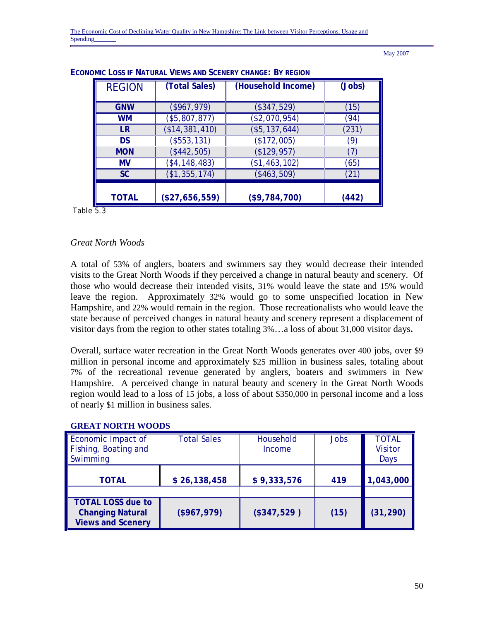| <b>REGION</b> | (Total Sales)    | (Household Income) | (Jobs) |
|---------------|------------------|--------------------|--------|
| <b>GNW</b>    | (\$967,979)      | $(\$347,529)$      | (15)   |
| <b>WM</b>     | (\$5,807,877)    | (\$2,070,954)      | (94)   |
| <b>LR</b>     | (\$14,381,410)   | (\$5, 137, 644)    | (231)  |
| <b>DS</b>     | $($ \$553,131)   | (\$172,005)        | (9)    |
| <b>MON</b>    | (\$442,505)      | $(\$129,957)$      |        |
| <b>MV</b>     | \$4,148,483)     | (\$1,463,102)      | (65)   |
| <b>SC</b>     | $($ \$1,355,174) | $(*463,509)$       | (21)   |
| <b>TOTAL</b>  | (\$27,656,559)   | (\$9,784,700)      | (442)  |

#### **ECONOMIC LOSS IF NATURAL VIEWS AND SCENERY CHANGE: BY REGION**

Table 5.3

## *Great North Woods*

A total of 53% of anglers, boaters and swimmers say they would decrease their intended visits to the Great North Woods if they perceived a change in natural beauty and scenery. Of those who would decrease their intended visits, 31% would leave the state and 15% would leave the region. Approximately 32% would go to some unspecified location in New Hampshire, and 22% would remain in the region. Those recreationalists who would leave the state because of perceived changes in natural beauty and scenery represent a displacement of visitor days from the region to other states totaling 3%…a loss of about 31,000 visitor days**.**

Overall, surface water recreation in the Great North Woods generates over 400 jobs, over \$9 million in personal income and approximately \$25 million in business sales, totaling about 7% of the recreational revenue generated by anglers, boaters and swimmers in New Hampshire. A perceived change in natural beauty and scenery in the Great North Woods region would lead to a loss of 15 jobs, a loss of about \$350,000 in personal income and a loss of nearly \$1 million in business sales.

| Economic Impact of<br>Fishing, Boating and<br>Swimming                          | <b>Total Sales</b> | Household<br>Income | <b>Jobs</b> | <b>TOTAL</b><br><b>Visitor</b><br>Days |
|---------------------------------------------------------------------------------|--------------------|---------------------|-------------|----------------------------------------|
| <b>TOTAL</b>                                                                    | \$26,138,458       | \$9,333,576         | 419         | 1,043,000                              |
| <b>TOTAL LOSS due to</b><br><b>Changing Natural</b><br><b>Views and Scenery</b> | (\$967,979)        | (\$347,529)         | (15)        | (31, 290)                              |

#### **GREAT NORTH WOODS**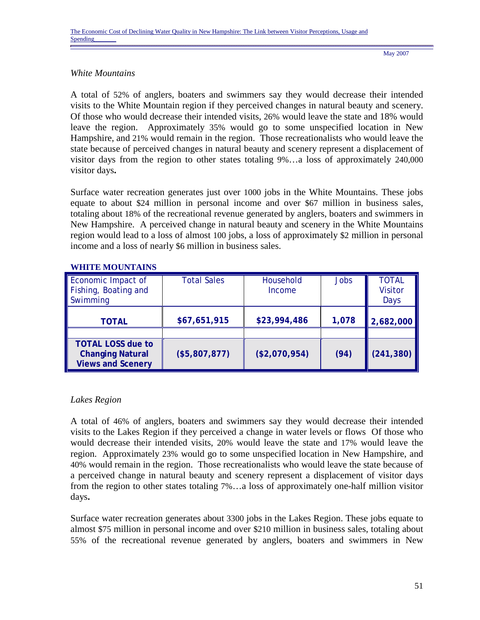## *White Mountains*

A total of 52% of anglers, boaters and swimmers say they would decrease their intended visits to the White Mountain region if they perceived changes in natural beauty and scenery. Of those who would decrease their intended visits, 26% would leave the state and 18% would leave the region. Approximately 35% would go to some unspecified location in New Hampshire, and 21% would remain in the region. Those recreationalists who would leave the state because of perceived changes in natural beauty and scenery represent a displacement of visitor days from the region to other states totaling 9%…a loss of approximately 240,000 visitor days**.**

Surface water recreation generates just over 1000 jobs in the White Mountains. These jobs equate to about \$24 million in personal income and over \$67 million in business sales, totaling about 18% of the recreational revenue generated by anglers, boaters and swimmers in New Hampshire. A perceived change in natural beauty and scenery in the White Mountains region would lead to a loss of almost 100 jobs, a loss of approximately \$2 million in personal income and a loss of nearly \$6 million in business sales.

| Economic Impact of<br>Fishing, Boating and<br>Swimming                          | <b>Total Sales</b> | Household<br>Income | <b>Jobs</b> | <b>TOTAL</b><br><b>Visitor</b><br>Days |
|---------------------------------------------------------------------------------|--------------------|---------------------|-------------|----------------------------------------|
| <b>TOTAL</b>                                                                    | \$67,651,915       | \$23,994,486        | 1,078       | 2,682,000                              |
| <b>TOTAL LOSS due to</b><br><b>Changing Natural</b><br><b>Views and Scenery</b> | (\$5,807,877)      | (\$2,070,954)       | (94)        | (241, 380)                             |

## **WHITE MOUNTAINS**

## *Lakes Region*

A total of 46% of anglers, boaters and swimmers say they would decrease their intended visits to the Lakes Region if they perceived a change in water levels or flows Of those who would decrease their intended visits, 20% would leave the state and 17% would leave the region. Approximately 23% would go to some unspecified location in New Hampshire, and 40% would remain in the region. Those recreationalists who would leave the state because of a perceived change in natural beauty and scenery represent a displacement of visitor days from the region to other states totaling 7%…a loss of approximately one-half million visitor days**.**

Surface water recreation generates about 3300 jobs in the Lakes Region. These jobs equate to almost \$75 million in personal income and over \$210 million in business sales, totaling about 55% of the recreational revenue generated by anglers, boaters and swimmers in New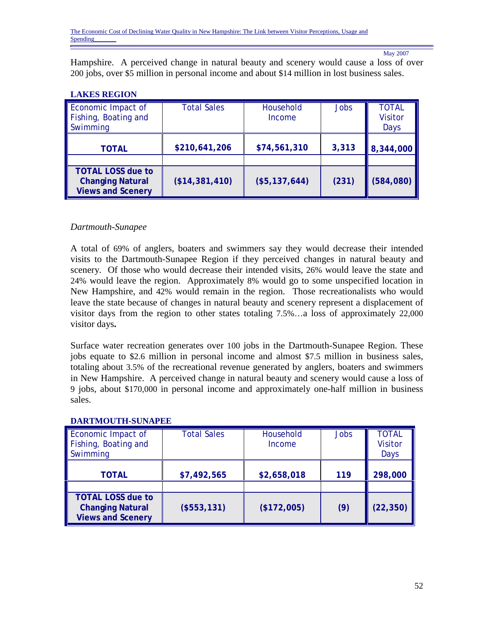Hampshire. A perceived change in natural beauty and scenery would cause a loss of over 200 jobs, over \$5 million in personal income and about \$14 million in lost business sales.

## **LAKES REGION**

| Economic Impact of<br>Fishing, Boating and<br>Swimming                          | <b>Total Sales</b> | Household<br>Income | <b>Jobs</b> | <b>TOTAL</b><br><b>Visitor</b><br>Days |
|---------------------------------------------------------------------------------|--------------------|---------------------|-------------|----------------------------------------|
| <b>TOTAL</b>                                                                    | \$210,641,206      | \$74,561,310        | 3,313       | 8,344,000                              |
| <b>TOTAL LOSS due to</b><br><b>Changing Natural</b><br><b>Views and Scenery</b> | (\$14,381,410)     | (\$5,137,644)       | (231)       | (584, 080)                             |

## *Dartmouth-Sunapee*

A total of 69% of anglers, boaters and swimmers say they would decrease their intended visits to the Dartmouth-Sunapee Region if they perceived changes in natural beauty and scenery. Of those who would decrease their intended visits, 26% would leave the state and 24% would leave the region. Approximately 8% would go to some unspecified location in New Hampshire, and 42% would remain in the region. Those recreationalists who would leave the state because of changes in natural beauty and scenery represent a displacement of visitor days from the region to other states totaling 7.5%…a loss of approximately 22,000 visitor days**.**

Surface water recreation generates over 100 jobs in the Dartmouth-Sunapee Region. These jobs equate to \$2.6 million in personal income and almost \$7.5 million in business sales, totaling about 3.5% of the recreational revenue generated by anglers, boaters and swimmers in New Hampshire. A perceived change in natural beauty and scenery would cause a loss of 9 jobs, about \$170,000 in personal income and approximately one-half million in business sales.

| Economic Impact of<br>Fishing, Boating and<br>Swimming                          | <b>Total Sales</b> | Household<br>Income | <b>Jobs</b> | <b>TOTAL</b><br><b>Visitor</b><br>Days |
|---------------------------------------------------------------------------------|--------------------|---------------------|-------------|----------------------------------------|
| <b>TOTAL</b>                                                                    | \$7,492,565        | \$2,658,018         | 119         | 298,000                                |
| <b>TOTAL LOSS due to</b><br><b>Changing Natural</b><br><b>Views and Scenery</b> | (\$553, 131)       | (\$172,005)         | (9)         | (22, 350)                              |

## **DARTMOUTH-SUNAPEE**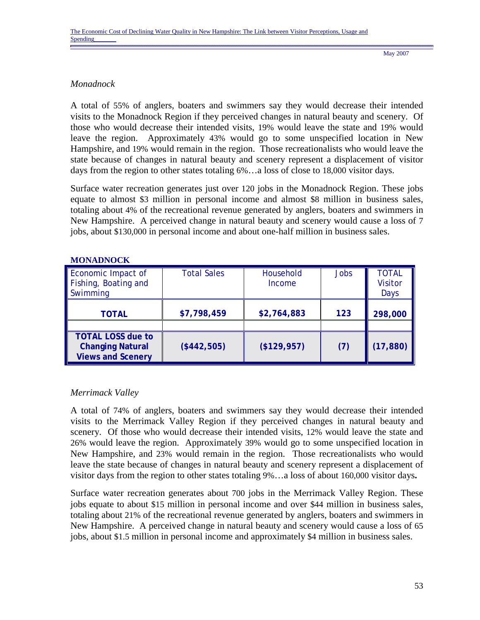## *Monadnock*

A total of 55% of anglers, boaters and swimmers say they would decrease their intended visits to the Monadnock Region if they perceived changes in natural beauty and scenery. Of those who would decrease their intended visits, 19% would leave the state and 19% would leave the region. Approximately 43% would go to some unspecified location in New Hampshire, and 19% would remain in the region. Those recreationalists who would leave the state because of changes in natural beauty and scenery represent a displacement of visitor days from the region to other states totaling 6%…a loss of close to 18,000 visitor days.

Surface water recreation generates just over 120 jobs in the Monadnock Region. These jobs equate to almost \$3 million in personal income and almost \$8 million in business sales, totaling about 4% of the recreational revenue generated by anglers, boaters and swimmers in New Hampshire. A perceived change in natural beauty and scenery would cause a loss of 7 jobs, about \$130,000 in personal income and about one-half million in business sales.

| Economic Impact of<br>Fishing, Boating and<br>Swimming                          | <b>Total Sales</b> | Household<br>Income | <b>Jobs</b> | <b>TOTAL</b><br><b>Visitor</b><br>Days |
|---------------------------------------------------------------------------------|--------------------|---------------------|-------------|----------------------------------------|
| <b>TOTAL</b>                                                                    | \$7,798,459        | \$2,764,883         | 123         | 298,000                                |
|                                                                                 |                    |                     |             |                                        |
| <b>TOTAL LOSS due to</b><br><b>Changing Natural</b><br><b>Views and Scenery</b> | (\$442,505)        | (\$129,957)         | (7)         | (17, 880)                              |

## **MONADNOCK**

## *Merrimack Valley*

A total of 74% of anglers, boaters and swimmers say they would decrease their intended visits to the Merrimack Valley Region if they perceived changes in natural beauty and scenery. Of those who would decrease their intended visits, 12% would leave the state and 26% would leave the region. Approximately 39% would go to some unspecified location in New Hampshire, and 23% would remain in the region. Those recreationalists who would leave the state because of changes in natural beauty and scenery represent a displacement of visitor days from the region to other states totaling 9%…a loss of about 160,000 visitor days**.**

Surface water recreation generates about 700 jobs in the Merrimack Valley Region. These jobs equate to about \$15 million in personal income and over \$44 million in business sales, totaling about 21% of the recreational revenue generated by anglers, boaters and swimmers in New Hampshire. A perceived change in natural beauty and scenery would cause a loss of 65 jobs, about \$1.5 million in personal income and approximately \$4 million in business sales.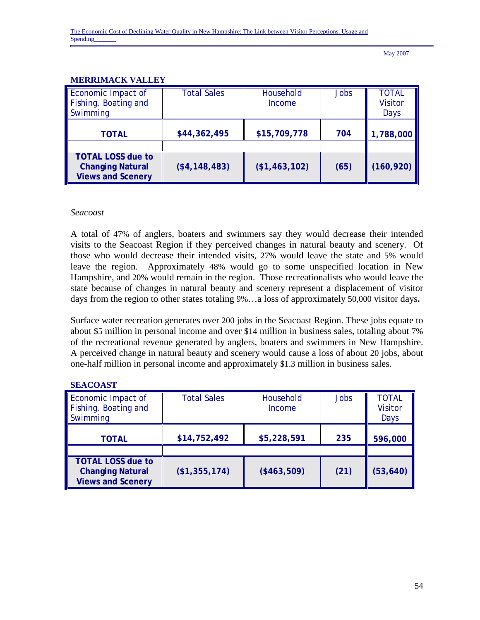| Economic Impact of<br>Fishing, Boating and<br>Swimming                          | <b>Total Sales</b> | Household<br>Income | Jobs | <b>TOTAL</b><br><b>Visitor</b><br>Days |
|---------------------------------------------------------------------------------|--------------------|---------------------|------|----------------------------------------|
| <b>TOTAL</b>                                                                    | \$44,362,495       | \$15,709,778        | 704  | 1,788,000                              |
| <b>TOTAL LOSS due to</b><br><b>Changing Natural</b><br><b>Views and Scenery</b> | ( \$4, 148, 483)   | (\$1,463,102)       | (65) | (160, 920)                             |

## **MERRIMACK VALLEY**

#### *Seacoast*

A total of 47% of anglers, boaters and swimmers say they would decrease their intended visits to the Seacoast Region if they perceived changes in natural beauty and scenery. Of those who would decrease their intended visits, 27% would leave the state and 5% would leave the region. Approximately 48% would go to some unspecified location in New Hampshire, and 20% would remain in the region. Those recreationalists who would leave the state because of changes in natural beauty and scenery represent a displacement of visitor days from the region to other states totaling 9%…a loss of approximately 50,000 visitor days**.**

Surface water recreation generates over 200 jobs in the Seacoast Region. These jobs equate to about \$5 million in personal income and over \$14 million in business sales, totaling about 7% of the recreational revenue generated by anglers, boaters and swimmers in New Hampshire. A perceived change in natural beauty and scenery would cause a loss of about 20 jobs, about one-half million in personal income and approximately \$1.3 million in business sales.

| DLAUUADI                                                                        |                    |                     |             |                                        |
|---------------------------------------------------------------------------------|--------------------|---------------------|-------------|----------------------------------------|
| Economic Impact of<br>Fishing, Boating and<br>Swimming                          | <b>Total Sales</b> | Household<br>Income | <b>Jobs</b> | <b>TOTAL</b><br><b>Visitor</b><br>Days |
| <b>TOTAL</b>                                                                    | \$14,752,492       | \$5,228,591         | 235         | 596,000                                |
| <b>TOTAL LOSS due to</b><br><b>Changing Natural</b><br><b>Views and Scenery</b> | (\$1,355,174)      | (\$463,509)         | (21)        | (53, 640)                              |

# **SEACOAST**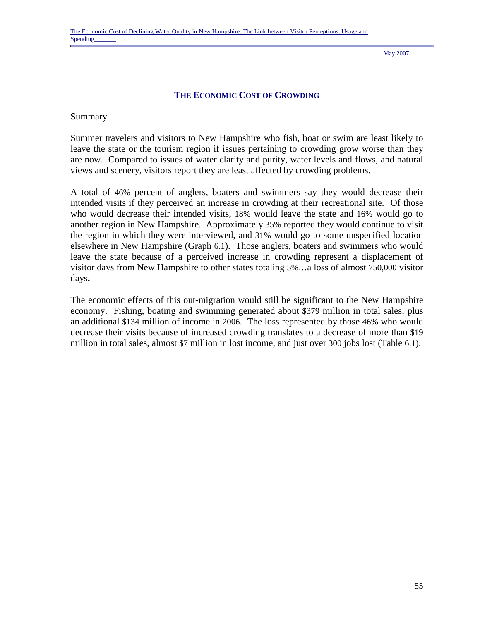## **THE ECONOMIC COST OF CROWDING**

#### Summary

Summer travelers and visitors to New Hampshire who fish, boat or swim are least likely to leave the state or the tourism region if issues pertaining to crowding grow worse than they are now. Compared to issues of water clarity and purity, water levels and flows, and natural views and scenery, visitors report they are least affected by crowding problems.

A total of 46% percent of anglers, boaters and swimmers say they would decrease their intended visits if they perceived an increase in crowding at their recreational site. Of those who would decrease their intended visits, 18% would leave the state and 16% would go to another region in New Hampshire. Approximately 35% reported they would continue to visit the region in which they were interviewed, and 31% would go to some unspecified location elsewhere in New Hampshire (Graph 6.1). Those anglers, boaters and swimmers who would leave the state because of a perceived increase in crowding represent a displacement of visitor days from New Hampshire to other states totaling 5%…a loss of almost 750,000 visitor days**.**

The economic effects of this out-migration would still be significant to the New Hampshire economy. Fishing, boating and swimming generated about \$379 million in total sales, plus an additional \$134 million of income in 2006. The loss represented by those 46% who would decrease their visits because of increased crowding translates to a decrease of more than \$19 million in total sales, almost \$7 million in lost income, and just over 300 jobs lost (Table 6.1).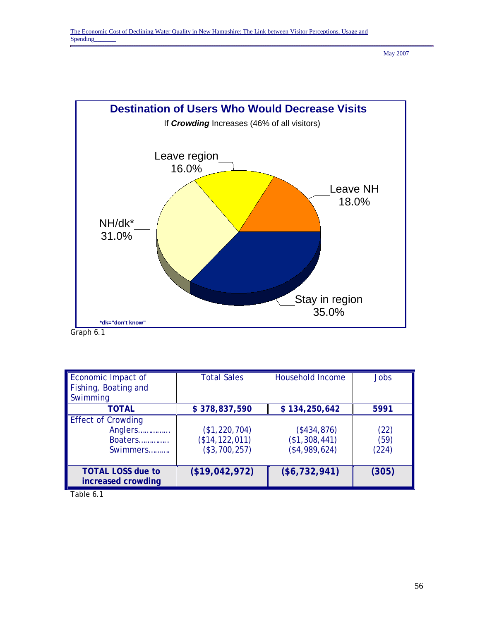

Graph 6.1

| Economic Impact of<br>Fishing, Boating and<br>Swimming      | <b>Total Sales</b>                                   | Household Income                               | <b>Jobs</b>           |
|-------------------------------------------------------------|------------------------------------------------------|------------------------------------------------|-----------------------|
| <b>TOTAL</b>                                                | \$378,837,590                                        | \$134,250,642                                  | 5991                  |
| <b>Effect of Crowding</b><br>Anglers<br>Boaters<br>Swimmers | (\$1, 220, 704)<br>(\$14, 122, 011)<br>(\$3,700,257) | (\$434, 876)<br>(\$1,308,441)<br>(\$4,989,624) | (22)<br>(59)<br>(224) |
| <b>TOTAL LOSS due to</b><br>increased crowding              | (\$19,042,972)                                       | (\$6,732,941)                                  | (305)                 |

Table 6.1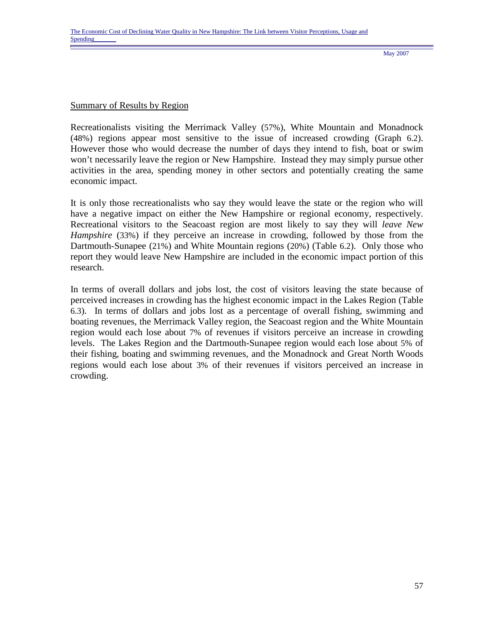## Summary of Results by Region

Recreationalists visiting the Merrimack Valley (57%), White Mountain and Monadnock (48%) regions appear most sensitive to the issue of increased crowding (Graph 6.2). However those who would decrease the number of days they intend to fish, boat or swim won't necessarily leave the region or New Hampshire. Instead they may simply pursue other activities in the area, spending money in other sectors and potentially creating the same economic impact.

It is only those recreationalists who say they would leave the state or the region who will have a negative impact on either the New Hampshire or regional economy, respectively. Recreational visitors to the Seacoast region are most likely to say they will *leave New Hampshire* (33%) if they perceive an increase in crowding, followed by those from the Dartmouth-Sunapee (21%) and White Mountain regions (20%) (Table 6.2). Only those who report they would leave New Hampshire are included in the economic impact portion of this research.

In terms of overall dollars and jobs lost, the cost of visitors leaving the state because of perceived increases in crowding has the highest economic impact in the Lakes Region (Table 6.3). In terms of dollars and jobs lost as a percentage of overall fishing, swimming and boating revenues, the Merrimack Valley region, the Seacoast region and the White Mountain region would each lose about 7% of revenues if visitors perceive an increase in crowding levels. The Lakes Region and the Dartmouth-Sunapee region would each lose about 5% of their fishing, boating and swimming revenues, and the Monadnock and Great North Woods regions would each lose about 3% of their revenues if visitors perceived an increase in crowding.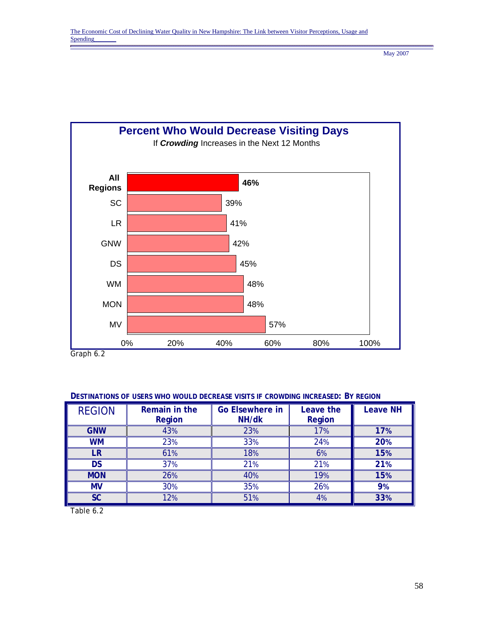

Graph 6.2

#### **DESTINATIONS OF USERS WHO WOULD DECREASE VISITS IF CROWDING INCREASED: BY REGION**

| <b>REGION</b> | Remain in the<br><b>Region</b> | <b>Go Elsewhere in</b><br>NH/dk | Leave the<br><b>Region</b> | <b>Leave NH</b> |
|---------------|--------------------------------|---------------------------------|----------------------------|-----------------|
| <b>GNW</b>    | 43%                            | 23%                             | 17%                        | 17%             |
| <b>WM</b>     | 23%                            | 33%                             | 24%                        | 20%             |
| <b>LR</b>     | 61%                            | 18%                             | 6%                         | 15%             |
| <b>DS</b>     | 37%                            | 21%                             | 21%                        | 21%             |
| <b>MON</b>    | 26%                            | 40%                             | 19%                        | 15%             |
| <b>MV</b>     | 30%                            | 35%                             | 26%                        | 9%              |
| <b>SC</b>     | 12%                            | 51%                             | 4%                         | 33%             |

Table 6.2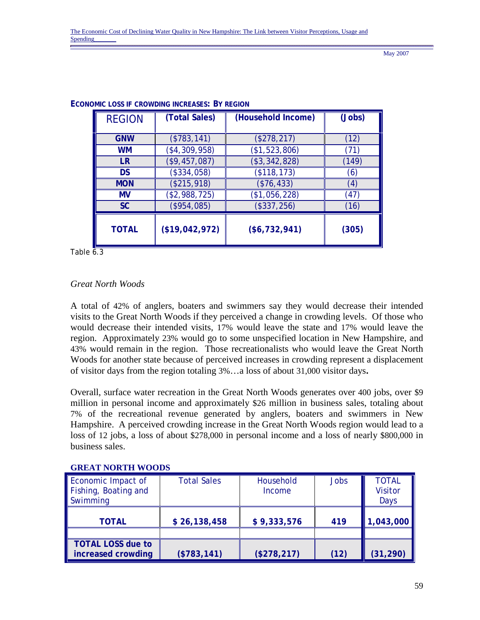| <b>REGION</b> | (Total Sales)  | (Household Income) | (Jobs) |
|---------------|----------------|--------------------|--------|
| <b>GNW</b>    | (\$783, 141)   | (\$278, 217)       | (12)   |
| <b>WM</b>     | (\$4,309,958)  | (\$1,523,806)      | 71)    |
| <b>LR</b>     | (\$9,457,087)  | (\$3,342,828)      | (149)  |
| <b>DS</b>     | (\$334,058)    | (\$118, 173)       | (6)    |
| <b>MON</b>    | (\$215, 918)   | (\$76, 433)        | (4)    |
| <b>MV</b>     | (\$2,988,725)  | (\$1,056,228)      | (47)   |
| <b>SC</b>     | (\$954,085)    | (\$337, 256)       | (16)   |
| <b>TOTAL</b>  | (\$19,042,972) | $($ \$6,732,941)   | (305)  |

#### **ECONOMIC LOSS IF CROWDING INCREASES: BY REGION**

Table  $6.3$ 

## *Great North Woods*

A total of 42% of anglers, boaters and swimmers say they would decrease their intended visits to the Great North Woods if they perceived a change in crowding levels. Of those who would decrease their intended visits, 17% would leave the state and 17% would leave the region. Approximately 23% would go to some unspecified location in New Hampshire, and 43% would remain in the region. Those recreationalists who would leave the Great North Woods for another state because of perceived increases in crowding represent a displacement of visitor days from the region totaling 3%…a loss of about 31,000 visitor days**.**

Overall, surface water recreation in the Great North Woods generates over 400 jobs, over \$9 million in personal income and approximately \$26 million in business sales, totaling about 7% of the recreational revenue generated by anglers, boaters and swimmers in New Hampshire. A perceived crowding increase in the Great North Woods region would lead to a loss of 12 jobs, a loss of about \$278,000 in personal income and a loss of nearly \$800,000 in business sales.

| Economic Impact of<br>Fishing, Boating and<br>Swimming | <b>Total Sales</b> | Household<br>Income | <b>Jobs</b> | <b>TOTAL</b><br><b>Visitor</b><br><b>Days</b> |
|--------------------------------------------------------|--------------------|---------------------|-------------|-----------------------------------------------|
| <b>TOTAL</b>                                           | \$26,138,458       | \$9,333,576         | 419         | 1,043,000                                     |
|                                                        |                    |                     |             |                                               |
| <b>TOTAL LOSS due to</b><br>increased crowding         | (\$783, 141)       | (\$278, 217)        | (12)        | (31, 290)                                     |

## **GREAT NORTH WOODS**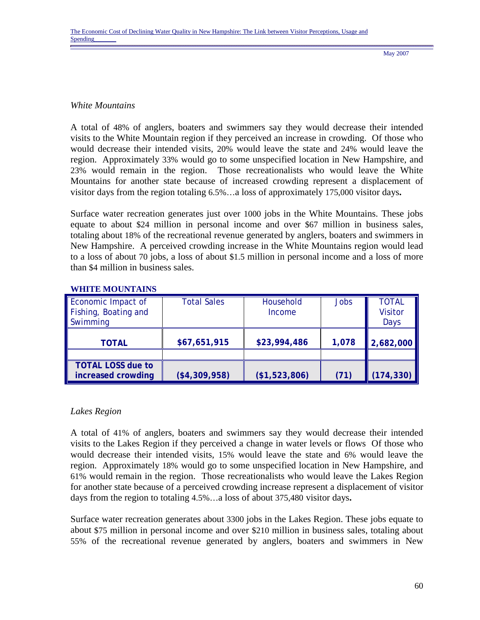## *White Mountains*

A total of 48% of anglers, boaters and swimmers say they would decrease their intended visits to the White Mountain region if they perceived an increase in crowding. Of those who would decrease their intended visits, 20% would leave the state and 24% would leave the region. Approximately 33% would go to some unspecified location in New Hampshire, and 23% would remain in the region. Those recreationalists who would leave the White Mountains for another state because of increased crowding represent a displacement of visitor days from the region totaling 6.5%…a loss of approximately 175,000 visitor days**.**

Surface water recreation generates just over 1000 jobs in the White Mountains. These jobs equate to about \$24 million in personal income and over \$67 million in business sales, totaling about 18% of the recreational revenue generated by anglers, boaters and swimmers in New Hampshire. A perceived crowding increase in the White Mountains region would lead to a loss of about 70 jobs, a loss of about \$1.5 million in personal income and a loss of more than \$4 million in business sales.

| Economic Impact of<br>Fishing, Boating and<br>Swimming | <b>Total Sales</b> | Household<br>Income | <b>Jobs</b> | <b>TOTAL</b><br><b>Visitor</b><br>Days |
|--------------------------------------------------------|--------------------|---------------------|-------------|----------------------------------------|
| <b>TOTAL</b>                                           | \$67,651,915       | \$23,994,486        | 1,078       | 2,682,000                              |
|                                                        |                    |                     |             |                                        |
| <b>TOTAL LOSS due to</b><br>increased crowding         | (\$4,309,958)      | (\$1,523,806)       | (71)        | (174, 330)                             |

## **WHITE MOUNTAINS**

## *Lakes Region*

A total of 41% of anglers, boaters and swimmers say they would decrease their intended visits to the Lakes Region if they perceived a change in water levels or flows Of those who would decrease their intended visits, 15% would leave the state and 6% would leave the region. Approximately 18% would go to some unspecified location in New Hampshire, and 61% would remain in the region. Those recreationalists who would leave the Lakes Region for another state because of a perceived crowding increase represent a displacement of visitor days from the region to totaling 4.5%…a loss of about 375,480 visitor days**.**

Surface water recreation generates about 3300 jobs in the Lakes Region. These jobs equate to about \$75 million in personal income and over \$210 million in business sales, totaling about 55% of the recreational revenue generated by anglers, boaters and swimmers in New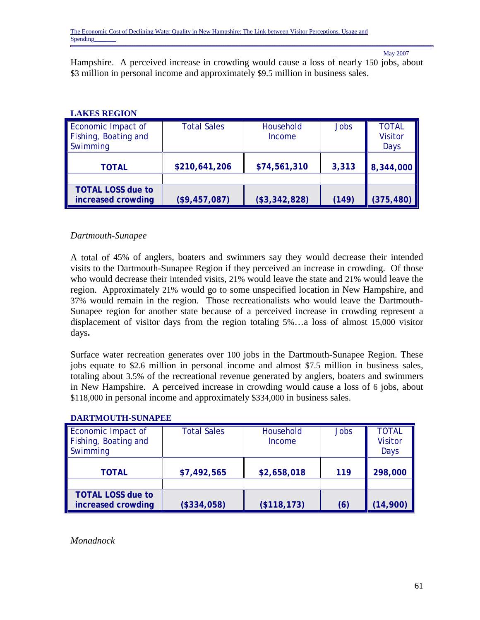Hampshire. A perceived increase in crowding would cause a loss of nearly 150 jobs, about \$3 million in personal income and approximately \$9.5 million in business sales.

## **LAKES REGION**

| Economic Impact of<br>Fishing, Boating and<br>Swimming | <b>Total Sales</b> | Household<br>Income | <b>Jobs</b> | <b>TOTAL</b><br><b>Visitor</b><br>Days |
|--------------------------------------------------------|--------------------|---------------------|-------------|----------------------------------------|
| <b>TOTAL</b>                                           | \$210,641,206      | \$74,561,310        | 3,313       | 8,344,000                              |
| <b>TOTAL LOSS due to</b><br>increased crowding         | (\$9,457,087)      | (\$3,342,828)       | (149)       | (375, 480)                             |

## *Dartmouth-Sunapee*

A total of 45% of anglers, boaters and swimmers say they would decrease their intended visits to the Dartmouth-Sunapee Region if they perceived an increase in crowding. Of those who would decrease their intended visits, 21% would leave the state and 21% would leave the region. Approximately 21% would go to some unspecified location in New Hampshire, and 37% would remain in the region. Those recreationalists who would leave the Dartmouth-Sunapee region for another state because of a perceived increase in crowding represent a displacement of visitor days from the region totaling 5%…a loss of almost 15,000 visitor days**.**

Surface water recreation generates over 100 jobs in the Dartmouth-Sunapee Region. These jobs equate to \$2.6 million in personal income and almost \$7.5 million in business sales, totaling about 3.5% of the recreational revenue generated by anglers, boaters and swimmers in New Hampshire. A perceived increase in crowding would cause a loss of 6 jobs, about \$118,000 in personal income and approximately \$334,000 in business sales.

| Economic Impact of<br>Fishing, Boating and<br>Swimming | <b>Total Sales</b> | Household<br>Income | <b>Jobs</b> | <b>TOTAL</b><br>Visitor<br>Days |
|--------------------------------------------------------|--------------------|---------------------|-------------|---------------------------------|
| <b>TOTAL</b>                                           | \$7,492,565        | \$2,658,018         | 119         | 298,000                         |
|                                                        |                    |                     |             |                                 |
| <b>TOTAL LOSS due to</b><br>increased crowding         | (\$334,058)        | (\$118, 173)        | (6)         | (14, 900)                       |

## **DARTMOUTH-SUNAPEE**

*Monadnock*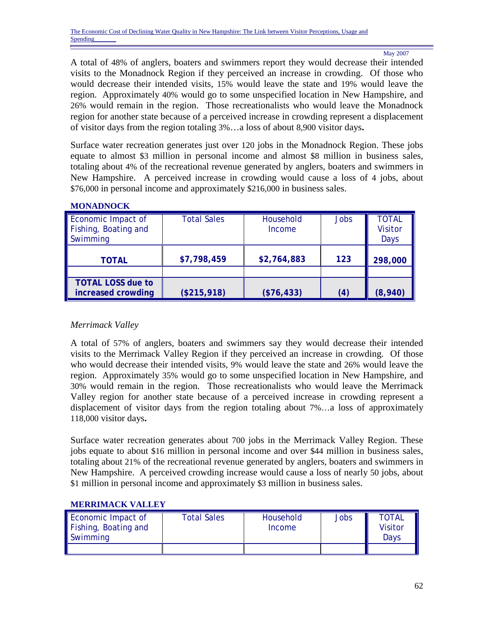A total of 48% of anglers, boaters and swimmers report they would decrease their intended visits to the Monadnock Region if they perceived an increase in crowding. Of those who would decrease their intended visits, 15% would leave the state and 19% would leave the region. Approximately 40% would go to some unspecified location in New Hampshire, and 26% would remain in the region. Those recreationalists who would leave the Monadnock region for another state because of a perceived increase in crowding represent a displacement of visitor days from the region totaling 3%…a loss of about 8,900 visitor days**.**

Surface water recreation generates just over 120 jobs in the Monadnock Region. These jobs equate to almost \$3 million in personal income and almost \$8 million in business sales, totaling about 4% of the recreational revenue generated by anglers, boaters and swimmers in New Hampshire. A perceived increase in crowding would cause a loss of 4 jobs, about \$76,000 in personal income and approximately \$216,000 in business sales.

| Economic Impact of<br>Fishing, Boating and<br>Swimming | <b>Total Sales</b> | Household<br>Income | <b>Jobs</b> | <b>TOTAL</b><br><b>Visitor</b><br>Days |
|--------------------------------------------------------|--------------------|---------------------|-------------|----------------------------------------|
| <b>TOTAL</b>                                           | \$7,798,459        | \$2,764,883         | 123         | 298,000                                |
|                                                        |                    |                     |             |                                        |
| <b>TOTAL LOSS due to</b><br>increased crowding         | (\$215,918)        | (\$76, 433)         | (4)         | (8,940)                                |

## **MONADNOCK**

## *Merrimack Valley*

A total of 57% of anglers, boaters and swimmers say they would decrease their intended visits to the Merrimack Valley Region if they perceived an increase in crowding. Of those who would decrease their intended visits, 9% would leave the state and 26% would leave the region. Approximately 35% would go to some unspecified location in New Hampshire, and 30% would remain in the region. Those recreationalists who would leave the Merrimack Valley region for another state because of a perceived increase in crowding represent a displacement of visitor days from the region totaling about 7%…a loss of approximately 118,000 visitor days**.**

Surface water recreation generates about 700 jobs in the Merrimack Valley Region. These jobs equate to about \$16 million in personal income and over \$44 million in business sales, totaling about 21% of the recreational revenue generated by anglers, boaters and swimmers in New Hampshire. A perceived crowding increase would cause a loss of nearly 50 jobs, about \$1 million in personal income and approximately \$3 million in business sales.

## **MERRIMACK VALLEY**

| Economic Impact of<br>Fishing, Boating and | <b>Total Sales</b> | Household<br>Income | Jobs | <b>TOTAL</b><br>Visitor |
|--------------------------------------------|--------------------|---------------------|------|-------------------------|
| Swimming                                   |                    |                     |      | Davs                    |
|                                            |                    |                     |      |                         |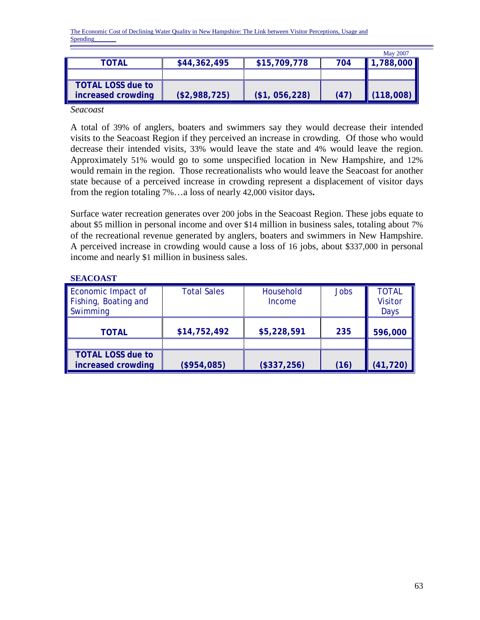|                                                |               |                 |      | <b>May 2007</b> |
|------------------------------------------------|---------------|-----------------|------|-----------------|
| TOTAL                                          | \$44,362,495  | \$15,709,778    | 704  | ,788,000        |
|                                                |               |                 |      |                 |
| <b>TOTAL LOSS due to</b><br>increased crowding | (\$2,988,725) | (\$1, 056, 228) | (47) | (118,008)       |

*Seacoast*

A total of 39% of anglers, boaters and swimmers say they would decrease their intended visits to the Seacoast Region if they perceived an increase in crowding. Of those who would decrease their intended visits, 33% would leave the state and 4% would leave the region. Approximately 51% would go to some unspecified location in New Hampshire, and 12% would remain in the region. Those recreationalists who would leave the Seacoast for another state because of a perceived increase in crowding represent a displacement of visitor days from the region totaling 7%…a loss of nearly 42,000 visitor days**.**

Surface water recreation generates over 200 jobs in the Seacoast Region. These jobs equate to about \$5 million in personal income and over \$14 million in business sales, totaling about 7% of the recreational revenue generated by anglers, boaters and swimmers in New Hampshire. A perceived increase in crowding would cause a loss of 16 jobs, about \$337,000 in personal income and nearly \$1 million in business sales.

| <b>DERVOIRDE</b>                                       |                    |                     |             |                                        |
|--------------------------------------------------------|--------------------|---------------------|-------------|----------------------------------------|
| Economic Impact of<br>Fishing, Boating and<br>Swimming | <b>Total Sales</b> | Household<br>Income | <b>Jobs</b> | <b>TOTAL</b><br><b>Visitor</b><br>Days |
| <b>TOTAL</b>                                           | \$14,752,492       | \$5,228,591         | 235         | 596,000                                |
|                                                        |                    |                     |             |                                        |
| <b>TOTAL LOSS due to</b><br>increased crowding         | (\$954,085)        | (\$337,256)         | (16)        | (41, 720)                              |

## **SEACOAST**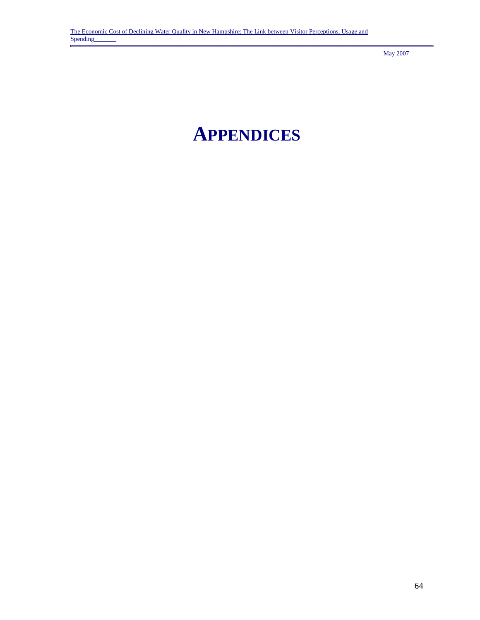# **APPENDICES**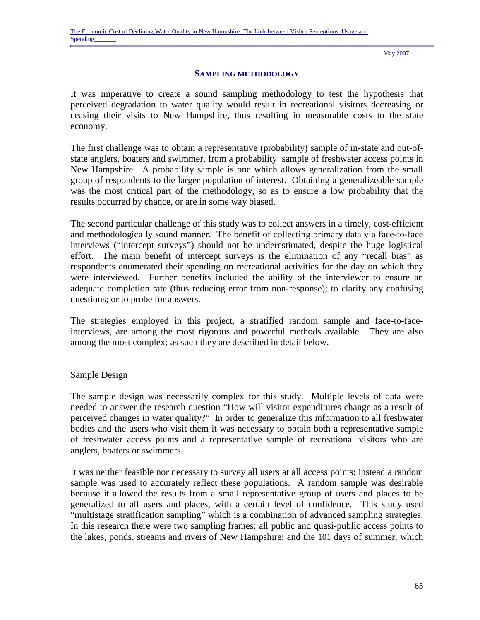## **SAMPLING METHODOLOGY**

It was imperative to create a sound sampling methodology to test the hypothesis that perceived degradation to water quality would result in recreational visitors decreasing or ceasing their visits to New Hampshire, thus resulting in measurable costs to the state economy.

The first challenge was to obtain a representative (probability) sample of in-state and out-ofstate anglers, boaters and swimmer, from a probability sample of freshwater access points in New Hampshire. A probability sample is one which allows generalization from the small group of respondents to the larger population of interest. Obtaining a generalizeable sample was the most critical part of the methodology, so as to ensure a low probability that the results occurred by chance, or are in some way biased.

The second particular challenge of this study was to collect answers in a timely, cost-efficient and methodologically sound manner.The benefit of collecting primary data via face-to-face interviews ("intercept surveys") should not be underestimated, despite the huge logistical effort. The main benefit of intercept surveys is the elimination of any "recall bias" as respondents enumerated their spending on recreational activities for the day on which they were interviewed. Further benefits included the ability of the interviewer to ensure an adequate completion rate (thus reducing error from non-response); to clarify any confusing questions; or to probe for answers.

The strategies employed in this project, a stratified random sample and face-to-faceinterviews, are among the most rigorous and powerful methods available. They are also among the most complex; as such they are described in detail below.

#### Sample Design

The sample design was necessarily complex for this study. Multiple levels of data were needed to answer the research question "How will visitor expenditures change as a result of perceived changes in water quality?" In order to generalize this information to all freshwater bodies and the users who visit them it was necessary to obtain both a representative sample of freshwater access points and a representative sample of recreational visitors who are anglers, boaters or swimmers.

It was neither feasible nor necessary to survey all users at all access points; instead a random sample was used to accurately reflect these populations. A random sample was desirable because it allowed the results from a small representative group of users and places to be generalized to all users and places, with a certain level of confidence. This study used "multistage stratification sampling" which is a combination of advanced sampling strategies. In this research there were two sampling frames: all public and quasi-public access points to the lakes, ponds, streams and rivers of New Hampshire; and the 101 days of summer, which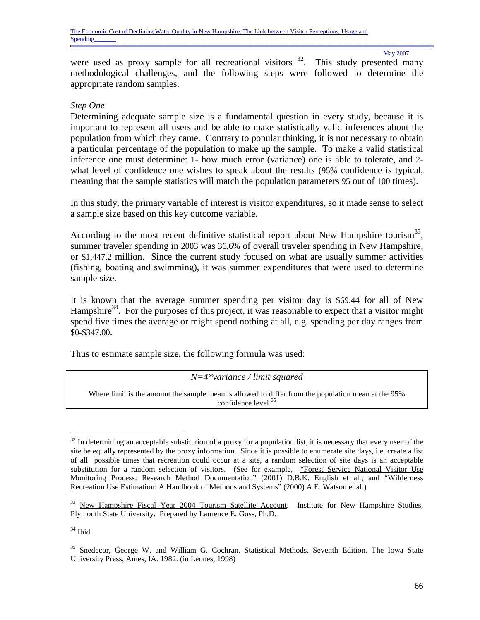Were used as proxy sample for all recreational visitors  $32$ . This study presented many methodological challenges, and the following steps were followed to determine the appropriate random samples.

## *Step One*

Determining adequate sample size is a fundamental question in every study, because it is important to represent all users and be able to make statistically valid inferences about the population from which they came. Contrary to popular thinking, it is not necessary to obtain a particular percentage of the population to make up the sample. To make a valid statistical inference one must determine: 1- how much error (variance) one is able to tolerate, and 2 what level of confidence one wishes to speak about the results (95% confidence is typical, meaning that the sample statistics will match the population parameters 95 out of 100 times).

In this study, the primary variable of interest is visitor expenditures, so it made sense to select a sample size based on this key outcome variable.

According to the most recent definitive statistical report about New Hampshire tourism $^{33}$ . summer traveler spending in 2003 was 36.6% of overall traveler spending in New Hampshire, or \$1,447.2 million. Since the current study focused on what are usually summer activities (fishing, boating and swimming), it was summer expenditures that were used to determine sample size.

It is known that the average summer spending per visitor day is \$69.44 for all of New Hampshire<sup>34</sup>. For the purposes of this project, it was reasonable to expect that a visitor might spend five times the average or might spend nothing at all, e.g. spending per day ranges from \$0-\$347.00.

Thus to estimate sample size, the following formula was used:

*N=4\*variance / limit squared*

Where limit is the amount the sample mean is allowed to differ from the population mean at the 95% confidence level <sup>35</sup>

34 Ibid

 $\overline{\phantom{a}}$ 

 $32$  In determining an acceptable substitution of a proxy for a population list, it is necessary that every user of the site be equally represented by the proxy information. Since it is possible to enumerate site days, i.e. create a list of all possible times that recreation could occur at a site, a random selection of site days is an acceptable substitution for a random selection of visitors. (See for example, "Forest Service National Visitor Use Monitoring Process: Research Method Documentation" (2001) D.B.K. English et al.; and "Wilderness Recreation Use Estimation: A Handbook of Methods and Systems" (2000) A.E. Watson et al.)

<sup>&</sup>lt;sup>33</sup> New Hampshire Fiscal Year 2004 Tourism Satellite Account. Institute for New Hampshire Studies, Plymouth State University. Prepared by Laurence E. Goss, Ph.D.

<sup>&</sup>lt;sup>35</sup> Snedecor, George W. and William G. Cochran. Statistical Methods. Seventh Edition. The Iowa State University Press, Ames, IA. 1982. (in Leones, 1998)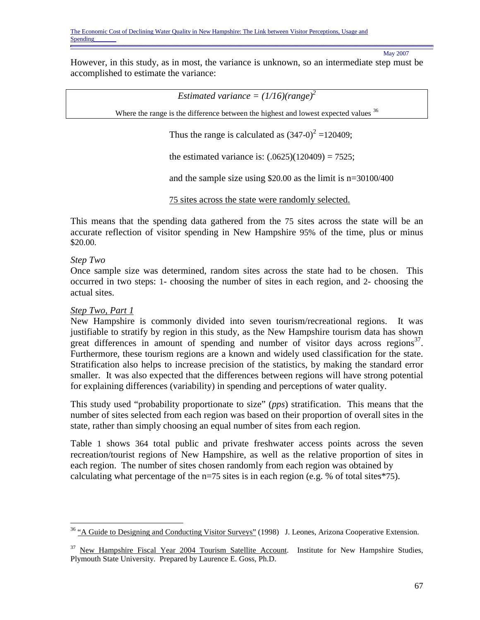However, in this study, as in most, the variance is unknown, so an intermediate step must be accomplished to estimate the variance:

*Estimated variance* =  $(1/16)(range)^2$ 

Where the range is the difference between the highest and lowest expected values <sup>36</sup>

Thus the range is calculated as  $(347-0)^2 = 120409$ ;

the estimated variance is:  $(.0625)(120409) = 7525$ ;

and the sample size using \$20.00 as the limit is n=30100/400

75 sites across the state were randomly selected.

This means that the spending data gathered from the 75 sites across the state will be an accurate reflection of visitor spending in New Hampshire 95% of the time, plus or minus \$20.00.

## *Step Two*

1

Once sample size was determined, random sites across the state had to be chosen. This occurred in two steps: 1- choosing the number of sites in each region, and 2- choosing the actual sites.

## *Step Two, Part 1*

New Hampshire is commonly divided into seven tourism/recreational regions. It was justifiable to stratify by region in this study, as the New Hampshire tourism data has shown great differences in amount of spending and number of visitor days across regions<sup>37</sup>. Furthermore, these tourism regions are a known and widely used classification for the state. Stratification also helps to increase precision of the statistics, by making the standard error smaller. It was also expected that the differences between regions will have strong potential for explaining differences (variability) in spending and perceptions of water quality.

This study used "probability proportionate to size" (*pps*) stratification. This means that the number of sites selected from each region was based on their proportion of overall sites in the state, rather than simply choosing an equal number of sites from each region.

Table 1 shows 364 total public and private freshwater access points across the seven recreation/tourist regions of New Hampshire, as well as the relative proportion of sites in each region. The number of sites chosen randomly from each region was obtained by calculating what percentage of the n=75 sites is in each region (e.g. % of total sites\*75).

<sup>&</sup>lt;sup>36</sup> "A Guide to Designing and Conducting Visitor Surveys" (1998) J. Leones, Arizona Cooperative Extension.

<sup>&</sup>lt;sup>37</sup> New Hampshire Fiscal Year 2004 Tourism Satellite Account. Institute for New Hampshire Studies, Plymouth State University. Prepared by Laurence E. Goss, Ph.D.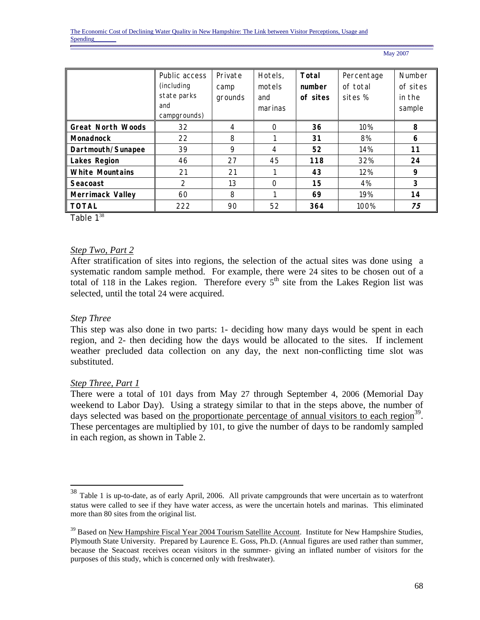|                          | Public access<br>(including)<br>state parks<br>and<br>campgrounds) | Private<br>camp<br>grounds | Hotels,<br>motels<br>and<br>marinas | Total<br>number<br>of sites | Percentage<br>of total<br>sites % | <b>Number</b><br>of sites<br>in the<br>sample |
|--------------------------|--------------------------------------------------------------------|----------------------------|-------------------------------------|-----------------------------|-----------------------------------|-----------------------------------------------|
| <b>Great North Woods</b> | 32                                                                 | 4                          | ი                                   | 36                          | 10%                               | 8                                             |
| <b>Monadnock</b>         | 22                                                                 | 8                          |                                     | 31                          | 8%                                | 6                                             |
| Dartmouth/Sunapee        | 39                                                                 | 9                          | 4                                   | 52                          | 14%                               | 11                                            |
| Lakes Region             | 46                                                                 | 27                         | 45                                  | 118                         | 32%                               | 24                                            |
| <b>White Mountains</b>   | 21                                                                 | 21                         |                                     | 43                          | 12%                               | 9                                             |
| Seacoast                 | 2                                                                  | 13                         | 0                                   | 15                          | 4%                                | 3                                             |
| <b>Merrimack Valley</b>  | 60                                                                 | 8                          |                                     | 69                          | 19%                               | 14                                            |
| <b>TOTAL</b>             | 222                                                                | 90                         | 52                                  | 364                         | 100%                              | 75                                            |

Table  $1^{38}$ 

## *Step Two, Part 2*

After stratification of sites into regions, the selection of the actual sites was done using a systematic random sample method. For example, there were 24 sites to be chosen out of a total of 118 in the Lakes region. Therefore every  $5<sup>th</sup>$  site from the Lakes Region list was selected, until the total 24 were acquired.

## *Step Three*

1

This step was also done in two parts: 1- deciding how many days would be spent in each region, and 2- then deciding how the days would be allocated to the sites. If inclement weather precluded data collection on any day, the next non-conflicting time slot was substituted.

## *Step Three, Part 1*

There were a total of 101 days from May 27 through September 4, 2006 (Memorial Day weekend to Labor Day). Using a strategy similar to that in the steps above, the number of days selected was based on the proportionate percentage of annual visitors to each region<sup>39</sup>. These percentages are multiplied by 101, to give the number of days to be randomly sampled in each region, as shown in Table 2.

 $38$  Table 1 is up-to-date, as of early April, 2006. All private campgrounds that were uncertain as to waterfront status were called to see if they have water access, as were the uncertain hotels and marinas. This eliminated more than 80 sites from the original list.

<sup>&</sup>lt;sup>39</sup> Based on New Hampshire Fiscal Year 2004 Tourism Satellite Account. Institute for New Hampshire Studies, Plymouth State University. Prepared by Laurence E. Goss, Ph.D. (Annual figures are used rather than summer, because the Seacoast receives ocean visitors in the summer- giving an inflated number of visitors for the purposes of this study, which is concerned only with freshwater).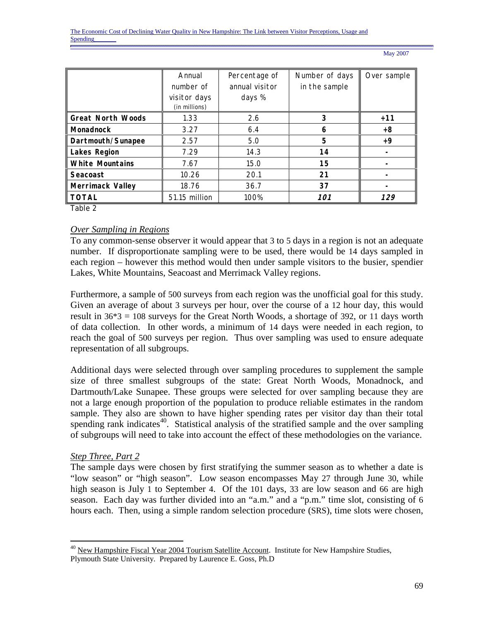|                          | Annual        | Percentage of  | Number of days | Over sample |
|--------------------------|---------------|----------------|----------------|-------------|
|                          | number of     | annual visitor | in the sample  |             |
|                          | visitor days  | days %         |                |             |
|                          | (in millions) |                |                |             |
| <b>Great North Woods</b> | 1.33          | 2.6            | 3              | $+11$       |
| <b>Monadnock</b>         | 3.27          | 6.4            | 6              | $+8$        |
| Dartmouth/Sunapee        | 2.57          | 5.0            | 5              | $+9$        |
| Lakes Region             | 7.29          | 14.3           | 14             |             |
| <b>White Mountains</b>   | 7.67          | 15.0           | 15             |             |
| Seacoast                 | 10.26         | 20.1           | 21             |             |
| <b>Merrimack Valley</b>  | 18.76         | 36.7           | 37             |             |
| <b>TOTAL</b>             | 51.15 million | 100%           | 101            | 129         |

Table 2

## *Over Sampling in Regions*

To any common-sense observer it would appear that 3 to 5 days in a region is not an adequate number. If disproportionate sampling were to be used, there would be 14 days sampled in each region – however this method would then under sample visitors to the busier, spendier Lakes, White Mountains, Seacoast and Merrimack Valley regions.

Furthermore, a sample of 500 surveys from each region was the unofficial goal for this study. Given an average of about 3 surveys per hour, over the course of a 12 hour day, this would result in 36\*3 = 108 surveys for the Great North Woods, a shortage of 392, or 11 days worth of data collection. In other words, a minimum of 14 days were needed in each region, to reach the goal of 500 surveys per region. Thus over sampling was used to ensure adequate representation of all subgroups.

Additional days were selected through over sampling procedures to supplement the sample size of three smallest subgroups of the state: Great North Woods, Monadnock, and Dartmouth/Lake Sunapee. These groups were selected for over sampling because they are not a large enough proportion of the population to produce reliable estimates in the random sample. They also are shown to have higher spending rates per visitor day than their total spending rank indicates<sup>40</sup>. Statistical analysis of the stratified sample and the over sampling of subgroups will need to take into account the effect of these methodologies on the variance.

## *Step Three, Part 2*

1

The sample days were chosen by first stratifying the summer season as to whether a date is "low season" or "high season". Low season encompasses May 27 through June 30, while high season is July 1 to September 4. Of the 101 days, 33 are low season and 66 are high season. Each day was further divided into an "a.m." and a "p.m." time slot, consisting of 6 hours each. Then, using a simple random selection procedure (SRS), time slots were chosen,

<sup>&</sup>lt;sup>40</sup> New Hampshire Fiscal Year 2004 Tourism Satellite Account. Institute for New Hampshire Studies, Plymouth State University. Prepared by Laurence E. Goss, Ph.D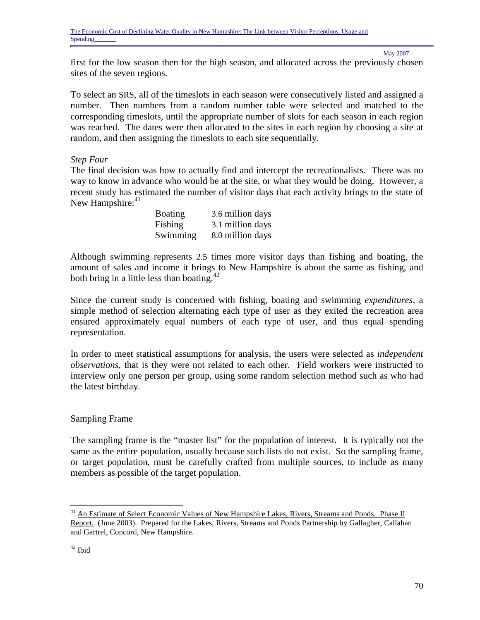first for the low season then for the high season, and allocated across the previously chosen sites of the seven regions.

To select an SRS, all of the timeslots in each season were consecutively listed and assigned a number. Then numbers from a random number table were selected and matched to the corresponding timeslots, until the appropriate number of slots for each season in each region was reached. The dates were then allocated to the sites in each region by choosing a site at random, and then assigning the timeslots to each site sequentially.

## *Step Four*

The final decision was how to actually find and intercept the recreationalists. There was no way to know in advance who would be at the site, or what they would be doing. However, a recent study has estimated the number of visitor days that each activity brings to the state of New Hampshire:<sup>41</sup>

| <b>Boating</b> | 3.6 million days |
|----------------|------------------|
| Fishing        | 3.1 million days |
| Swimming       | 8.0 million days |

Although swimming represents 2.5 times more visitor days than fishing and boating, the amount of sales and income it brings to New Hampshire is about the same as fishing, and both bring in a little less than boating. $42$ 

Since the current study is concerned with fishing, boating and swimming *expenditures*, a simple method of selection alternating each type of user as they exited the recreation area ensured approximately equal numbers of each type of user, and thus equal spending representation.

In order to meet statistical assumptions for analysis, the users were selected as *independent observations*, that is they were not related to each other. Field workers were instructed to interview only one person per group, using some random selection method such as who had the latest birthday.

## Sampling Frame

The sampling frame is the "master list" for the population of interest. It is typically not the same as the entire population, usually because such lists do not exist. So the sampling frame, or target population, must be carefully crafted from multiple sources, to include as many members as possible of the target population.

 $\overline{a}$ 

<sup>&</sup>lt;sup>41</sup> An Estimate of Select Economic Values of New Hampshire Lakes, Rivers, Streams and Ponds. Phase II Report. (June 2003). Prepared for the Lakes, Rivers, Streams and Ponds Partnership by Gallagher, Callahan and Gartrel, Concord, New Hampshire.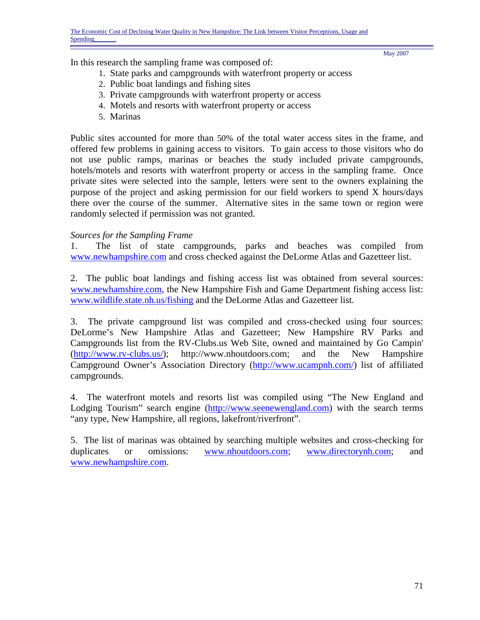In this research the sampling frame was composed of:

- 1. State parks and campgrounds with waterfront property or access
- 2. Public boat landings and fishing sites
- 3. Private campgrounds with waterfront property or access
- 4. Motels and resorts with waterfront property or access
- 5. Marinas

Public sites accounted for more than 50% of the total water access sites in the frame, and offered few problems in gaining access to visitors. To gain access to those visitors who do not use public ramps, marinas or beaches the study included private campgrounds, hotels/motels and resorts with waterfront property or access in the sampling frame. Once private sites were selected into the sample, letters were sent to the owners explaining the purpose of the project and asking permission for our field workers to spend X hours/days there over the course of the summer. Alternative sites in the same town or region were randomly selected if permission was not granted.

## *Sources for the Sampling Frame*

1. The list of state campgrounds, parks and beaches was compiled from www.newhampshire.com and cross checked against the DeLorme Atlas and Gazetteer list.

2. The public boat landings and fishing access list was obtained from several sources: www.newhamshire.com, the New Hampshire Fish and Game Department fishing access list: www.wildlife.state.nh.us/fishing and the DeLorme Atlas and Gazetteer list.

3. The private campground list was compiled and cross-checked using four sources: DeLorme's New Hampshire Atlas and Gazetteer; New Hampshire RV Parks and Campgrounds list from the RV-Clubs.us Web Site, owned and maintained by Go Campin' (http://www.rv-clubs.us/); http://www.nhoutdoors.com; and the New Hampshire Campground Owner's Association Directory (http://www.ucampnh.com/) list of affiliated campgrounds.

4. The waterfront motels and resorts list was compiled using "The New England and Lodging Tourism" search engine (http://www.seenewengland.com) with the search terms "any type, New Hampshire, all regions, lakefront/riverfront".

5. The list of marinas was obtained by searching multiple websites and cross-checking for duplicates or omissions: www.nhoutdoors.com; www.directorynh.com; and www.newhampshire.com.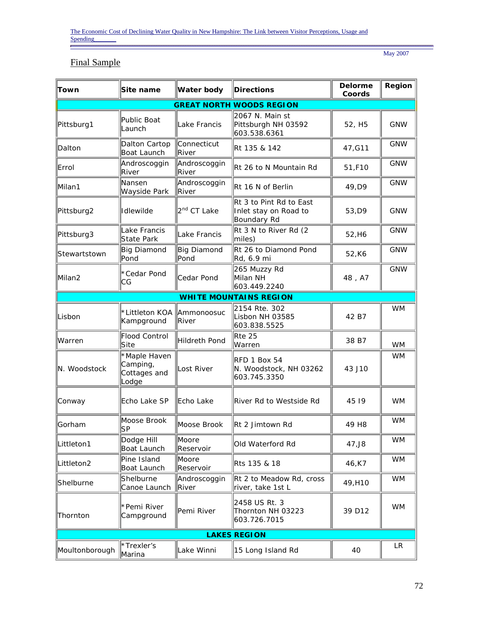# Final Sample

May 2007

Ę

| Town           | Site name                                         | Water body              | <b>Directions</b>                                               | Delorme<br>Coords   | Region     |
|----------------|---------------------------------------------------|-------------------------|-----------------------------------------------------------------|---------------------|------------|
|                |                                                   |                         | <b>GREAT NORTH WOODS REGION</b>                                 |                     |            |
| Pittsburg1     | Public Boat<br>Launch                             | Lake Francis            | 2067 N. Main st<br>Pittsburgh NH 03592<br>603.538.6361          | 52, H5              | <b>GNW</b> |
| Dalton         | Dalton Cartop<br>Boat Launch                      | Connecticut<br>River    | Rt 135 & 142                                                    | 47, G11             | <b>GNW</b> |
| Errol          | Androscoggin<br>River                             | Androscoggin<br>River   | Rt 26 to N Mountain Rd                                          | 51,F10              | <b>GNW</b> |
| Milan1         | Nansen<br>Wayside Park                            | Androscoggin<br>River   | Rt 16 N of Berlin                                               | 49, D9              | <b>GNW</b> |
| Pittsburg2     | Idlewilde                                         | 2 <sup>nd</sup> CT Lake | Rt 3 to Pint Rd to East<br>Inlet stay on Road to<br>Boundary Rd | 53, D9              | <b>GNW</b> |
| Pittsburg3     | Lake Francis<br><b>State Park</b>                 | Lake Francis            | Rt 3 N to River Rd (2<br>miles)                                 | 52, H6              | <b>GNW</b> |
| Stewartstown   | Big Diamond<br>Pond                               | Big Diamond<br>Pond     | Rt 26 to Diamond Pond<br>Rd, 6.9 mi                             | 52, K6              | <b>GNW</b> |
| Milan2         | *Cedar Pond<br>CG                                 | Cedar Pond              | 265 Muzzy Rd<br>Milan NH<br>603.449.2240                        | 48, A7              | <b>GNW</b> |
|                |                                                   |                         | <b>WHITE MOUNTAINS REGION</b>                                   |                     |            |
| Lisbon         | *Littleton KOA<br>Kampground                      | Ammonoosuc<br>River     | 2154 Rte. 302<br>Lisbon NH 03585<br>603.838.5525                | 42 B7               | <b>WM</b>  |
| <b>Warren</b>  | Flood Control<br>Site                             | Hildreth Pond           | Rte 25<br>Warren                                                | 38 B7               | <b>WM</b>  |
| N. Woodstock   | *Maple Haven<br>Camping,<br>Cottages and<br>Lodge | Lost River              | RFD 1 Box 54<br>N. Woodstock, NH 03262<br>603.745.3350          | 43 J10              | <b>WM</b>  |
| Conway         | Echo Lake SP                                      | Echo Lake               | River Rd to Westside Rd                                         | 45 19               | <b>WM</b>  |
| Gorham         | Moose Brook<br>lSP                                | Moose Brook             | Rt 2 Jimtown Rd                                                 | 49 H <sub>8</sub>   | <b>WM</b>  |
| Littleton1     | Dodge Hill<br>Boat Launch                         | Moore<br>Reservoir      | Old Waterford Rd                                                | 47, J8              | <b>WM</b>  |
| Littleton2     | Pine Island<br>Boat Launch                        | Moore<br>Reservoir      | Rts 135 & 18                                                    | 46,K7               | <b>WM</b>  |
| Shelburne      | Shelburne<br>Canoe Launch                         | Androscoggin<br>River   | Rt 2 to Meadow Rd, cross<br>river, take 1st L                   | 49, H <sub>10</sub> | <b>WM</b>  |
| Thornton       | *Pemi River<br>Campground                         | Pemi River              | 2458 US Rt. 3<br>Thornton NH 03223<br>603.726.7015              | 39 D12              | <b>WM</b>  |
|                |                                                   |                         | <b>LAKES REGION</b>                                             |                     |            |
| Moultonborough | *Trexler's<br>Marina                              | Lake Winni              | 15 Long Island Rd                                               | 40                  | LR.        |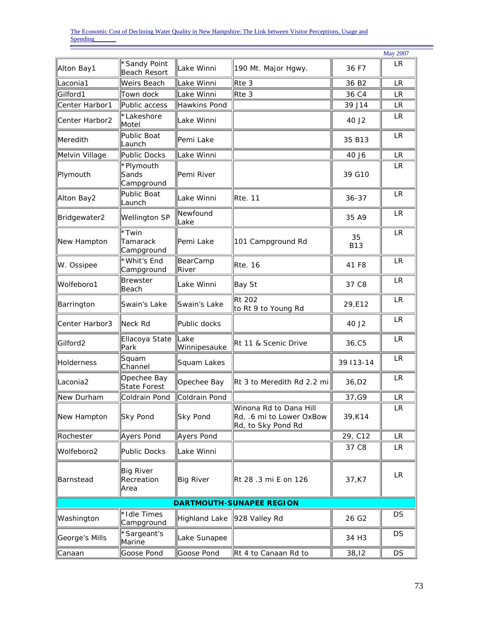#### The Economic Cost of Declining Water Quality in New Hampshire: The Link between Visitor Perceptions, Usage and Spending

|                                                     |                       |                                                                          |                    | <b>May 2007</b> |
|-----------------------------------------------------|-----------------------|--------------------------------------------------------------------------|--------------------|-----------------|
| *Sandy Point<br>Alton Bay1<br><b>Beach Resort</b>   | Lake Winni            | 190 Mt. Major Hgwy.                                                      | 36 F7              | LR              |
| Weirs Beach<br>Laconia1                             | Lake Winni            | Rte <sub>3</sub>                                                         | 36 B <sub>2</sub>  | LR              |
| Gilford1<br>Town dock                               | Lake Winni            | Rte 3                                                                    | 36 C4              | <b>LR</b>       |
| Center Harbor1<br>Public access                     | Hawkins Pond          |                                                                          | 39 J14             | LR              |
| *Lakeshore<br>Center Harbor2<br>Motel               | Lake Winni            |                                                                          | 40 J <sub>2</sub>  | LR              |
| Public Boat<br><b>Meredith</b><br>Launch            | Pemi Lake             |                                                                          | 35 B13             | <b>LR</b>       |
| Public Docks<br>Melvin Village                      | Lake Winni            |                                                                          | 40 J6              | <b>LR</b>       |
| *Plymouth<br>Plymouth<br>Sands<br>Campground        | Pemi River            |                                                                          | 39 G10             | <b>LR</b>       |
| Public Boat<br>Alton Bay2<br>Launch                 | Lake Winni            | Rte. 11                                                                  | $36 - 37$          | <b>LR</b>       |
| Wellington SP<br>Bridgewater2                       | Newfound<br>Lake      |                                                                          | 35 A9              | LR              |
| *Twin<br>Tamarack<br>New Hampton<br>Campground      | Pemi Lake             | 101 Campground Rd                                                        | 35<br><b>B13</b>   | <b>LR</b>       |
| *Whit's End<br>W. Ossipee<br>Campground             | BearCamp<br>River     | Rte. 16                                                                  | 41 F8              | <b>LR</b>       |
| Brewster<br>Wolfeboro1<br>Beach                     | Lake Winni            | Bay St                                                                   | 37 C8              | LR              |
| Barrington<br>Swain's Lake                          | Swain's Lake          | Rt 202<br>to Rt 9 to Young Rd                                            | 29,E12             | <b>LR</b>       |
| Neck Rd<br>Center Harbor3                           | Public docks          |                                                                          | 40 J2              | LR              |
| Ellacoya State<br>Gilford <sub>2</sub><br>Park      | ∥Lake<br>Winnipesauke | Rt 11 & Scenic Drive                                                     | 36, C5             | <b>LR</b>       |
| Squam<br><b>Holderness</b><br>Channel               | Squam Lakes           |                                                                          | 39 113-14          | <b>LR</b>       |
| Opechee Bay<br>Laconia2<br><b>State Forest</b>      | Opechee Bay           | Rt 3 to Meredith Rd 2.2 mi                                               | 36, D <sub>2</sub> | LR              |
| New Durham<br> Coldrain Pond                        | ∥Coldrain Pond        |                                                                          | 37,G9              | LR              |
| New Hampton<br>Sky Pond                             | Sky Pond              | Winona Rd to Dana Hill<br>Rd, .6 mi to Lower OxBow<br>Rd, to Sky Pond Rd | 39, K14            | LR              |
| Rochester<br>Ayers Pond                             | Ayers Pond            |                                                                          | 29, C12            | LR              |
| Wolfeboro2<br>Public Docks                          | Lake Winni            |                                                                          | 37 C8              | LR              |
| <b>Big River</b><br>Recreation<br>Barnstead<br>Area | <b>Big River</b>      | Rt 28 .3 mi E on 126                                                     | 37, K7             | LR              |
|                                                     |                       | DARTMOUTH-SUNAPEE REGION                                                 |                    |                 |
| *Idle Times<br>Washington<br>Campground             | Highland Lake         | 928 Valley Rd                                                            | 26 G2              | DS              |
|                                                     |                       |                                                                          |                    | DS              |
| *Sargeant's<br>George's Mills<br>Marine             | Lake Sunapee          |                                                                          | 34 H3              |                 |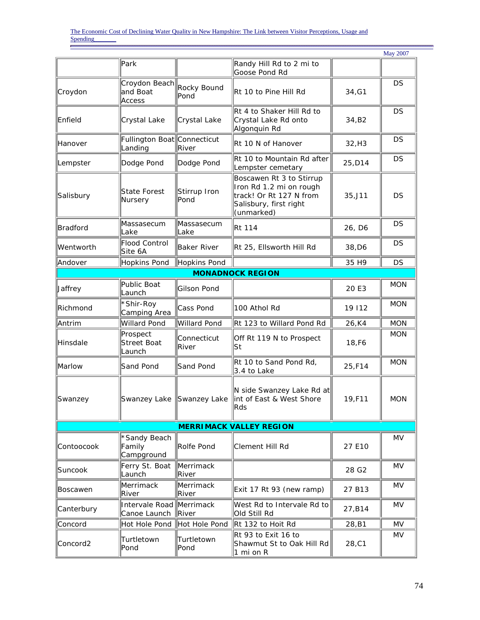|            |                                        |                      |                                                                                                                        |                    | <b>May 2007</b> |
|------------|----------------------------------------|----------------------|------------------------------------------------------------------------------------------------------------------------|--------------------|-----------------|
|            | Park                                   |                      | Randy Hill Rd to 2 mi to<br>Goose Pond Rd                                                                              |                    |                 |
| Croydon    | Croydon Beach<br>and Boat<br>Access    | Rocky Bound<br>Pond  | Rt 10 to Pine Hill Rd                                                                                                  | 34, G1             | <b>DS</b>       |
| Enfield    | Crystal Lake                           | Crystal Lake         | Rt 4 to Shaker Hill Rd to<br>Crystal Lake Rd onto<br>Algonquin Rd                                                      | 34, B <sub>2</sub> | <b>DS</b>       |
| Hanover    | Fullington Boat Connecticut<br>Landing | River                | Rt 10 N of Hanover                                                                                                     | 32, H3             | DS              |
| Lempster   | Dodge Pond                             | Dodge Pond           | Rt 10 to Mountain Rd after<br>Lempster cemetary                                                                        | 25, D14            | DS              |
| Salisbury  | <b>State Forest</b><br>Nursery         | Stirrup Iron<br>Pond | Boscawen Rt 3 to Stirrup<br>Iron Rd 1.2 mi on rough<br>track! Or Rt 127 N from<br>Salisbury, first right<br>(unmarked) | 35,J11             | <b>DS</b>       |
| Bradford   | Massasecum<br>Lake                     | Massasecum<br>Lake   | Rt 114                                                                                                                 | 26, D6             | DS              |
| Wentworth  | Flood Control<br>Site 6A               | <b>Baker River</b>   | Rt 25, Ellsworth Hill Rd                                                                                               | 38, D6             | DS              |
| Andover    | Hopkins Pond                           | Hopkins Pond         |                                                                                                                        | 35 H9              | DS              |
|            |                                        |                      | <b>MONADNOCK REGION</b>                                                                                                |                    |                 |
| Jaffrey    | Public Boat<br>Launch                  | Gilson Pond          |                                                                                                                        | 20 E3              | <b>MON</b>      |
| Richmond   | *Shir-Roy<br>Camping Area              | Cass Pond            | 100 Athol Rd                                                                                                           | 19 112             | <b>MON</b>      |
| Antrim     | Willard Pond                           | Willard Pond         | Rt 123 to Willard Pond Rd                                                                                              | 26,K4              | <b>MON</b>      |
| Hinsdale   | Prospect<br>Street Boat<br>Launch      | Connecticut<br>River | Off Rt 119 N to Prospect<br>lSt                                                                                        | 18,F6              | <b>MON</b>      |
| Marlow     | Sand Pond                              | Sand Pond            | Rt 10 to Sand Pond Rd,<br>3.4 to Lake                                                                                  | 25,F14             | <b>MON</b>      |
| Swanzey    |                                        |                      | N side Swanzey Lake Rd at<br>Swanzey Lake   Swanzey Lake   int of East & West Shore<br>Rds                             | 19,F11             | <b>MON</b>      |
|            |                                        |                      | <b>MERRIMACK VALLEY REGION</b>                                                                                         |                    |                 |
| Contoocook | *Sandy Beach<br>Family<br>Campground   | Rolfe Pond           | Clement Hill Rd                                                                                                        | 27 E10             | MV              |
| Suncook    | Ferry St. Boat<br>Launch               | Merrimack<br>River   |                                                                                                                        | 28 G2              | MV              |
| Boscawen   | Merrimack<br>River                     | Merrimack<br>River   | Exit 17 Rt 93 (new ramp)                                                                                               | 27 B13             | MV              |
| Canterbury | Intervale Road<br>Canoe Launch         | ∥Merrimack<br>River  | West Rd to Intervale Rd to<br>Old Still Rd                                                                             | 27, B14            | MV              |
| Concord    | Hot Hole Pond                          | Hot Hole Pond        | Rt 132 to Hoit Rd                                                                                                      | 28, B1             | MV              |
| Concord2   | Turtletown<br>Pond                     | Turtletown<br>Pond   | Rt 93 to Exit 16 to<br>Shawmut St to Oak Hill Rd<br>1 mi on R                                                          | 28, C1             | MV              |

<u>in mana</u>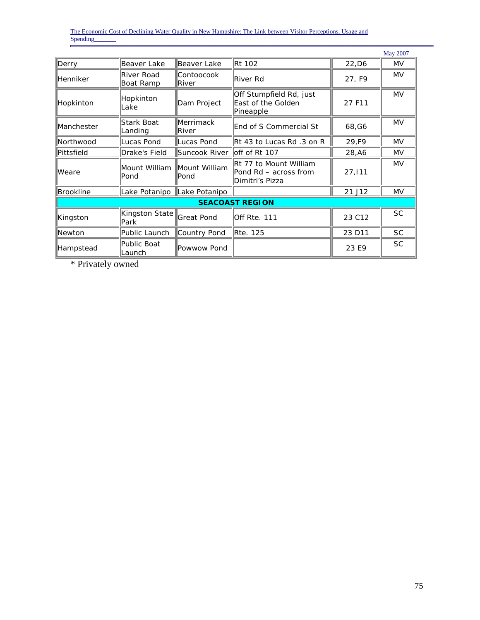The Economic Cost of Declining Water Quality in New Hampshire: The Link between Visitor Perceptions, Usage and Spending

|                   |                         |                       |                                                                    |        | <b>May 2007</b> |
|-------------------|-------------------------|-----------------------|--------------------------------------------------------------------|--------|-----------------|
| Derry             | Beaver Lake             | Beaver Lake           | Rt 102                                                             | 22, D6 | <b>MV</b>       |
| <b>Henniker</b>   | River Road<br>Boat Ramp | Contoocook<br>River   | River Rd                                                           | 27, F9 | <b>MV</b>       |
| Hopkinton         | Hopkinton<br>Lake       | Dam Project           | Off Stumpfield Rd, just<br>East of the Golden<br>Pineapple         | 27 F11 | <b>MV</b>       |
| <b>Manchester</b> | Stark Boat<br>Landing   | Merrimack<br>River    | End of S Commercial St                                             | 68, G6 | <b>MV</b>       |
| <b>Northwood</b>  | Lucas Pond              | Lucas Pond            | Rt 43 to Lucas Rd .3 on R                                          | 29,F9  | <b>MV</b>       |
| ∥Pittsfield       | Drake's Field           | Suncook River         | off of Rt 107                                                      | 28,A6  | MV              |
| <b>Weare</b>      | Mount William<br>lPond  | Mount William<br>Pond | Rt 77 to Mount William<br>Pond Rd – across from<br>Dimitri's Pizza | 27,111 | <b>MV</b>       |
| <b>Brookline</b>  | Lake Potanipo           | Lake Potanipo         |                                                                    | 21 J12 | MV              |
|                   |                         |                       | <b>SEACOAST REGION</b>                                             |        |                 |
| Kingston          | Kingston State<br>Park  | Great Pond            | Off Rte. 111                                                       | 23 C12 | <b>SC</b>       |
| Newton            | Public Launch           | Country Pond          | Rte. 125                                                           | 23 D11 | <b>SC</b>       |
| Hampstead         | Public Boat<br>Launch   | Powwow Pond           |                                                                    | 23 E9  | <b>SC</b>       |

\* Privately owned

بمستنبذ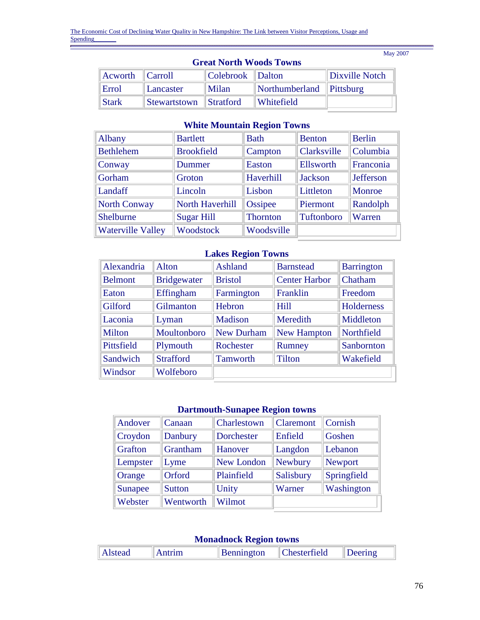| Acworth Carroll |                        | <i>Colebrook</i> Dalton |                          | Dixville Notch |
|-----------------|------------------------|-------------------------|--------------------------|----------------|
| Errol           | Lancaster              | Milan                   | Northumberland Pittsburg |                |
| <b>Stark</b>    | Stewartstown Stratford |                         | <b>Whitefield</b>        |                |

### **Great North Woods Towns**

### **White Mountain Region Towns**

| Albany                   | <b>Bartlett</b>   | <b>Bath</b> | <b>Benton</b>  | <b>Berlin</b> |
|--------------------------|-------------------|-------------|----------------|---------------|
| <b>Bethlehem</b>         | <b>Brookfield</b> | Campton     | Clarksville    | Columbia      |
| Conway                   | Dummer            | Easton      | Ellsworth      | Franconia     |
| Gorham                   | Groton            | Haverhill   | <b>Jackson</b> | Jefferson     |
| Landaff                  | Lincoln           | Lisbon      | Littleton      | Monroe        |
| <b>North Conway</b>      | North Haverhill   | Ossipee     | Piermont       | Randolph      |
| Shelburne                | <b>Sugar Hill</b> | Thornton    | Tuftonboro     | Warren        |
| <b>Waterville Valley</b> | Woodstock         | Woodsville  |                |               |

## **Lakes Region Towns**

| Alexandria     | <b>Alton</b>       | <b>Ashland</b>    | <b>Barnstead</b>     | <b>Barrington</b> |
|----------------|--------------------|-------------------|----------------------|-------------------|
| <b>Belmont</b> | <b>Bridgewater</b> | <b>Bristol</b>    | <b>Center Harbor</b> | Chatham           |
| Eaton          | Effingham          | Farmington        | Franklin             | Freedom           |
| Gilford        | Gilmanton          | Hebron            | Hill                 | Holderness        |
| Laconia        | Lyman              | Madison           | Meredith             | Middleton         |
| <b>Milton</b>  | Moultonboro        | <b>New Durham</b> | <b>New Hampton</b>   | Northfield        |
| Pittsfield     | Plymouth           | Rochester         | <b>Rumney</b>        | Sanbornton        |
| Sandwich       | <b>Strafford</b>   | <b>Tamworth</b>   | <b>Tilton</b>        | Wakefield         |
| Windsor        | Wolfeboro          |                   |                      |                   |

## **Dartmouth-Sunapee Region towns**

| Andover        | Canaan        | Charlestown       | Claremont | Cornish     |
|----------------|---------------|-------------------|-----------|-------------|
| Croydon        | Danbury       | Dorchester        | Enfield   | Goshen      |
| <b>Grafton</b> | Grantham      | Hanover           | Langdon   | Lebanon     |
| Lempster       | Lyme          | <b>New London</b> | Newbury   | Newport     |
| Orange         | Orford        | Plainfield        | Salisbury | Springfield |
| <b>Sunapee</b> | <b>Sutton</b> | Unity             | Warner    | Washington  |
| Webster        | Wentworth     | Wilmot            |           |             |

#### **Monadnock Region towns**

|                | <b>MADINIUMOUM ALUMNOM COMMUN</b> |  |                                 |  |  |  |  |
|----------------|-----------------------------------|--|---------------------------------|--|--|--|--|
| Alstead Antrim |                                   |  | Bennington Chesterfield Deering |  |  |  |  |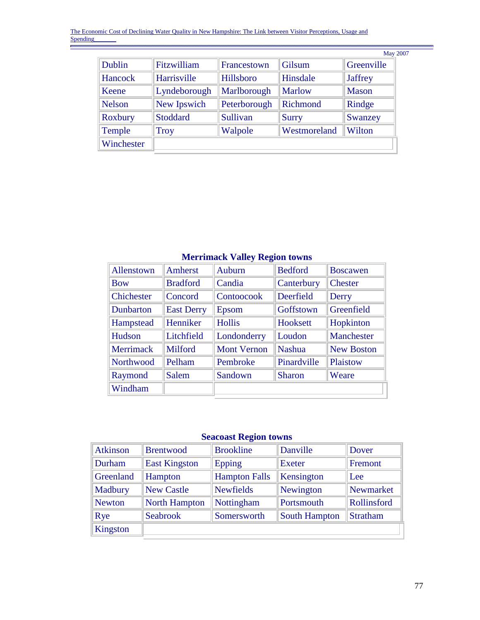|               |              |              |               | <b>May 2007</b> |
|---------------|--------------|--------------|---------------|-----------------|
| Dublin        | Fitzwilliam  | Francestown  | Gilsum        | Greenville      |
| Hancock       | Harrisville  | Hillsboro    | Hinsdale      | <b>Jaffrey</b>  |
| Keene         | Lyndeborough | Marlborough  | <b>Marlow</b> | Mason           |
| <b>Nelson</b> | New Ipswich  | Peterborough | Richmond      | Rindge          |
| Roxbury       | Stoddard     | Sullivan     | <b>Surry</b>  | Swanzey         |
| Temple        | <b>Troy</b>  | Walpole      | Westmoreland  | Wilton          |
| Winchester    |              |              |               |                 |

**Merrimack Valley Region towns**

| Allenstown | Amherst           | Auburn             | <b>Bedford</b> | <b>Boscawen</b>   |
|------------|-------------------|--------------------|----------------|-------------------|
| <b>Bow</b> | <b>Bradford</b>   | Candia             | Canterbury     | <b>Chester</b>    |
| Chichester | Concord           | Contoocook         | Deerfield      | Derry             |
| Dunbarton  | <b>East Derry</b> | Epsom              | Goffstown      | Greenfield        |
| Hampstead  | Henniker          | Hollis             | Hooksett       | Hopkinton         |
| Hudson     | Litchfield        | Londonderry        | Loudon         | Manchester        |
| Merrimack  | Milford           | <b>Mont Vernon</b> | <b>Nashua</b>  | <b>New Boston</b> |
| Northwood  | Pelham            | Pembroke           | Pinardville    | Plaistow          |
| Raymond    | <b>Salem</b>      | Sandown            | <b>Sharon</b>  | Weare             |
| Windham    |                   |                    |                |                   |

## **Seacoast Region towns**

| <b>Atkinson</b> | <b>Brentwood</b>     | <b>Brookline</b>     | Danville             | Dover           |
|-----------------|----------------------|----------------------|----------------------|-----------------|
| Durham          | <b>East Kingston</b> | <b>Epping</b>        | <b>Exeter</b>        | Fremont         |
| Greenland       | Hampton              | <b>Hampton Falls</b> | Kensington           | Lee             |
| Madbury         | <b>New Castle</b>    | <b>Newfields</b>     | Newington            | Newmarket       |
| <b>Newton</b>   | North Hampton        | Nottingham           | Portsmouth           | Rollinsford     |
| Rye             | Seabrook             | Somersworth          | <b>South Hampton</b> | <b>Stratham</b> |
| Kingston        |                      |                      |                      |                 |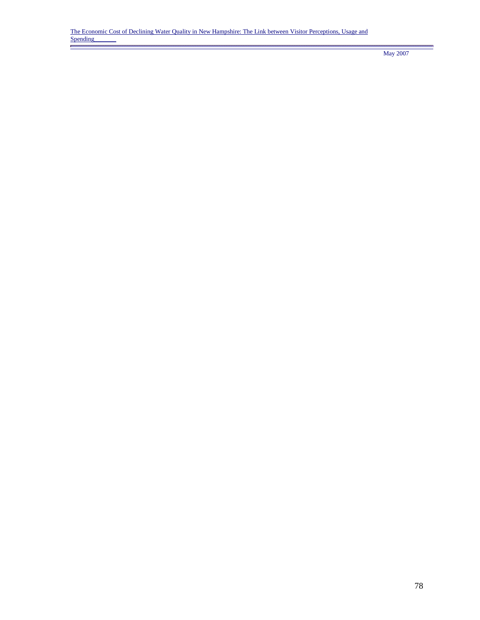٩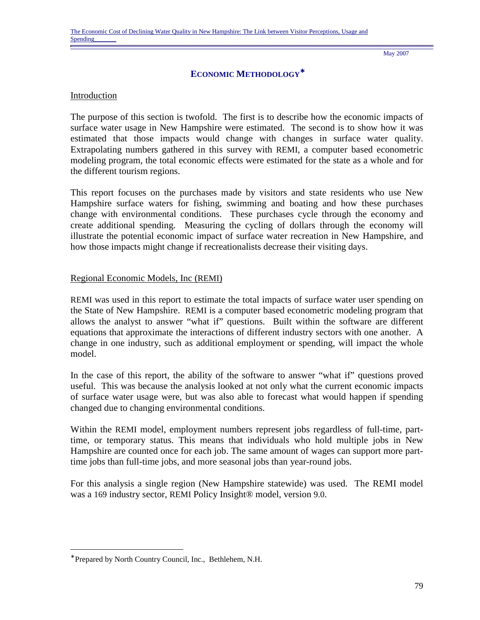## **ECONOMIC METHODOLOGY**<sup>∗</sup>

#### Introduction

The purpose of this section is twofold. The first is to describe how the economic impacts of surface water usage in New Hampshire were estimated. The second is to show how it was estimated that those impacts would change with changes in surface water quality. Extrapolating numbers gathered in this survey with REMI, a computer based econometric modeling program, the total economic effects were estimated for the state as a whole and for the different tourism regions.

This report focuses on the purchases made by visitors and state residents who use New Hampshire surface waters for fishing, swimming and boating and how these purchases change with environmental conditions. These purchases cycle through the economy and create additional spending. Measuring the cycling of dollars through the economy will illustrate the potential economic impact of surface water recreation in New Hampshire, and how those impacts might change if recreationalists decrease their visiting days.

#### Regional Economic Models, Inc (REMI)

REMI was used in this report to estimate the total impacts of surface water user spending on the State of New Hampshire. REMI is a computer based econometric modeling program that allows the analyst to answer "what if" questions. Built within the software are different equations that approximate the interactions of different industry sectors with one another. A change in one industry, such as additional employment or spending, will impact the whole model.

In the case of this report, the ability of the software to answer "what if" questions proved useful. This was because the analysis looked at not only what the current economic impacts of surface water usage were, but was also able to forecast what would happen if spending changed due to changing environmental conditions.

Within the REMI model, employment numbers represent jobs regardless of full-time, parttime, or temporary status. This means that individuals who hold multiple jobs in New Hampshire are counted once for each job. The same amount of wages can support more parttime jobs than full-time jobs, and more seasonal jobs than year-round jobs.

For this analysis a single region (New Hampshire statewide) was used. The REMI model was a 169 industry sector, REMI Policy Insight<sup>®</sup> model, version 9.0.

1

<sup>∗</sup> Prepared by North Country Council, Inc., Bethlehem, N.H.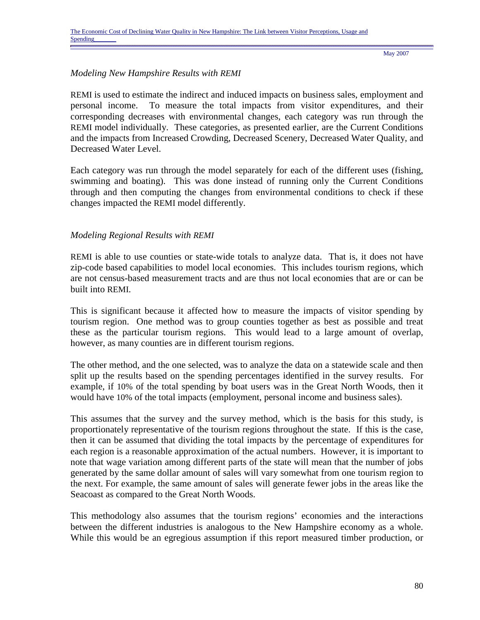#### *Modeling New Hampshire Results with REMI*

REMI is used to estimate the indirect and induced impacts on business sales, employment and personal income. To measure the total impacts from visitor expenditures, and their corresponding decreases with environmental changes, each category was run through the REMI model individually. These categories, as presented earlier, are the Current Conditions and the impacts from Increased Crowding, Decreased Scenery, Decreased Water Quality, and Decreased Water Level.

Each category was run through the model separately for each of the different uses (fishing, swimming and boating). This was done instead of running only the Current Conditions through and then computing the changes from environmental conditions to check if these changes impacted the REMI model differently.

#### *Modeling Regional Results with REMI*

REMI is able to use counties or state-wide totals to analyze data. That is, it does not have zip-code based capabilities to model local economies. This includes tourism regions, which are not census-based measurement tracts and are thus not local economies that are or can be built into REMI.

This is significant because it affected how to measure the impacts of visitor spending by tourism region. One method was to group counties together as best as possible and treat these as the particular tourism regions. This would lead to a large amount of overlap, however, as many counties are in different tourism regions.

The other method, and the one selected, was to analyze the data on a statewide scale and then split up the results based on the spending percentages identified in the survey results. For example, if 10% of the total spending by boat users was in the Great North Woods, then it would have 10% of the total impacts (employment, personal income and business sales).

This assumes that the survey and the survey method, which is the basis for this study, is proportionately representative of the tourism regions throughout the state. If this is the case, then it can be assumed that dividing the total impacts by the percentage of expenditures for each region is a reasonable approximation of the actual numbers. However, it is important to note that wage variation among different parts of the state will mean that the number of jobs generated by the same dollar amount of sales will vary somewhat from one tourism region to the next. For example, the same amount of sales will generate fewer jobs in the areas like the Seacoast as compared to the Great North Woods.

This methodology also assumes that the tourism regions' economies and the interactions between the different industries is analogous to the New Hampshire economy as a whole. While this would be an egregious assumption if this report measured timber production, or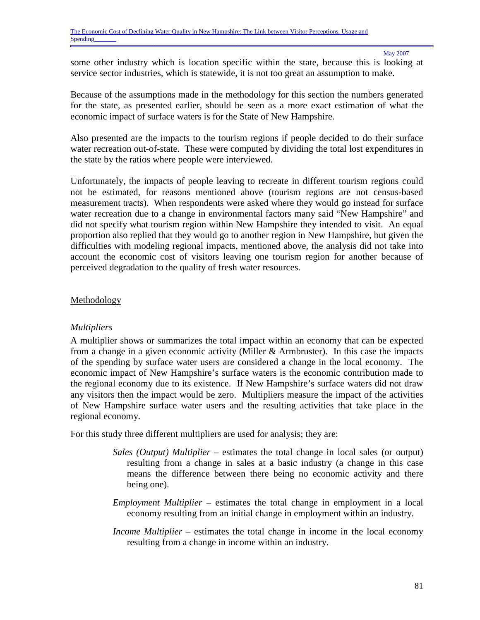some other industry which is location specific within the state, because this is looking at service sector industries, which is statewide, it is not too great an assumption to make.

Because of the assumptions made in the methodology for this section the numbers generated for the state, as presented earlier, should be seen as a more exact estimation of what the economic impact of surface waters is for the State of New Hampshire.

Also presented are the impacts to the tourism regions if people decided to do their surface water recreation out-of-state. These were computed by dividing the total lost expenditures in the state by the ratios where people were interviewed.

Unfortunately, the impacts of people leaving to recreate in different tourism regions could not be estimated, for reasons mentioned above (tourism regions are not census-based measurement tracts). When respondents were asked where they would go instead for surface water recreation due to a change in environmental factors many said "New Hampshire" and did not specify what tourism region within New Hampshire they intended to visit. An equal proportion also replied that they would go to another region in New Hampshire, but given the difficulties with modeling regional impacts, mentioned above, the analysis did not take into account the economic cost of visitors leaving one tourism region for another because of perceived degradation to the quality of fresh water resources.

#### Methodology

#### *Multipliers*

A multiplier shows or summarizes the total impact within an economy that can be expected from a change in a given economic activity (Miller & Armbruster). In this case the impacts of the spending by surface water users are considered a change in the local economy. The economic impact of New Hampshire's surface waters is the economic contribution made to the regional economy due to its existence. If New Hampshire's surface waters did not draw any visitors then the impact would be zero. Multipliers measure the impact of the activities of New Hampshire surface water users and the resulting activities that take place in the regional economy.

For this study three different multipliers are used for analysis; they are:

- *Sales (Output) Multiplier* estimates the total change in local sales (or output) resulting from a change in sales at a basic industry (a change in this case means the difference between there being no economic activity and there being one).
- *Employment Multiplier* estimates the total change in employment in a local economy resulting from an initial change in employment within an industry.
- *Income Multiplier* estimates the total change in income in the local economy resulting from a change in income within an industry.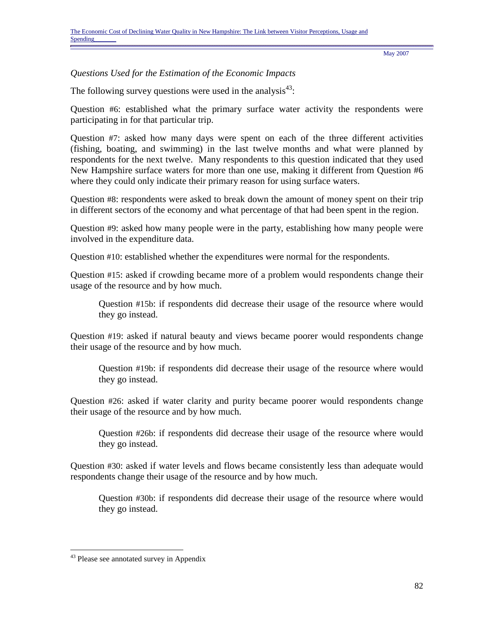### *Questions Used for the Estimation of the Economic Impacts*

The following survey questions were used in the analysis<sup>43</sup>:

Question #6: established what the primary surface water activity the respondents were participating in for that particular trip.

Question #7: asked how many days were spent on each of the three different activities (fishing, boating, and swimming) in the last twelve months and what were planned by respondents for the next twelve. Many respondents to this question indicated that they used New Hampshire surface waters for more than one use, making it different from Question #6 where they could only indicate their primary reason for using surface waters.

Question #8: respondents were asked to break down the amount of money spent on their trip in different sectors of the economy and what percentage of that had been spent in the region.

Question #9: asked how many people were in the party, establishing how many people were involved in the expenditure data.

Question #10: established whether the expenditures were normal for the respondents.

Question #15: asked if crowding became more of a problem would respondents change their usage of the resource and by how much.

Question #15b: if respondents did decrease their usage of the resource where would they go instead.

Question #19: asked if natural beauty and views became poorer would respondents change their usage of the resource and by how much.

Question #19b: if respondents did decrease their usage of the resource where would they go instead.

Question #26: asked if water clarity and purity became poorer would respondents change their usage of the resource and by how much.

Question #26b: if respondents did decrease their usage of the resource where would they go instead.

Question #30: asked if water levels and flows became consistently less than adequate would respondents change their usage of the resource and by how much.

Question #30b: if respondents did decrease their usage of the resource where would they go instead.

 $\overline{\phantom{a}}$ 

<sup>&</sup>lt;sup>43</sup> Please see annotated survey in Appendix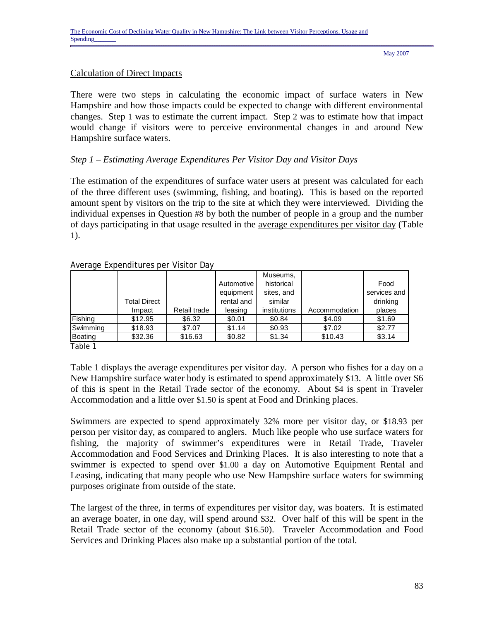#### Calculation of Direct Impacts

There were two steps in calculating the economic impact of surface waters in New Hampshire and how those impacts could be expected to change with different environmental changes. Step 1 was to estimate the current impact. Step 2 was to estimate how that impact would change if visitors were to perceive environmental changes in and around New Hampshire surface waters.

#### *Step 1 – Estimating Average Expenditures Per Visitor Day and Visitor Days*

The estimation of the expenditures of surface water users at present was calculated for each of the three different uses (swimming, fishing, and boating). This is based on the reported amount spent by visitors on the trip to the site at which they were interviewed. Dividing the individual expenses in Question #8 by both the number of people in a group and the number of days participating in that usage resulted in the average expenditures per visitor day (Table 1).

|          |                     |              |            | Museums,     |               |              |
|----------|---------------------|--------------|------------|--------------|---------------|--------------|
|          |                     |              | Automotive | historical   |               | Food         |
|          |                     |              | equipment  | sites, and   |               | services and |
|          | <b>Total Direct</b> |              | rental and | similar      |               | drinking     |
|          | Impact              | Retail trade | leasing    | institutions | Accommodation | places       |
| Fishing  | \$12.95             | \$6.32       | \$0.01     | \$0.84       | \$4.09        | \$1.69       |
| Swimming | \$18.93             | \$7.07       | \$1.14     | \$0.93       | \$7.02        | \$2.77       |
| Boating  | \$32.36             | \$16.63      | \$0.82     | \$1.34       | \$10.43       | \$3.14       |

#### Average Expenditures per Visitor Day

Table 1

Table 1 displays the average expenditures per visitor day. A person who fishes for a day on a New Hampshire surface water body is estimated to spend approximately \$13. A little over \$6 of this is spent in the Retail Trade sector of the economy. About \$4 is spent in Traveler Accommodation and a little over \$1.50 is spent at Food and Drinking places.

Swimmers are expected to spend approximately 32% more per visitor day, or \$18.93 per person per visitor day, as compared to anglers. Much like people who use surface waters for fishing, the majority of swimmer's expenditures were in Retail Trade, Traveler Accommodation and Food Services and Drinking Places. It is also interesting to note that a swimmer is expected to spend over \$1.00 a day on Automotive Equipment Rental and Leasing, indicating that many people who use New Hampshire surface waters for swimming purposes originate from outside of the state.

The largest of the three, in terms of expenditures per visitor day, was boaters. It is estimated an average boater, in one day, will spend around \$32. Over half of this will be spent in the Retail Trade sector of the economy (about \$16.50). Traveler Accommodation and Food Services and Drinking Places also make up a substantial portion of the total.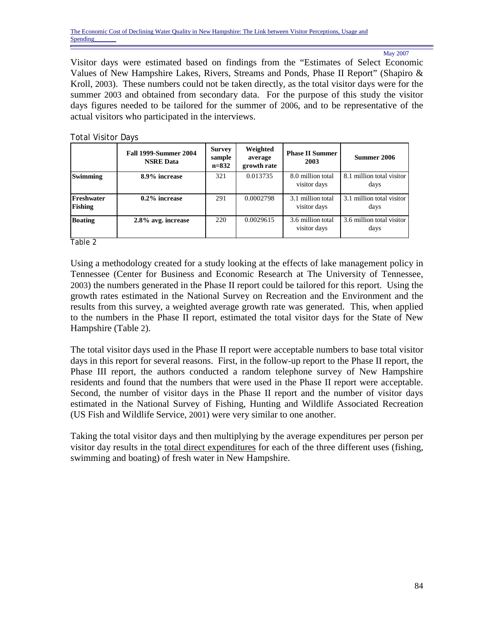Visitor days were estimated based on findings from the "Estimates of Select Economic Values of New Hampshire Lakes, Rivers, Streams and Ponds, Phase II Report" (Shapiro & Kroll, 2003). These numbers could not be taken directly, as the total visitor days were for the summer 2003 and obtained from secondary data. For the purpose of this study the visitor days figures needed to be tailored for the summer of 2006, and to be representative of the actual visitors who participated in the interviews.

|                                     | <b>Fall 1999-Summer 2004</b><br><b>NSRE</b> Data | <b>Survey</b><br>sample<br>$n = 832$ | Weighted<br>average<br>growth rate | <b>Phase II Summer</b><br>2003    | Summer 2006                       |
|-------------------------------------|--------------------------------------------------|--------------------------------------|------------------------------------|-----------------------------------|-----------------------------------|
| <b>Swimming</b>                     | 8.9% increase                                    | 321                                  | 0.013735                           | 8.0 million total<br>visitor days | 8.1 million total visitor<br>days |
| <b>Freshwater</b><br><b>Fishing</b> | $0.2\%$ increase                                 | 291                                  | 0.0002798                          | 3.1 million total<br>visitor days | 3.1 million total visitor<br>days |
| <b>Boating</b>                      | $2.8\%$ avg. increase                            | 220                                  | 0.0029615                          | 3.6 million total<br>visitor days | 3.6 million total visitor<br>days |

#### Table 2

Total Visitor Days

Using a methodology created for a study looking at the effects of lake management policy in Tennessee (Center for Business and Economic Research at The University of Tennessee, 2003) the numbers generated in the Phase II report could be tailored for this report. Using the growth rates estimated in the National Survey on Recreation and the Environment and the results from this survey, a weighted average growth rate was generated. This, when applied to the numbers in the Phase II report, estimated the total visitor days for the State of New Hampshire (Table 2).

The total visitor days used in the Phase II report were acceptable numbers to base total visitor days in this report for several reasons. First, in the follow-up report to the Phase II report, the Phase III report, the authors conducted a random telephone survey of New Hampshire residents and found that the numbers that were used in the Phase II report were acceptable. Second, the number of visitor days in the Phase II report and the number of visitor days estimated in the National Survey of Fishing, Hunting and Wildlife Associated Recreation (US Fish and Wildlife Service, 2001) were very similar to one another.

Taking the total visitor days and then multiplying by the average expenditures per person per visitor day results in the total direct expenditures for each of the three different uses (fishing, swimming and boating) of fresh water in New Hampshire.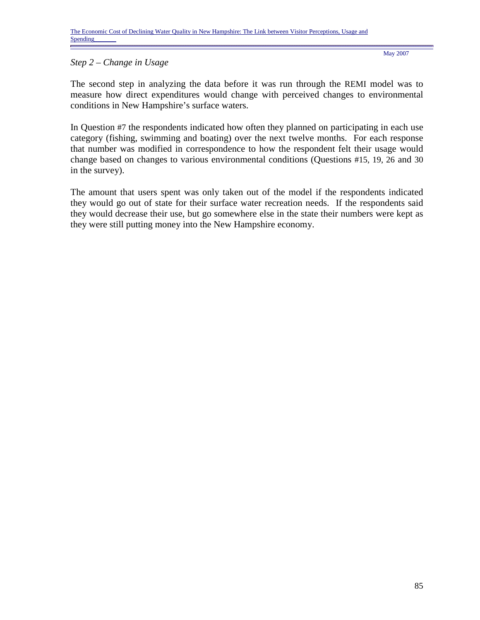#### *Step 2 – Change in Usage*

The second step in analyzing the data before it was run through the REMI model was to measure how direct expenditures would change with perceived changes to environmental conditions in New Hampshire's surface waters.

In Question #7 the respondents indicated how often they planned on participating in each use category (fishing, swimming and boating) over the next twelve months. For each response that number was modified in correspondence to how the respondent felt their usage would change based on changes to various environmental conditions (Questions #15, 19, 26 and 30 in the survey).

The amount that users spent was only taken out of the model if the respondents indicated they would go out of state for their surface water recreation needs. If the respondents said they would decrease their use, but go somewhere else in the state their numbers were kept as they were still putting money into the New Hampshire economy.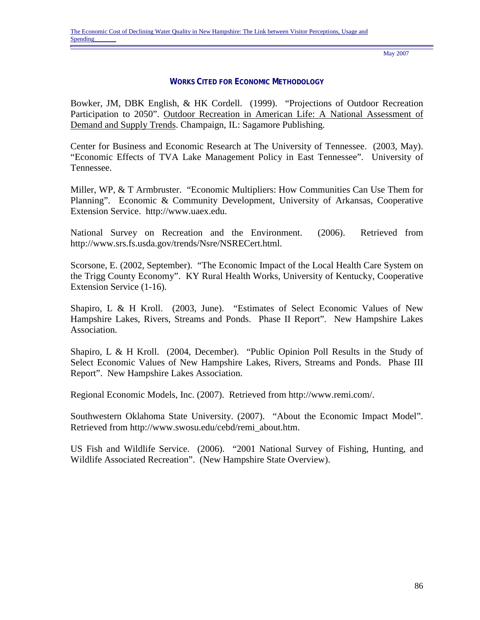#### **WORKS CITED FOR ECONOMIC METHODOLOGY**

Bowker, JM, DBK English, & HK Cordell. (1999). "Projections of Outdoor Recreation Participation to 2050". Outdoor Recreation in American Life: A National Assessment of Demand and Supply Trends. Champaign, IL: Sagamore Publishing.

Center for Business and Economic Research at The University of Tennessee. (2003, May). "Economic Effects of TVA Lake Management Policy in East Tennessee". University of Tennessee.

Miller, WP, & T Armbruster. "Economic Multipliers: How Communities Can Use Them for Planning". Economic & Community Development, University of Arkansas, Cooperative Extension Service. http://www.uaex.edu.

National Survey on Recreation and the Environment. (2006). Retrieved from http://www.srs.fs.usda.gov/trends/Nsre/NSRECert.html.

Scorsone, E. (2002, September). "The Economic Impact of the Local Health Care System on the Trigg County Economy". KY Rural Health Works, University of Kentucky, Cooperative Extension Service (1-16).

Shapiro, L & H Kroll. (2003, June). "Estimates of Select Economic Values of New Hampshire Lakes, Rivers, Streams and Ponds. Phase II Report". New Hampshire Lakes Association.

Shapiro, L & H Kroll. (2004, December). "Public Opinion Poll Results in the Study of Select Economic Values of New Hampshire Lakes, Rivers, Streams and Ponds. Phase III Report". New Hampshire Lakes Association.

Regional Economic Models, Inc. (2007). Retrieved from http://www.remi.com/.

Southwestern Oklahoma State University. (2007). "About the Economic Impact Model". Retrieved from http://www.swosu.edu/cebd/remi\_about.htm.

US Fish and Wildlife Service. (2006). "2001 National Survey of Fishing, Hunting, and Wildlife Associated Recreation". (New Hampshire State Overview).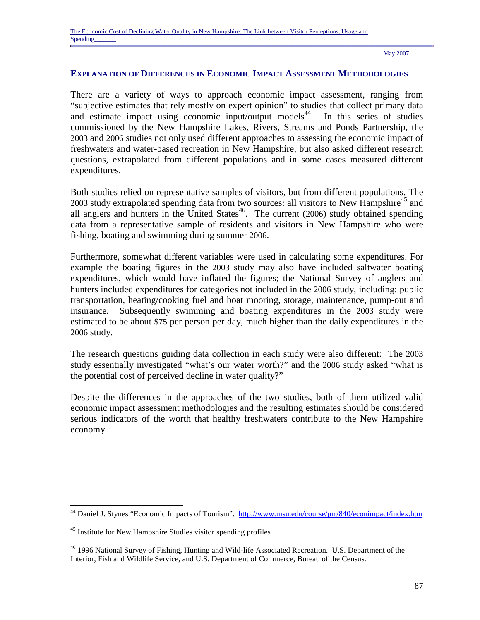#### **EXPLANATION OF DIFFERENCES IN ECONOMIC IMPACT ASSESSMENT METHODOLOGIES**

There are a variety of ways to approach economic impact assessment, ranging from "subjective estimates that rely mostly on expert opinion" to studies that collect primary data and estimate impact using economic input/output models<sup>44</sup>. In this series of studies commissioned by the New Hampshire Lakes, Rivers, Streams and Ponds Partnership, the 2003 and 2006 studies not only used different approaches to assessing the economic impact of freshwaters and water-based recreation in New Hampshire, but also asked different research questions, extrapolated from different populations and in some cases measured different expenditures.

Both studies relied on representative samples of visitors, but from different populations. The 2003 study extrapolated spending data from two sources: all visitors to New Hampshire<sup>45</sup> and all anglers and hunters in the United States<sup>46</sup>. The current (2006) study obtained spending data from a representative sample of residents and visitors in New Hampshire who were fishing, boating and swimming during summer 2006.

Furthermore, somewhat different variables were used in calculating some expenditures. For example the boating figures in the 2003 study may also have included saltwater boating expenditures, which would have inflated the figures; the National Survey of anglers and hunters included expenditures for categories not included in the 2006 study, including: public transportation, heating/cooking fuel and boat mooring, storage, maintenance, pump-out and insurance. Subsequently swimming and boating expenditures in the 2003 study were estimated to be about \$75 per person per day, much higher than the daily expenditures in the 2006 study.

The research questions guiding data collection in each study were also different: The 2003 study essentially investigated "what's our water worth?" and the 2006 study asked "what is the potential cost of perceived decline in water quality?"

Despite the differences in the approaches of the two studies, both of them utilized valid economic impact assessment methodologies and the resulting estimates should be considered serious indicators of the worth that healthy freshwaters contribute to the New Hampshire economy.

<u>.</u>

<sup>&</sup>lt;sup>44</sup> Daniel J. Stynes "Economic Impacts of Tourism". http://www.msu.edu/course/prr/840/econimpact/index.htm

<sup>&</sup>lt;sup>45</sup> Institute for New Hampshire Studies visitor spending profiles

<sup>&</sup>lt;sup>46</sup> 1996 National Survey of Fishing, Hunting and Wild-life Associated Recreation. U.S. Department of the Interior, Fish and Wildlife Service, and U.S. Department of Commerce, Bureau of the Census.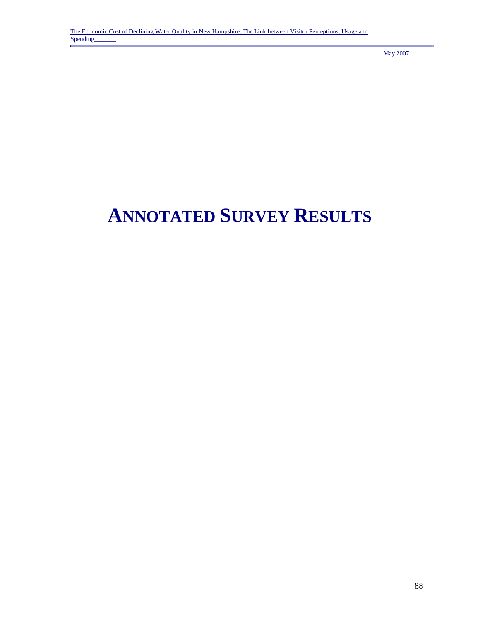# **ANNOTATED SURVEY RESULTS**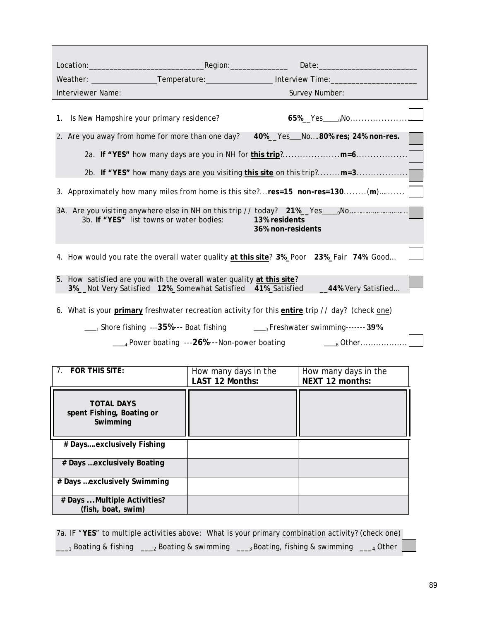| Interviewer Name:                                                                                                                                              | Survey Number:    |                  |
|----------------------------------------------------------------------------------------------------------------------------------------------------------------|-------------------|------------------|
|                                                                                                                                                                |                   |                  |
| 1. Is New Hampshire your primary residence?                                                                                                                    |                   | 65% $Yes_{0}$ No |
| 2. Are you away from home for more than one day? 40%_Yes__No80% res; 24% non-res.                                                                              |                   |                  |
|                                                                                                                                                                |                   |                  |
| 2b. If "YES" how many days are you visiting this site on this trip?m=3                                                                                         |                   |                  |
| 3. Approximately how many miles from home is this site? $res=15$ non-res=130(m)                                                                                |                   |                  |
| 3A. Are you visiting anywhere else in NH on this trip // today? 21%_Yes_____________________________<br>3b. If "YES" list towns or water bodies: 13% residents | 36% non-residents |                  |
| 4. How would you rate the overall water quality at this site? 3%_Poor 23%_Fair 74% Good                                                                        |                   |                  |
| 5. How satisfied are you with the overall water quality at this site?<br>3% Not Very Satisfied 12% Somewhat Satisfied 41% Satisfied 44% Very Satisfied         |                   |                  |
| 6. What is your <b>primary</b> freshwater recreation activity for this entire trip // day? (check one)                                                         |                   |                  |
| $\frac{1}{2}$ Shore fishing ---35%--- Boat fishing $\frac{1}{2}$ Freshwater swimming------- 39%                                                                |                   |                  |
|                                                                                                                                                                |                   |                  |

| 7. FOR THIS SITE:                                          | How many days in the<br>LAST 12 Months: | How many days in the<br>NEXT 12 months: |
|------------------------------------------------------------|-----------------------------------------|-----------------------------------------|
| <b>TOTAL DAYS</b><br>spent Fishing, Boating or<br>Swimming |                                         |                                         |
| # Daysexclusively Fishing                                  |                                         |                                         |
| # Days exclusively Boating                                 |                                         |                                         |
| # Days exclusively Swimming                                |                                         |                                         |
| # Days  Multiple Activities?<br>(fish, boat, swim)         |                                         |                                         |

7a. IF "**YES**" to multiple activities above: What is your primary combination activity? (check one)  $\frac{1}{2}$  Boating & fishing  $\frac{1}{2}$  Boating & swimming  $\frac{1}{2}$  Boating, fishing & swimming  $\frac{1}{2}$  Other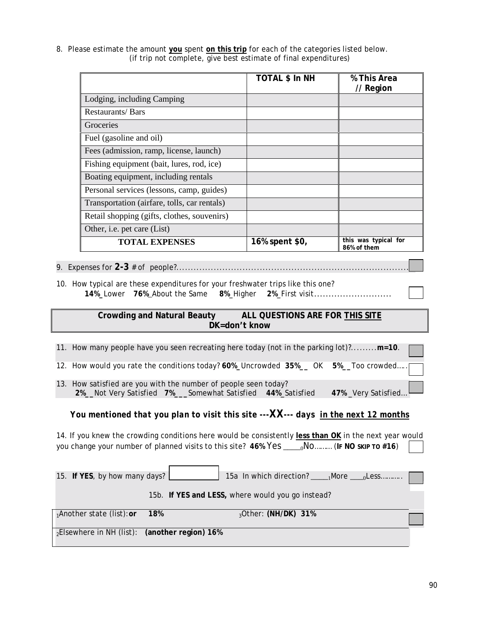8. Please estimate the amount **you** spent **on this trip** for each of the categories listed below. (if trip not complete, give best estimate of final expenditures)

|                                              | <b>TOTAL \$ In NH</b> | % This Area<br>// Region            |
|----------------------------------------------|-----------------------|-------------------------------------|
| Lodging, including Camping                   |                       |                                     |
| Restaurants/ Bars                            |                       |                                     |
| Groceries                                    |                       |                                     |
| Fuel (gasoline and oil)                      |                       |                                     |
| Fees (admission, ramp, license, launch)      |                       |                                     |
| Fishing equipment (bait, lures, rod, ice)    |                       |                                     |
| Boating equipment, including rentals         |                       |                                     |
| Personal services (lessons, camp, guides)    |                       |                                     |
| Transportation (airfare, tolls, car rentals) |                       |                                     |
| Retail shopping (gifts, clothes, souvenirs)  |                       |                                     |
| Other, <i>i.e.</i> pet care (List)           |                       |                                     |
| <b>TOTAL EXPENSES</b>                        | 16% spent \$0,        | this was typical for<br>86% of them |

9. Expenses for **2-3** # of people?...................................................................................

10. How typical are these expenditures for your freshwater trips like this one? **14%\_**Lower **76%**\_About the Same **8%**\_Higher **2%**\_First visit………………………

#### **Crowding and Natural Beauty ALL QUESTIONS ARE FOR THIS SITE DK=don't know**

11. How many people have you seen recreating here today (not in the parking lot)?.........**m=10**.

12. How would you rate the conditions today? **60%\_**Uncrowded **35%\_\_** OK **5%\_\_**Too crowded…..

13. How satisfied are you with the number of people seen today? **2%\_\_**Not Very Satisfied **7%\_\_\_**Somewhat Satisfied **44%**\_Satisfied **47%** \_Very Satisfied…

#### *You mentioned that you plan to visit this site ---XX--- days in the next 12 months*

14. If you knew the crowding conditions here would be consistently **less than OK** in the next year would you change your number of planned visits to this site? **46%** Yes \_\_\_\_0No……… (**IF NO SKIP TO #16**)

| 15. If YES, by how many days?                    |     | 15a In which direction? ______ <sub>1</sub> More ____ <sub>0</sub> Less |  |
|--------------------------------------------------|-----|-------------------------------------------------------------------------|--|
|                                                  |     | 15b. If YES and LESS, where would you go instead?                       |  |
| $_1$ Another state (list): or                    | 18% | $_3$ Other: (NH/DK) 31%                                                 |  |
| $2$ Elsewhere in NH (list): (another region) 16% |     |                                                                         |  |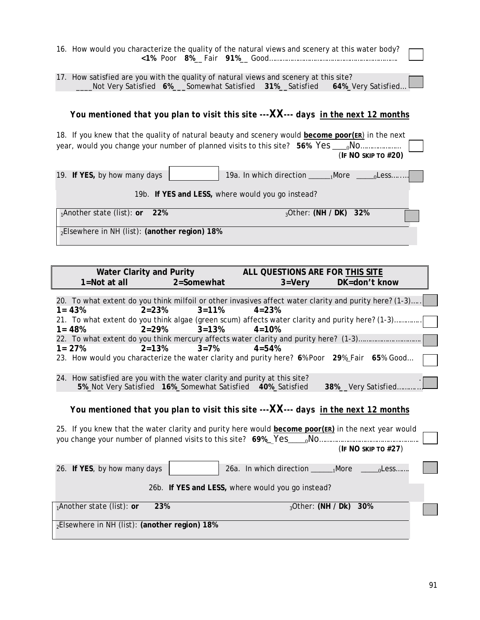|  |  |  | 16. How would you characterize the quality of the natural views and scenery at this water body? $\Box$ |  |
|--|--|--|--------------------------------------------------------------------------------------------------------|--|
|  |  |  |                                                                                                        |  |

17. How satisfied are you with the quality of natural views and scenery at this site? \_\_\_\_Not Very Satisfied **6%\_\_\_**Somewhat Satisfied **31%\_\_**Satisfied **64%\_**Very Satisfied…

## *You mentioned that you plan to visit this site ---XX--- days in the next 12 months*

| 18. If you knew that the quality of natural beauty and scenery would become poor(ER) in the next |  |                                                  |  |
|--------------------------------------------------------------------------------------------------|--|--------------------------------------------------|--|
| year, would you change your number of planned visits to this site? 56% Yes                       |  | $\sim$ $\sim$ $\sim$ $\sim$ $\sim$ $\sim$ $\sim$ |  |
|                                                                                                  |  | (IF NO SKIP TO $#20$ )                           |  |

| 19. If YES, by how many days                              | 19a. In which direction $\frac{1}{\text{max}}$ More $\frac{1}{\text{max}}$ (Less |
|-----------------------------------------------------------|----------------------------------------------------------------------------------|
|                                                           | 19b. If YES and LESS, where would you go instead?                                |
| $_1$ Another state (list): or 22%                         | $_3$ Other: (NH / DK) 32%                                                        |
| <sub>2</sub> Elsewhere in NH (list): (another region) 18% |                                                                                  |

|                                                           | Water Clarity and Purity |                                                                                                                                         | ALL QUESTIONS ARE FOR THIS SITE |  |
|-----------------------------------------------------------|--------------------------|-----------------------------------------------------------------------------------------------------------------------------------------|---------------------------------|--|
| 1=Not at all                                              | 2=Somewhat               | $3 = V$ ery                                                                                                                             | DK=don't know                   |  |
| $1 = 43%$                                                 | $3 = 11%$<br>$2 = 23%$   | 20. To what extent do you think milfoil or other invasives affect water clarity and purity here? (1-3)<br>$4 = 23%$                     |                                 |  |
| $1 = 48%$                                                 | $2 = 29%$                | 21. To what extent do you think algae (green scum) affects water clarity and purity here? (1-3)<br>$3 = 13%$<br>$4 = 10%$               |                                 |  |
| $1 = 27%$                                                 | $2 = 13%$<br>$3 = 7%$    | 22. To what extent do you think mercury affects water clarity and purity here? (1-3)<br>$4 = 54%$                                       |                                 |  |
|                                                           |                          | 23. How would you characterize the water clarity and purity here? 6% Poor 29%_Fair 65% Good                                             |                                 |  |
|                                                           |                          | 24. How satisfied are you with the water clarity and purity at this site?<br>5%_Not Very Satisfied 16%_Somewhat Satisfied 40%_Satisfied | 38%_Very Satisfied              |  |
|                                                           |                          | You mentioned that you plan to visit this site $-.XX$ days in the next 12 months                                                        |                                 |  |
|                                                           |                          | 25. If you knew that the water clarity and purity here would <b>become poor(ER)</b> in the next year would                              |                                 |  |
|                                                           |                          |                                                                                                                                         | (IF NO SKIP TO #27)             |  |
| 26. If YES, by how many days                              |                          | 26a. In which direction ________ <sub>1</sub> More ______ <sub>0</sub> Less                                                             |                                 |  |
|                                                           |                          | 26b. If YES and LESS, where would you go instead?                                                                                       |                                 |  |
| $1$ Another state (list): or                              | 23%                      |                                                                                                                                         | $_3$ Other: (NH / Dk) 30%       |  |
| <sub>2</sub> Elsewhere in NH (list): (another region) 18% |                          |                                                                                                                                         |                                 |  |